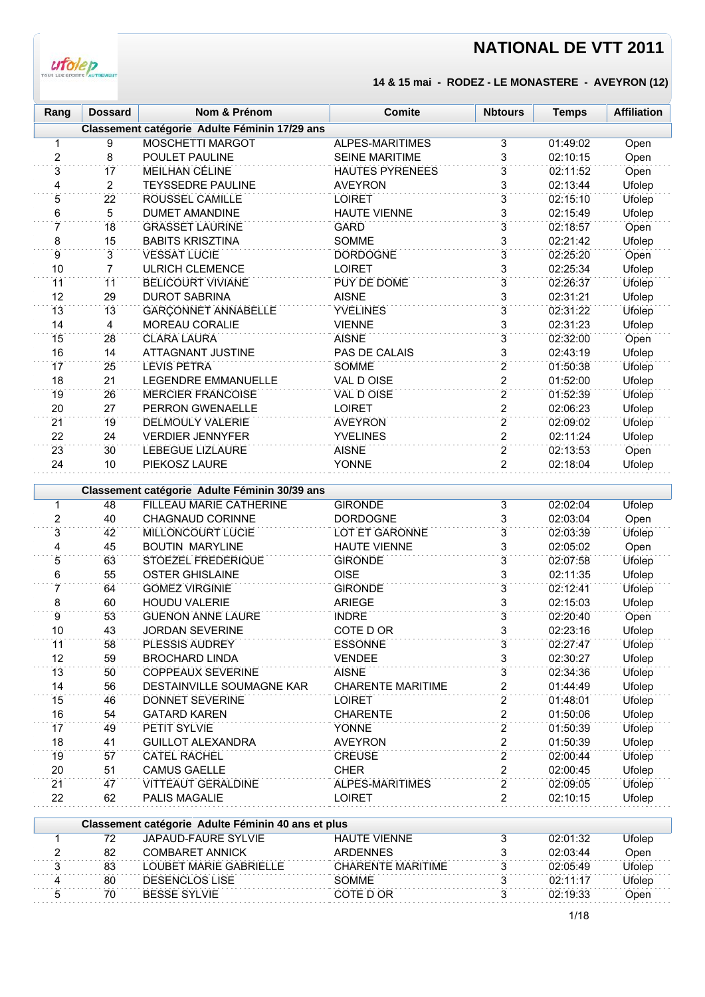

#### **14 & 15 mai - RODEZ - LE MONASTERE - AVEYRON (12)**

| Rang           | <b>Dossard</b>  | Nom & Prénom                                  | <b>Comite</b>          | <b>Nbtours</b> | <b>Temps</b> | <b>Affiliation</b> |
|----------------|-----------------|-----------------------------------------------|------------------------|----------------|--------------|--------------------|
|                |                 | Classement catégorie Adulte Féminin 17/29 ans |                        |                |              |                    |
| $\mathbf{1}$   | 9               | MOSCHETTI MARGOT                              | ALPES-MARITIMES        | 3              | 01:49:02     | Open               |
| $\overline{2}$ | 8               | POULET PAULINE                                | <b>SEINE MARITIME</b>  | 3              | 02:10:15     | Open               |
| 3              | 17              | <b>MEILHAN CÉLINE</b>                         | <b>HAUTES PYRENEES</b> | 3              | 02:11:52     | Open               |
| 4              | 2               | <b>TEYSSEDRE PAULINE</b>                      | <b>AVEYRON</b>         | 3              | 02:13:44     | Ufolep             |
| 5              | 22              | ROUSSEL CAMILLE                               | <b>LOIRET</b>          | $\overline{3}$ | 02:15:10     | Ufolep             |
| 6              | 5               | <b>DUMET AMANDINE</b>                         | <b>HAUTE VIENNE</b>    | 3              | 02:15:49     | Ufolep             |
| 7              | 18              | <b>GRASSET LAURINE</b>                        | <b>GARD</b>            | $\overline{3}$ | 02:18:57     | Open               |
| 8              | 15              | <b>BABITS KRISZTINA</b>                       | SOMME                  | 3              | 02:21:42     | Ufolep             |
| 9              | 3               | <b>VESSAT LUCIE</b>                           | <b>DORDOGNE</b>        | $\overline{3}$ | 02:25:20     | Open               |
| 10             | 7               | <b>ULRICH CLEMENCE</b>                        | <b>LOIRET</b>          | $\overline{3}$ | 02:25:34     | Ufolep             |
| 11             | 11              | <b>BELICOURT VIVIANE</b>                      | PUY DE DOME            | 3              | 02:26:37     | <b>Ufolep</b>      |
| 12             | 29              | <b>DUROT SABRINA</b>                          | <b>AISNE</b>           | 3              | 02:31:21     | Ufolep             |
| 13             | 13              | <b>GARÇONNET ANNABELLE</b>                    | <b>YVELINES</b>        | $\overline{3}$ | 02:31:22     | <b>Ufolep</b>      |
| 14             | 4               | MOREAU CORALIE                                | <b>VIENNE</b>          | 3              | 02:31:23     | Ufolep             |
| 15             | 28              | <b>CLARA LAURA</b>                            | <b>AISNE</b>           | 3              | 02:32:00     | Open               |
| 16             | 14              | <b>ATTAGNANT JUSTINE</b>                      | PAS DE CALAIS          | $\overline{3}$ | 02:43:19     | Ufolep             |
| 17             | 25              | <b>LEVIS PETRA</b>                            | <b>SOMME</b>           | $\overline{2}$ | 01:50:38     | Ufolep             |
| 18             | 21              | <b>LEGENDRE EMMANUELLE</b>                    | VAL D OISE             | $\overline{2}$ | 01:52:00     | Ufolep             |
| 19             | 26              | <b>MERCIER FRANCOISE</b>                      | VAL D OISE             | $\overline{2}$ | 01:52:39     | Ufolep             |
| 20             | 27              | <b>PERRON GWENAELLE</b>                       | <b>LOIRET</b>          | $\overline{2}$ | 02:06:23     | Ufolep             |
| 21             | 19              | <b>DELMOULY VALERIE</b>                       | <b>AVEYRON</b>         | $\overline{2}$ | 02:09:02     | <b>Ufolep</b>      |
| 22             | 24              | <b>VERDIER JENNYFER</b>                       | <b>YVELINES</b>        | $\overline{2}$ | 02:11:24     | Ufolep             |
| 23             | 30 <sup>2</sup> | <b>LEBEGUE LIZLAURE</b>                       | <b>AISNE</b>           | $\overline{2}$ | 02:13:53     | Open               |
| 24             | 10              | PIEKOSZ LAURE                                 | <b>YONNE</b>           | $\overline{2}$ | 02:18:04     | Ufolep             |
|                |                 |                                               |                        |                |              |                    |
|                |                 | Classement catégorie Adulte Féminin 30/39 ans |                        |                |              |                    |
| $\mathbf{1}$   | 48              | <b>FILLEAU MARIE CATHERINE</b>                | <b>GIRONDE</b>         | 3              | 02:02:04     | <b>Ufolep</b>      |
| 2              | 40              | <b>CHAGNAUD CORINNE</b>                       | <b>DORDOGNE</b>        | 3              | 02:03:04     | Open               |
| 3              | 42              | MILLONCOURT LUCIE                             | <b>LOT ET GARONNE</b>  | 3              | 02:03:39     | Ufolep             |

| 2  | 40 | <b>CHAGNAUD CORINNE</b>   | <b>DORDOGNE</b>          | 3              | 02:03:04 | Open   |
|----|----|---------------------------|--------------------------|----------------|----------|--------|
| 3  | 42 | <b>MILLONCOURT LUCIE</b>  | <b>LOT ET GARONNE</b>    | 3              | 02:03:39 | Ufolep |
| 4  | 45 | <b>BOUTIN MARYLINE</b>    | <b>HAUTE VIENNE</b>      | 3              | 02:05:02 | Open   |
| 5  | 63 | <b>STOEZEL FREDERIQUE</b> | <b>GIRONDE</b>           | 3              | 02:07:58 | Ufolep |
| 6  | 55 | <b>OSTER GHISLAINE</b>    | <b>OISE</b>              | 3              | 02:11:35 | Ufolep |
|    | 64 | <b>GOMEZ VIRGINIE</b>     | <b>GIRONDE</b>           | 3              | 02:12:41 | Ufolep |
| 8  | 60 | <b>HOUDU VALERIE</b>      | <b>ARIEGE</b>            | 3              | 02:15:03 | Ufolep |
| 9  | 53 | <b>GUENON ANNE LAURE</b>  | <b>INDRE</b>             | 3              | 02:20:40 | Open   |
| 10 | 43 | <b>JORDAN SEVERINE</b>    | COTE D OR                | 3              | 02:23:16 | Ufolep |
| 11 | 58 | <b>PLESSIS AUDREY</b>     | <b>ESSONNE</b>           | 3              | 02:27:47 | Ufolep |
| 12 | 59 | <b>BROCHARD LINDA</b>     | <b>VENDEE</b>            | 3              | 02:30:27 | Ufolep |
| 13 | 50 | <b>COPPEAUX SEVERINE</b>  | <b>AISNE</b>             | 3              | 02:34:36 | Ufolep |
| 14 | 56 | DESTAINVILLE SOUMAGNE KAR | <b>CHARENTE MARITIME</b> | 2              | 01:44:49 | Ufolep |
| 15 | 46 | <b>DONNET SEVERINE</b>    | <b>LOIRET</b>            | $\overline{2}$ | 01:48:01 | Ufolep |
| 16 | 54 | <b>GATARD KAREN</b>       | <b>CHARENTE</b>          | 2              | 01:50:06 | Ufolep |
| 17 | 49 | PETIT SYLVIE              | <b>YONNE</b>             | 2              | 01:50:39 | Ufolep |
| 18 | 41 | <b>GUILLOT ALEXANDRA</b>  | <b>AVEYRON</b>           | 2              | 01:50:39 | Ufolep |
| 19 | 57 | <b>CATEL RACHEL</b>       | <b>CREUSE</b>            | 2              | 02:00:44 | Ufolep |
| 20 | 51 | <b>CAMUS GAELLE</b>       | <b>CHER</b>              | 2              | 02:00:45 | Ufolep |
| 21 | 47 | <b>VITTEAUT GERALDINE</b> | ALPES-MARITIMES          | 2              | 02:09:05 | Ufolep |
| 22 | 62 | <b>PALIS MAGALIE</b>      | LOIRET                   | 2              | 02:10:15 | Ufolep |
|    |    |                           |                          |                |          |        |

|    | Classement catégorie Adulte Féminin 40 ans et plus |                     |          |        |
|----|----------------------------------------------------|---------------------|----------|--------|
| 72 | JAPAUD-FAURE SYLVIE                                | <b>HAUTE VIENNE</b> | 02.01.32 | Ufolep |
| 82 | COMBARET ANNICK                                    | ARDENNES            | 02.03.44 | Open   |
| 83 | LOUBET MARIE GABRIFI I F                           | CHARFNTF MARITIMF   | 02.05.49 | Ufolep |
| 80 | DESENCLOS LISE                                     | <b>SOMMF</b>        | 02.11.17 | Ufolep |
| 70 | BESSE SYLVIE                                       | COTF D OR           | 02.19.33 | Dpen   |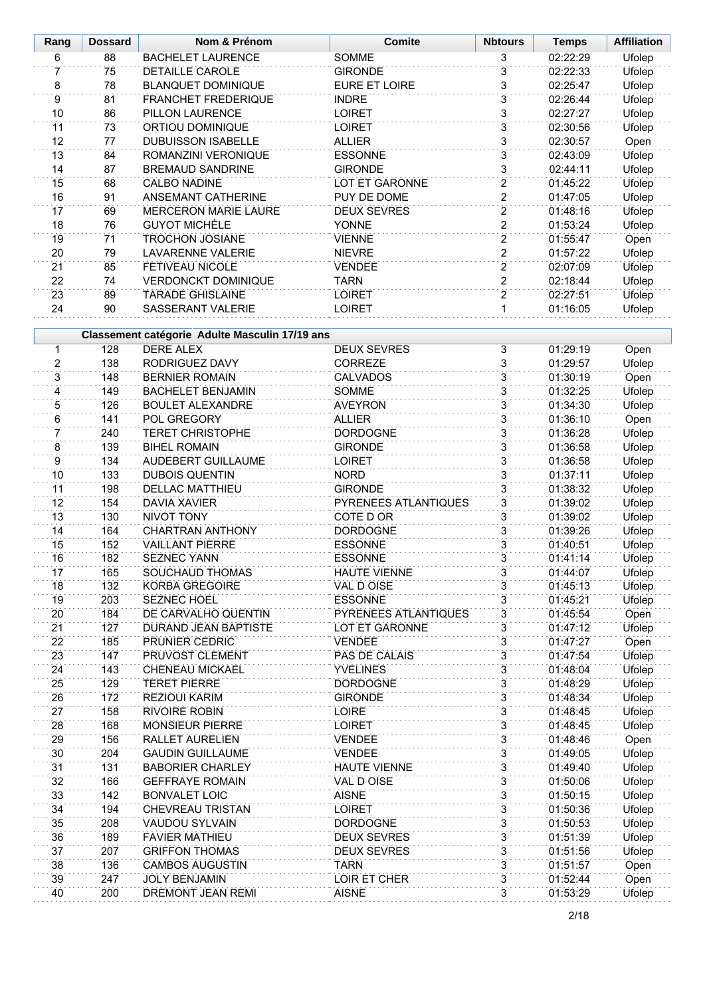| Rang            | <b>Dossard</b> | Nom & Prénom                                                       | <b>Comite</b>                            | <b>Nbtours</b>      | <b>Temps</b>         | <b>Affiliation</b>      |
|-----------------|----------------|--------------------------------------------------------------------|------------------------------------------|---------------------|----------------------|-------------------------|
| 6               | 88             | <b>BACHELET LAURENCE</b>                                           | <b>SOMME</b>                             | 3                   | 02:22:29             | <b>Ufolep</b>           |
| 7               | 75             | DETAILLE CAROLE                                                    | <b>GIRONDE</b>                           | $\overline{3}$      | 02:22:33             | Ufolep                  |
| 8               | 78             | <b>BLANQUET DOMINIQUE</b>                                          | EURE ET LOIRE                            | 3                   | 02:25:47             | Ufolep                  |
| $\overline{9}$  | 81             | <b>FRANCHET FREDERIQUE</b>                                         | <b>INDRE</b>                             | 3                   | 02:26:44             | Ufolep                  |
| 10              | 86             | PILLON LAURENCE                                                    | <b>LOIRET</b>                            | 3                   | 02:27:27             | Ufolep                  |
| 11              | 73             | ORTIOU DOMINIQUE                                                   | <b>LOIRET</b>                            | $\overline{3}$      | 02:30:56             | Ufolep                  |
| 12              | 77             | <b>DUBUISSON ISABELLE</b>                                          | <b>ALLIER</b>                            | 3                   | 02:30:57             | Open                    |
| 13              | 84             | ROMANZINI VERONIQUE                                                | <b>ESSONNE</b>                           | $\overline{3}$      | 02:43:09             | Ufolep                  |
| 14              | 87             | <b>BREMAUD SANDRINE</b>                                            | <b>GIRONDE</b>                           | 3                   | 02:44:11             | Ufolep                  |
| 15              | 68             | <b>CALBO NADINE</b>                                                | LOT ET GARONNE                           | $\overline{2}$      | 01:45:22             | Ufolep                  |
| 16              | 91             | ANSEMANT CATHERINE                                                 | PUY DE DOME                              | $\overline{c}$      | 01:47:05             | Ufolep                  |
| 17              | 69             | <b>MERCERON MARIE LAURE</b>                                        | <b>DEUX SEVRES</b>                       | $\overline{2}$      | 01:48:16             | Ufolep                  |
| 18              | 76             | <b>GUYOT MICHÈLE</b>                                               | <b>YONNE</b>                             | $\overline{2}$      | 01:53:24             | Ufolep                  |
| 19              | 71             | <b>TROCHON JOSIANE</b>                                             | <b>VIENNE</b>                            | $\overline{2}$      | 01:55:47             | Open                    |
| 20              | 79             | <b>LAVARENNE VALERIE</b>                                           | <b>NIEVRE</b>                            | $\overline{2}$      | 01:57:22             | Ufolep                  |
| 21              | 85             | <b>FETIVEAU NICOLE</b>                                             | <b>VENDEE</b>                            | $\overline{2}$      | 02:07:09             | Ufolep                  |
| 22              | 74             | <b>VERDONCKT DOMINIQUE</b>                                         | <b>TARN</b>                              | $\overline{2}$      | 02:18:44             | Ufolep                  |
| 23              | 89             | <b>TARADE GHISLAINE</b>                                            | <b>LOIRET</b>                            | $\overline{2}$      | 02:27:51             | <b>Ufolep</b>           |
| 24              | 90             | SASSERANT VALERIE                                                  | <b>LOIRET</b>                            | 1                   | 01:16:05             | Ufolep                  |
|                 |                |                                                                    |                                          |                     |                      |                         |
|                 |                | Classement catégorie Adulte Masculin 17/19 ans<br><b>DERE ALEX</b> |                                          |                     |                      |                         |
| 1               | 128            |                                                                    | <b>DEUX SEVRES</b>                       | $\overline{3}$      | 01:29:19             | Open                    |
| 2               | 138            | RODRIGUEZ DAVY                                                     | CORREZE                                  | $\overline{3}$      | 01:29:57             | Ufolep                  |
| $\overline{3}$  | 148            | <b>BERNIER ROMAIN</b>                                              | <b>CALVADOS</b>                          | 3                   | 01:30:19             | Open                    |
| 4               | 149            | <b>BACHELET BENJAMIN</b>                                           | SOMME                                    | $\overline{3}$      | 01:32:25             | Ufolep                  |
| 5               | 126            | <b>BOULET ALEXANDRE</b>                                            | <b>AVEYRON</b>                           | $\overline{3}$<br>3 | 01:34:30             | Ufolep                  |
| 6               | 141            | POL GREGORY                                                        | <b>ALLIER</b>                            | $\overline{3}$      | 01:36:10             | Open                    |
| 7               | 240            | <b>TERET CHRISTOPHE</b>                                            | <b>DORDOGNE</b>                          | $\overline{3}$      | 01:36:28             | Ufolep                  |
| 8               | 139            | <b>BIHEL ROMAIN</b>                                                | <b>GIRONDE</b>                           |                     | 01:36:58             | Ufolep                  |
| 9               | 134            | AUDEBERT GUILLAUME                                                 | <b>LOIRET</b>                            | $\overline{3}$      | 01:36:58             | Ufolep                  |
| 10              | 133            | <b>DUBOIS QUENTIN</b>                                              | <b>NORD</b>                              | $\overline{3}$      | 01:37:11             | Ufolep                  |
| 11              | 198            | <b>DELLAC MATTHIEU</b>                                             | <b>GIRONDE</b>                           | $\overline{3}$      | 01:38:32             | Ufolep                  |
| 12<br>13        | 154<br>130     | DAVIA XAVIER<br><b>NIVOT TONY</b>                                  | PYRENEES ATLANTIQUES<br><b>COTE D OR</b> | 3<br>3              | 01:39:02<br>01:39:02 | Ufolep                  |
| 14              | 164            | <b>CHARTRAN ANTHONY</b>                                            | <b>DORDOGNE</b>                          | $\overline{3}$      | 01:39:26             | Ufolep                  |
| 15              | 152            | <b>VAILLANT PIERRE</b>                                             | <b>ESSONNE</b>                           | 3                   | 01:40:51             | Ufolep<br><b>Ufolep</b> |
| 16              | 182            | SEZNEC YANN                                                        | <b>ESSONNE</b>                           | 3                   | 01:41:14             | Ufolep                  |
| 17              | 165            | SOUCHAUD THOMAS                                                    | <b>HAUTE VIENNE</b>                      | 3                   | 01:44:07             | Ufolep                  |
| 18              | 132            | KORBA GREGOIRE                                                     | VAL D OISE                               | 3                   | 01:45:13             | Ufolep                  |
| 19              | 203            | <b>SEZNEC HOEL</b>                                                 | <b>ESSONNE</b>                           | $\overline{3}$      | 01:45:21             | <b>Ufolep</b>           |
| 20              | 184            | DE CARVALHO QUENTIN                                                | PYRENEES ATLANTIQUES                     | 3                   | 01:45:54             | Open                    |
| 21              | 127            | DURAND JEAN BAPTISTE                                               | LOT ET GARONNE                           | 3                   | 01:47:12             | Ufolep                  |
| 22              | 185            | PRUNIER CEDRIC                                                     | <b>VENDEE</b>                            | $\overline{3}$      | 01:47:27             | Open                    |
| 23              | 147            | PRUVOST CLEMENT                                                    | PAS DE CALAIS                            | $\overline{3}$      | 01:47:54             | <b>Ufolep</b>           |
| 24              | 143            | CHENEAU MICKAEL                                                    | <b>YVELINES</b>                          | $\overline{3}$      | 01:48:04             | Ufolep                  |
| 25              | 129            | <b>TERET PIERRE</b>                                                | <b>DORDOGNE</b>                          | $\overline{3}$      | 01:48:29             | Ufolep                  |
| 26              | 172            | <b>REZIOUI KARIM</b>                                               | <b>GIRONDE</b>                           | 3                   | 01:48:34             | Ufolep                  |
| 27              | 158            | <b>RIVOIRE ROBIN</b>                                               | <b>LOIRE</b>                             | 3                   | 01:48:45             | Ufolep                  |
| 28              | 168            | <b>MONSIEUR PIERRE</b>                                             | <b>LOIRET</b>                            | 3                   | 01:48:45             | Ufolep                  |
| 29              | 156            | RALLET AURELIEN                                                    | <b>VENDEE</b>                            | 3                   | 01:48:46             | Open                    |
| 30              | 204            | <b>GAUDIN GUILLAUME</b>                                            | <b>VENDEE</b>                            | 3                   | 01:49:05             | Ufolep                  |
| $\overline{31}$ | 131            | <b>BABORIER CHARLEY</b>                                            | <b>HAUTE VIENNE</b>                      | 3                   | 01:49:40             | <b>Ufolep</b>           |
| 32              | 166            | <b>GEFFRAYE ROMAIN</b>                                             | VAL D OISE                               | $\overline{3}$      | 01:50:06             | Ufolep                  |
| 33              | 142            | <b>BONVALET LOIC</b>                                               | <b>AISNE</b>                             | 3                   | 01:50:15             | Ufolep                  |
| 34              | 194            | CHEVREAU TRISTAN                                                   | <b>LOIRET</b>                            | 3                   | 01:50:36             | Ufolep                  |
| 35              | 208            | <b>VAUDOU SYLVAIN</b>                                              | <b>DORDOGNE</b>                          | $\overline{3}$      | 01:50:53             | Ufolep                  |
| 36              | 189            | <b>FAVIER MATHIEU</b>                                              | <b>DEUX SEVRES</b>                       | $\overline{3}$      | 01:51:39             | Ufolep                  |
| 37              | 207            | <b>GRIFFON THOMAS</b>                                              | <b>DEUX SEVRES</b>                       | $\overline{3}$      | 01:51:56             | Ufolep                  |
| 38              | 136            | <b>CAMBOS AUGUSTIN</b>                                             | <b>TARN</b>                              | $\overline{3}$      | 01:51:57             | Open                    |
| 39              | 247            | <b>JOLY BENJAMIN</b>                                               | LOIR ET CHER                             | $\overline{3}$      | 01:52:44             | Open                    |
| 40              | 200            | DREMONT JEAN REMI                                                  | <b>AISNE</b>                             | 3                   | 01:53:29             | Ufolep                  |
|                 |                |                                                                    |                                          |                     |                      |                         |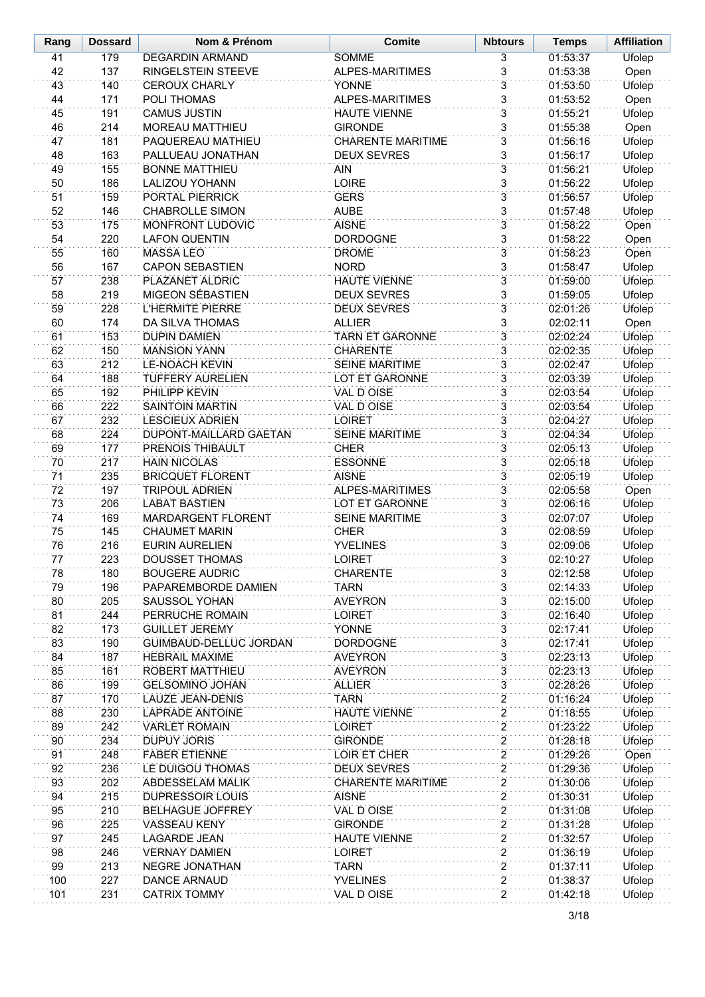| Rang     | <b>Dossard</b> | Nom & Prénom                                      | <b>Comite</b>                  | <b>Nbtours</b>                            | <b>Temps</b>         | <b>Affiliation</b> |
|----------|----------------|---------------------------------------------------|--------------------------------|-------------------------------------------|----------------------|--------------------|
| 41       | 179            | <b>DEGARDIN ARMAND</b>                            | <b>SOMME</b>                   | $\overline{\mathbf{3}}$                   | 01:53:37             | <b>Ufolep</b>      |
| 42       | 137            | RINGELSTEIN STEEVE                                | ALPES-MARITIMES                | 3                                         | 01:53:38             | Open               |
| 43       | 140            | <b>CEROUX CHARLY</b>                              | <b>YONNE</b>                   | $\overline{3}$                            | 01:53:50             | <b>Ufolep</b>      |
| 44       | 171            | POLI THOMAS                                       | ALPES-MARITIMES                | 3                                         | 01:53:52             | Open               |
| 45       | 191            | <b>CAMUS JUSTIN</b>                               | <b>HAUTE VIENNE</b>            | $\overline{3}$                            | 01:55:21             | <b>Ufolep</b>      |
| 46       | 214            | <b>MOREAU MATTHIEU</b>                            | <b>GIRONDE</b>                 | $\overline{3}$                            | 01:55:38             | Open               |
| 47       | 181            | PAQUEREAU MATHIEU                                 | <b>CHARENTE MARITIME</b>       | $\overline{3}$                            | 01:56:16             | Ufolep             |
| 48       | 163            | PALLUEAU JONATHAN                                 | <b>DEUX SEVRES</b>             | $\overline{3}$                            | 01:56:17             | Ufolep             |
| 49       | 155            | <b>BONNE MATTHIEU</b>                             | <b>AIN</b>                     | $\overline{3}$                            | 01:56:21             | Ufolep             |
| 50       | 186            | <b>LALIZOU YOHANN</b>                             | <b>LOIRE</b>                   | 3                                         | 01:56:22             | Ufolep             |
| 51<br>52 | 159<br>146     | PORTAL PIERRICK                                   | <b>GERS</b>                    | $\overline{3}$<br>3                       | 01:56:57             | Ufolep             |
| 53       | 175            | <b>CHABROLLE SIMON</b><br><b>MONFRONT LUDOVIC</b> | <b>AUBE</b><br><b>AISNE</b>    | $\overline{3}$                            | 01:57:48<br>01:58:22 | Ufolep<br>Open     |
| 54       | 220            | <b>LAFON QUENTIN</b>                              | <b>DORDOGNE</b>                | 3                                         | 01:58:22             | Open               |
| 55       | 160            | <b>MASSA LEO</b>                                  | <b>DROME</b>                   | $\overline{3}$                            | 01:58:23             | Open               |
| 56       | 167            | <b>CAPON SEBASTIEN</b>                            | <b>NORD</b>                    | 3                                         | 01:58:47             | Ufolep             |
| 57       | 238            | PLAZANET ALDRIC                                   | <b>HAUTE VIENNE</b>            | $\overline{3}$                            | 01:59:00             | <b>Ufolep</b>      |
| 58       | 219            | <b>MIGEON SÉBASTIEN</b>                           | <b>DEUX SEVRES</b>             | $\overline{3}$                            | 01:59:05             | Ufolep             |
| 59       | 228            | L'HERMITE PIERRE                                  | <b>DEUX SEVRES</b>             | $\overline{3}$                            | 02:01:26             | <b>Ufolep</b>      |
| 60       | 174            | DA SILVA THOMAS                                   | <b>ALLIER</b>                  | $\overline{3}$                            | 02:02:11             | Open               |
| 61       | 153            | <b>DUPIN DAMIEN</b>                               | <b>TARN ET GARONNE</b>         | $\overline{3}$                            | 02:02:24             | Ufolep             |
| 62       | 150            | <b>MANSION YANN</b>                               | <b>CHARENTE</b>                | 3                                         | 02:02:35             | <b>Ufolep</b>      |
| 63       | 212            | <b>LE-NOACH KEVIN</b>                             | <b>SEINE MARITIME</b>          | $\overline{3}$                            | 02:02:47             | Ufolep             |
| 64       | 188            | <b>TUFFERY AURELIEN</b>                           | LOT ET GARONNE                 | 3                                         | 02:03:39             | Ufolep             |
| 65       | 192            | PHILIPP KEVIN                                     | <b>VAL D OISE</b>              | $\overline{3}$                            | 02:03:54             | <b>Ufolep</b>      |
| 66       | 222            | <b>SAINTOIN MARTIN</b>                            | VAL D OISE                     | 3                                         | 02:03:54             | Ufolep             |
| 67       | 232            | <b>LESCIEUX ADRIEN</b>                            | <b>LOIRET</b>                  | 3                                         | 02:04:27             | Ufolep             |
| 68       | 224            | DUPONT-MAILLARD GAETAN                            | <b>SEINE MARITIME</b>          | 3                                         | 02:04:34             | Ufolep             |
| 69       | 177            | PRENOIS THIBAULT                                  | <b>CHER</b>                    | $\overline{3}$                            | 02:05:13             | Ufolep             |
| 70       | 217            | <b>HAIN NICOLAS</b>                               | <b>ESSONNE</b>                 | $\overline{3}$                            | 02:05:18             | Ufolep             |
| 71       | 235            | <b>BRICQUET FLORENT</b>                           | <b>AISNE</b>                   | $\overline{3}$                            | 02:05:19             | Ufolep             |
| 72       | 197            | <b>TRIPOUL ADRIEN</b>                             | ALPES-MARITIMES                | $\overline{3}$                            | 02:05:58             | Open               |
| 73       | 206            | <b>LABAT BASTIEN</b>                              | LOT ET GARONNE                 | $\overline{3}$                            | 02:06:16             | Ufolep             |
| 74       | 169            | <b>MARDARGENT FLORENT</b>                         | <b>SEINE MARITIME</b>          | 3                                         | 02:07:07             | Ufolep             |
| 75<br>76 | 145            | <b>CHAUMET MARIN</b><br><b>EURIN AURELIEN</b>     | <b>CHER</b><br><b>YVELINES</b> | $\overline{3}$<br>$\overline{3}$          | 02:08:59             | Ufolep             |
| 77       | 216<br>223     | <b>DOUSSET THOMAS</b>                             | <b>LOIRET</b>                  | $\overline{3}$                            | 02:09:06<br>02:10:27 | Ufolep<br>Ufolep   |
| 78       | 180            | <b>BOUGERE AUDRIC</b>                             | <b>CHARENTE</b>                | 3                                         | 02:12:58             | Ufolep             |
| 79       | 196            | PAPAREMBORDE DAMIEN                               | <b>TARN</b>                    | 3                                         | 02:14:33             | <b>Ufolep</b>      |
| 80       | 205            | SAUSSOL YOHAN                                     | <b>AVEYRON</b>                 | 3                                         | 02:15:00             | Ufolep             |
| 81       | 244            | PERRUCHE ROMAIN                                   | <b>LOIRET</b>                  | $\overline{3}$                            | 02:16:40             | Ufolep             |
| 82       | 173            | <b>GUILLET JEREMY</b>                             | <b>YONNE</b>                   | 3                                         | 02:17:41             | Ufolep             |
| 83       | 190            | GUIMBAUD-DELLUC JORDAN                            | <b>DORDOGNE</b>                | $\overline{3}$                            | 02:17:41             | Ufolep             |
| 84       | 187            | <b>HEBRAIL MAXIME</b>                             | <b>AVEYRON</b>                 | 3                                         | 02:23:13             | Ufolep             |
| 85       | 161            | ROBERT MATTHIEU                                   | <b>AVEYRON</b>                 | $\overline{3}$                            | 02:23:13             | <b>Ufolep</b>      |
| 86       | 199            | <b>GELSOMINO JOHAN</b>                            | <b>ALLIER</b>                  | 3                                         | 02:28:26             | Ufolep             |
| 87       | 170            | LAUZE JEAN-DENIS                                  | <b>TARN</b>                    | $\overline{2}$                            | 01:16:24             | <b>Ufolep</b>      |
| 88       | 230            | <b>LAPRADE ANTOINE</b>                            | <b>HAUTE VIENNE</b>            | $\overline{2}$                            | 01:18:55             | Ufolep             |
| 89       | 242            | <b>VARLET ROMAIN</b>                              | <b>LOIRET</b>                  | $\overline{2}$                            | 01:23:22             | <b>Ufolep</b>      |
| 90       | 234            | <b>DUPUY JORIS</b>                                | <b>GIRONDE</b>                 | $\overline{2}$                            | 01:28:18             | Ufolep             |
| 91       | 248            | <b>FABER ETIENNE</b>                              | LOIR ET CHER                   | $\overline{2}$                            | 01:29:26             | Open               |
| 92       | 236            | LE DUIGOU THOMAS                                  | <b>DEUX SEVRES</b>             | $\overline{2}$                            | 01:29:36             | Ufolep             |
| 93       | 202            | <b>ABDESSELAM MALIK</b>                           | <b>CHARENTE MARITIME</b>       | $\overline{2}$                            | 01:30:06             | Ufolep             |
| 94       | 215            | <b>DUPRESSOIR LOUIS</b>                           | <b>AISNE</b>                   | $\overline{c}$                            | 01:30:31             | Ufolep             |
| 95       | 210            | <b>BELHAGUE JOFFREY</b>                           | <b>VAL D OISE</b>              | $\overline{2}$                            | 01:31:08             | Ufolep             |
| 96       | 225            | VASSEAU KENY                                      | <b>GIRONDE</b>                 | $\overline{\mathbf{c}}$<br>$\overline{2}$ | 01:31:28             | Ufolep             |
| 97       | 245            | <b>LAGARDE JEAN</b>                               | <b>HAUTE VIENNE</b>            | $\overline{2}$                            | 01:32:57             | Ufolep             |
| 98<br>99 | 246<br>213     | <b>VERNAY DAMIEN</b><br>NEGRE JONATHAN            | <b>LOIRET</b><br><b>TARN</b>   | $\overline{2}$                            | 01:36:19<br>01:37:11 | Ufolep<br>Ufolep   |
| 100      | 227            | <b>DANCE ARNAUD</b>                               | <b>YVELINES</b>                | $\overline{2}$                            | 01:38:37             | Ufolep             |
| 101      | 231            | <b>CATRIX TOMMY</b>                               | VAL D OISE                     | $\overline{2}$                            | 01:42:18             | Ufolep             |
|          |                |                                                   |                                |                                           |                      |                    |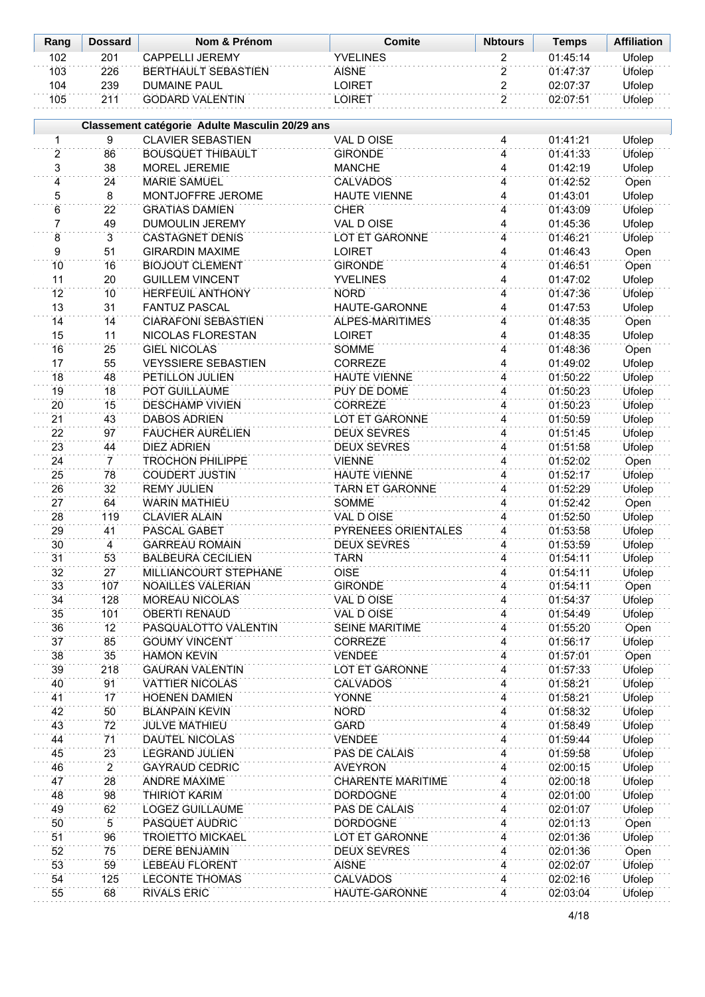| Rang | <b>Dossard</b> | Nom & Prénom               | Comite    | <b>Nbtours</b> | Temps    | <b>Affiliation</b> |
|------|----------------|----------------------------|-----------|----------------|----------|--------------------|
| 102  | 201            | CAPPFI I I JFRFMY          | YVFI INFS |                | 01:45:14 | Ufolep             |
| 103  | 226            | <b>BERTHAULT SEBASTIEN</b> | AISNF     |                | 01:47:37 | Ufolep             |
| 104  | 239            | <b>DUMAINE PAUL</b>        | _OIRET    |                | 02:07:37 | Ufolep             |
| 105  | 211            | <b>GODARD VALENTIN</b>     | _OIRE1    |                | 02.07.51 | Ufolep             |

|                 |                | Classement catégorie Adulte Masculin 20/29 ans |                          |                         |          |                |
|-----------------|----------------|------------------------------------------------|--------------------------|-------------------------|----------|----------------|
| 1               | 9              | <b>CLAVIER SEBASTIEN</b>                       | VAL D OISE               | 4                       | 01:41:21 | Ufolep         |
| $\overline{2}$  | 86             | <b>BOUSQUET THIBAULT</b>                       | <b>GIRONDE</b>           | 4                       | 01:41:33 | Ufolep         |
| 3               | 38             | MOREL JEREMIE                                  | <b>MANCHE</b>            | 4                       | 01:42:19 | Ufolep         |
| 4               | 24             | <b>MARIE SAMUEL</b>                            | <b>CALVADOS</b>          | $\overline{\mathbf{4}}$ | 01:42:52 | Open           |
| 5               | 8              | MONTJOFFRE JEROME                              | <b>HAUTE VIENNE</b>      | 4                       | 01:43:01 | Ufolep         |
| 6               | 22             | <b>GRATIAS DAMIEN</b>                          | <b>CHER</b>              | 4                       | 01:43:09 | Ufolep         |
| $\overline{7}$  | 49             | DUMOULIN JEREMY                                | <b>VAL D OISE</b>        | 4                       | 01:45:36 | Ufolep         |
| 8               | $\overline{3}$ | <b>CASTAGNET DENIS</b>                         | <b>LOT ET GARONNE</b>    | 4                       | 01:46:21 | Ufolep         |
| 9               | 51             | <b>GIRARDIN MAXIME</b>                         | <b>LOIRET</b>            | 4                       | 01:46:43 | Open           |
| 10              | 16             | <b>BIOJOUT CLEMENT</b>                         | <b>GIRONDE</b>           | 4                       | 01:46:51 | Open           |
| 11              | 20             | <b>GUILLEM VINCENT</b>                         | <b>YVELINES</b>          | 4                       | 01:47:02 | Ufolep         |
| 12              | 10             | <b>HERFEUIL ANTHONY</b>                        | <b>NORD</b>              | 4                       | 01:47:36 | Ufolep         |
| 13              | 31             | <b>FANTUZ PASCAL</b>                           | HAUTE-GARONNE            | 4                       | 01:47:53 | Ufolep         |
| 14              | 14             | <b>CIARAFONI SEBASTIEN</b>                     | ALPES-MARITIMES          | 4                       | 01:48:35 | Open           |
| 15              | 11             | NICOLAS FLORESTAN                              | <b>LOIRET</b>            | 4                       | 01:48:35 | Ufolep         |
| 16              | 25             | <b>GIEL NICOLAS</b>                            | SOMME                    | 4                       | 01:48:36 | Open           |
| 17              | 55             | <b>VEYSSIERE SEBASTIEN</b>                     | <b>CORREZE</b>           | 4                       | 01:49:02 | Ufolep         |
| 18              | 48             | PETILLON JULIEN                                | <b>HAUTE VIENNE</b>      | 4                       | 01:50:22 | Ufolep         |
| 19              | 18             | POT GUILLAUME                                  | PUY DE DOME              | 4                       | 01:50:23 | Ufolep         |
| 20              | 15             | <b>DESCHAMP VIVIEN</b>                         | <b>CORREZE</b>           | 4                       | 01:50:23 | Ufolep         |
| 21              | 43             | <b>DABOS ADRIEN</b>                            | <b>LOT ET GARONNE</b>    | 4                       | 01:50:59 | Ufolep         |
| 22              | 97             | <b>FAUCHER AURÉLIEN</b>                        | <b>DEUX SEVRES</b>       | 4                       | 01:51:45 | <b>Ufolep</b>  |
| 23              | 44             | <b>DIEZ ADRIEN</b>                             | <b>DEUX SEVRES</b>       | 4                       | 01:51:58 | Ufolep         |
| 24              | $\overline{7}$ | <b>TROCHON PHILIPPE</b>                        | <b>VIENNE</b>            | 4                       | 01:52:02 | Open           |
| 25              | 78             | <b>COUDERT JUSTIN</b>                          | <b>HAUTE VIENNE</b>      | 4                       | 01:52:17 | Ufolep         |
| 26              | 32             | <b>REMY JULIEN</b>                             | <b>TARN ET GARONNE</b>   | 4                       | 01:52:29 | Ufolep         |
| 27              | 64             | <b>WARIN MATHIEU</b>                           | SOMME                    | 4                       | 01:52:42 | Open           |
| 28              | 119            | <b>CLAVIER ALAIN</b>                           | <b>VAL D OISE</b>        | 4                       | 01:52:50 | Ufolep         |
| 29              | 41             | PASCAL GABET                                   | PYRENEES ORIENTALES      | 4                       | 01:53:58 | Ufolep         |
| 30 <sup>2</sup> | $\overline{4}$ | <b>GARREAU ROMAIN</b>                          | <b>DEUX SEVRES</b>       | 4                       | 01:53:59 | Ufolep         |
| 31              | 53             | <b>BALBEURA CECILIEN</b>                       | <b>TARN</b>              | 4                       | 01:54:11 | Ufolep         |
| 32              | 27             | MILLIANCOURT STEPHANE                          | <b>OISE</b>              | 4                       | 01:54:11 | Ufolep         |
| 33              | 107            | <b>NOAILLES VALERIAN</b>                       | <b>GIRONDE</b>           | 4                       | 01:54:11 | Open           |
| 34              | 128            | <b>MOREAU NICOLAS</b>                          | VAL D OISE               | $\overline{4}$          | 01:54:37 | Ufolep         |
| 35              | 101            | <b>OBERTI RENAUD</b>                           | VAL D OISE               | 4                       | 01:54:49 | Ufolep         |
| 36              | 12             | PASQUALOTTO VALENTIN                           | <b>SEINE MARITIME</b>    | 4                       | 01:55:20 | Open           |
| 37              | 85             | <b>GOUMY VINCENT</b>                           | <b>CORREZE</b>           | 4                       | 01:56:17 | Ufolep         |
| 38              | 35             | <b>HAMON KEVIN</b>                             | VENDEE                   | 4                       | 01:57:01 | Open           |
| 39              | 218            | <b>GAURAN VALENTIN</b>                         | <b>LOT ET GARONNE</b>    | 4                       | 01:57:33 | Ufolep         |
| 40              | 91             | <b>VATTIER NICOLAS</b>                         | <b>CALVADOS</b>          | 4                       | 01:58:21 | Ufolep         |
| 41              | 17             | <b>HOENEN DAMIEN</b>                           | <b>YONNE</b>             | 4                       | 01:58:21 | Ufolep         |
| 42              | 50             | <b>BLANPAIN KEVIN</b>                          | <b>NORD</b>              | 4                       | 01:58:32 | Ufolep         |
| 43              | 72             | <b>JULVE MATHIEU</b>                           | <b>GARD</b>              | 4                       | 01:58:49 | Ufolep         |
| 44              | 71             | DAUTEL NICOLAS                                 | <b>VENDEE</b>            | 4                       | 01:59:44 | Ufolep         |
| 45              | 23             | <b>LEGRAND JULIEN</b>                          | PAS DE CALAIS            | 4                       | 01:59:58 | Ufolep         |
| 46              | $\overline{2}$ | <b>GAYRAUD CEDRIC</b>                          | <b>AVEYRON</b>           | 4                       | 02:00:15 | Ufolep         |
| 47              | 28             | <b>ANDRE MAXIME</b>                            | <b>CHARENTE MARITIME</b> | 4                       | 02:00:18 | Ufolep         |
| 48              | 98             | THIRIOT KARIM                                  | <b>DORDOGNE</b>          | 4                       | 02:01:00 | Ufolep         |
| 49              | 62             | LOGEZ GUILLAUME                                | PAS DE CALAIS            |                         | 02:01:07 | Ufolep         |
| 50              | 5              | PASQUET AUDRIC                                 | <b>DORDOGNE</b>          | 4<br>4                  | 02:01:13 | Open           |
| 51              | 96             | <b>TROIETTO MICKAEL</b>                        | <b>LOT ET GARONNE</b>    | 4                       | 02:01:36 | Ufolep         |
| 52              | 75             | <b>DERE BENJAMIN</b>                           | <b>DEUX SEVRES</b>       |                         | 02:01:36 |                |
| 53              | 59             | <b>LEBEAU FLORENT</b>                          | <b>AISNE</b>             | 4<br>4                  | 02:02:07 | Open<br>Ufolep |
| 54              |                | <b>LECONTE THOMAS</b>                          |                          |                         |          |                |
| 55              | 125<br>68      |                                                | <b>CALVADOS</b>          | 4                       | 02:02:16 | Ufolep         |
|                 |                | <b>RIVALS ERIC</b>                             | HAUTE-GARONNE            | 4                       | 02:03:04 | Ufolep         |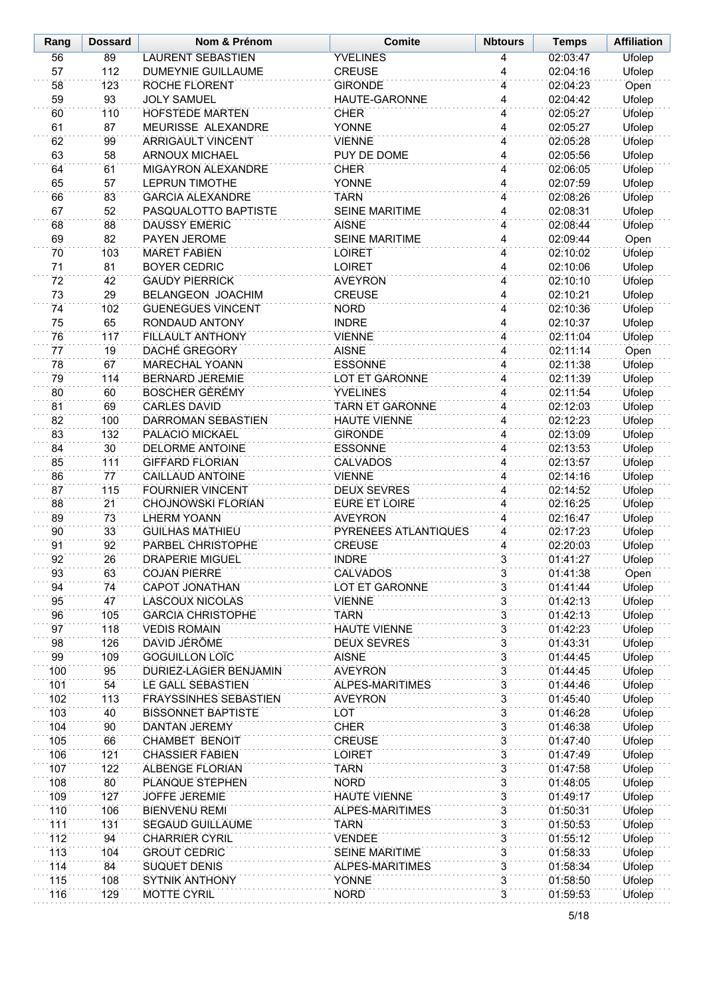| Rang       | <b>Dossard</b>  | Nom & Prénom                                 | <b>Comite</b>                            | <b>Nbtours</b>      | <b>Temps</b>         | <b>Affiliation</b> |
|------------|-----------------|----------------------------------------------|------------------------------------------|---------------------|----------------------|--------------------|
| 56         | 89              | <b>LAURENT SEBASTIEN</b>                     | <b>YVELINES</b>                          | 4                   | 02:03:47             | Ufolep             |
| 57         | 112             | <b>DUMEYNIE GUILLAUME</b>                    | <b>CREUSE</b>                            | 4                   | 02:04:16             | Ufolep             |
| 58         | 123             | ROCHE FLORENT                                | <b>GIRONDE</b>                           | 4                   | 02:04:23             | Open               |
| 59         | 93              | <b>JOLY SAMUEL</b>                           | HAUTE-GARONNE                            | 4                   | 02:04:42             | Ufolep             |
| 60         | 110             | HOFSTEDE MARTEN                              | <b>CHER</b>                              | 4                   | 02:05:27             | Ufolep             |
| 61         | 87              | <b>MEURISSE ALEXANDRE</b>                    | <b>YONNE</b>                             | 4                   | 02:05:27             | Ufolep             |
| 62         | 99              | <b>ARRIGAULT VINCENT</b>                     | <b>VIENNE</b>                            | 4                   | 02:05:28             | Ufolep             |
| 63         | 58              | <b>ARNOUX MICHAEL</b>                        | PUY DE DOME                              | 4                   | 02:05:56             | Ufolep             |
| 64         | 61              | <b>MIGAYRON ALEXANDRE</b>                    | <b>CHER</b>                              | 4                   | 02:06:05             | Ufolep             |
| 65         | 57              | <b>LEPRUN TIMOTHE</b>                        | YONNE                                    | 4                   | 02:07:59             | Ufolep             |
| 66         | 83              | <b>GARCIA ALEXANDRE</b>                      | <b>TARN</b>                              | 4                   | 02:08:26             | Ufolep             |
| 67<br>68   | 52<br>88        | PASQUALOTTO BAPTISTE<br><b>DAUSSY EMERIC</b> | SEINE MARITIME<br><b>AISNE</b>           | 4<br>4              | 02:08:31<br>02:08:44 | Ufolep             |
| 69         | 82              | PAYEN JEROME                                 | <b>SEINE MARITIME</b>                    | 4                   | 02:09:44             | Ufolep<br>Open     |
| 70         | 103             | <b>MARET FABIEN</b>                          | <b>LOIRET</b>                            | 4                   | 02:10:02             | Ufolep             |
| 71         | 81              | <b>BOYER CEDRIC</b>                          | <b>LOIRET</b>                            | 4                   | 02:10:06             | Ufolep             |
| 72         | 42              | <b>GAUDY PIERRICK</b>                        | <b>AVEYRON</b>                           | 4                   | 02:10:10             | Ufolep             |
| 73         | 29              | <b>BELANGEON JOACHIM</b>                     | <b>CREUSE</b>                            | 4                   | 02:10:21             | Ufolep             |
| 74         | 102             | <b>GUENEGUES VINCENT</b>                     | <b>NORD</b>                              | 4                   | 02:10:36             | <b>Ufolep</b>      |
| 75         | 65              | RONDAUD ANTONY                               | <b>INDRE</b>                             | 4                   | 02:10:37             | Ufolep             |
| 76         | 117             | <b>FILLAULT ANTHONY</b>                      | <b>VIENNE</b>                            | 4                   | 02:11:04             | Ufolep             |
| 77         | 19              | <b>DACHÉ GREGORY</b>                         | <b>AISNE</b>                             | 4                   | 02:11:14             | Open               |
| 78         | 67              | <b>MARECHAL YOANN</b>                        | <b>ESSONNE</b>                           | 4                   | 02:11:38             | Ufolep             |
| 79         | 114             | <b>BERNARD JEREMIE</b>                       | LOT ET GARONNE                           | 4                   | 02:11:39             | Ufolep             |
| 80         | 60              | <b>BOSCHER GÉRÉMY</b>                        | <b>YVELINES</b>                          | 4                   | 02:11:54             | Ufolep             |
| 81         | 69              | <b>CARLES DAVID</b>                          | <b>TARN ET GARONNE</b>                   | 4                   | 02:12:03             | Ufolep             |
| 82         | 100             | DARROMAN SEBASTIEN                           | <b>HAUTE VIENNE</b>                      | 4                   | 02:12:23             | Ufolep             |
| 83         | 132             | PALACIO MICKAEL                              | <b>GIRONDE</b>                           | 4                   | 02:13:09             | Ufolep             |
| 84         | 30 <sup>2</sup> | <b>DELORME ANTOINE</b>                       | <b>ESSONNE</b>                           | 4                   | 02:13:53             | Ufolep             |
| 85         | 111             | <b>GIFFARD FLORIAN</b>                       | <b>CALVADOS</b>                          | 4                   | 02:13:57             | Ufolep             |
| 86         | 77              | CAILLAUD ANTOINE                             | <b>VIENNE</b>                            | 4                   | 02:14:16             | Ufolep             |
| 87         | 115             | <b>FOURNIER VINCENT</b>                      | <b>DEUX SEVRES</b>                       | 4                   | 02:14:52             | Ufolep             |
| 88         | 21              | <b>CHOJNOWSKI FLORIAN</b>                    | <b>EURE ET LOIRE</b>                     | 4                   | 02:16:25             | Ufolep             |
| 89         | 73              | <b>LHERM YOANN</b>                           | <b>AVEYRON</b>                           | 4                   | 02:16:47             | Ufolep             |
| 90<br>91   | 33<br>92        | <b>GUILHAS MATHIEU</b><br>PARBEL CHRISTOPHE  | PYRENEES ATLANTIQUES<br><b>CREUSE</b>    | 4                   | 02:17:23             | Ufolep             |
| 92         | 26              | <b>DRAPERIE MIGUEL</b>                       | <b>INDRE</b>                             | 4<br>$\overline{3}$ | 02:20:03             | Ufolep             |
| 93         | 63              | <b>COJAN PIERRE</b>                          | <b>CALVADOS</b>                          | 3                   | 01:41:27<br>01:41:38 | Ufolep<br>Open     |
| 94         | 74              | <b>CAPOT JONATHAN</b>                        | <b>LOT ET GARONNE</b>                    | $\overline{3}$      | 01:41:44             | <b>Ufolep</b>      |
| 95         | 47              | <b>LASCOUX NICOLAS</b>                       | <b>VIENNE</b>                            | 3                   | 01:42:13             | Ufolep             |
| 96         | 105             | <b>GARCIA CHRISTOPHE</b>                     | <b>TARN</b>                              | $\overline{3}$      | 01:42:13             | <b>Ufolep</b>      |
| 97         | 118             | <b>VEDIS ROMAIN</b>                          | <b>HAUTE VIENNE</b>                      | 3                   | 01:42:23             | Ufolep             |
| 98         | 126             | DAVID JÉRÔME                                 | <b>DEUX SEVRES</b>                       | $\overline{3}$      | 01:43:31             | <b>Ufolep</b>      |
| 99         | 109             | <b>GOGUILLON LOÏC</b>                        | <b>AISNE</b>                             | 3                   | 01:44:45             | Ufolep             |
| 100        | 95              | DURIEZ-LAGIER BENJAMIN                       | <b>AVEYRON</b>                           | $\overline{3}$      | 01:44:45             | <b>Ufolep</b>      |
| 101        | 54              | LE GALL SEBASTIEN                            | <b>ALPES-MARITIMES</b>                   | 3                   | 01:44:46             | Ufolep             |
| 102        | 113             | <b>FRAYSSINHES SEBASTIEN</b>                 | <b>AVEYRON</b>                           | $\overline{3}$      | 01:45:40             | <b>Ufolep</b>      |
| 103        | 40              | <b>BISSONNET BAPTISTE</b>                    | LOT                                      | $\overline{3}$      | 01:46:28             | <b>Ufolep</b>      |
| 104        | 90              | <b>DANTAN JEREMY</b>                         | <b>CHER</b>                              | $\overline{3}$      | 01:46:38             | Ufolep             |
| 105        | 66              | CHAMBET BENOIT                               | <b>CREUSE</b>                            | $\overline{3}$      | 01:47:40             | Ufolep             |
| 106        | 121             | <b>CHASSIER FABIEN</b>                       | <b>LOIRET</b>                            | $\overline{3}$      | 01:47:49             | Ufolep             |
| 107        | 122             | ALBENGE FLORIAN                              | <b>TARN</b>                              | 3                   | 01:47:58             | Ufolep             |
| 108        | 80              | PLANQUE STEPHEN                              | <b>NORD</b>                              | $\overline{3}$      | 01:48:05             | Ufolep             |
| 109        | 127             | <b>JOFFE JEREMIE</b>                         | <b>HAUTE VIENNE</b>                      | 3                   | 01:49:17             | Ufolep             |
| 110        | 106             | <b>BIENVENU REMI</b>                         | ALPES-MARITIMES                          | $\overline{3}$      | 01:50:31             | Ufolep             |
| 111        | 131             | <b>SEGAUD GUILLAUME</b>                      | <b>TARN</b>                              | 3                   | 01:50:53             | Ufolep             |
| 112        | 94              | <b>CHARRIER CYRIL</b>                        | <b>VENDEE</b>                            | $\overline{3}$<br>3 | 01:55:12             | Ufolep             |
| 113<br>114 | 104<br>84       | <b>GROUT CEDRIC</b><br><b>SUQUET DENIS</b>   | <b>SEINE MARITIME</b><br>ALPES-MARITIMES | $\overline{3}$      | 01:58:33<br>01:58:34 | Ufolep<br>Ufolep   |
| 115        | 108             | <b>SYTNIK ANTHONY</b>                        | <b>YONNE</b>                             | 3                   | 01:58:50             | Ufolep             |
| 116        | 129             | <b>MOTTE CYRIL</b>                           | <b>NORD</b>                              | $\overline{3}$      | 01:59:53             | Ufolep             |
|            |                 |                                              |                                          |                     |                      |                    |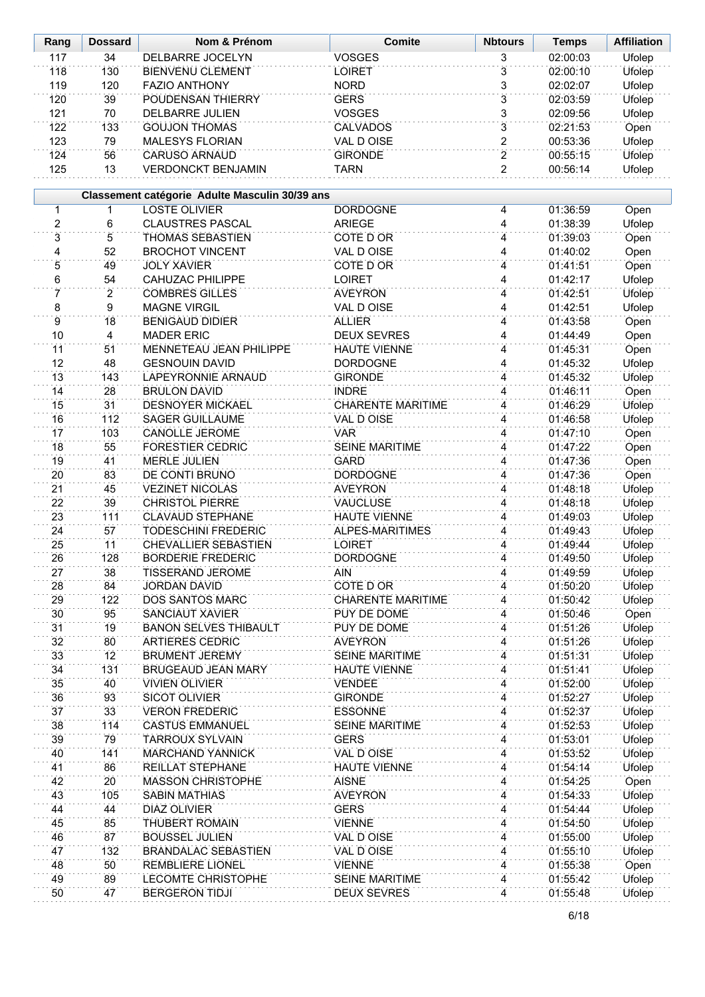| Rang           | <b>Dossard</b>  | Nom & Prénom                                   | <b>Comite</b>            | <b>Nbtours</b> | <b>Temps</b> | <b>Affiliation</b> |
|----------------|-----------------|------------------------------------------------|--------------------------|----------------|--------------|--------------------|
| 117            | 34              | DELBARRE JOCELYN                               | <b>VOSGES</b>            | 3              | 02:00:03     | <b>Ufolep</b>      |
| 118            | 130             | <b>BIENVENU CLEMENT</b>                        | <b>LOIRET</b>            | $\overline{3}$ | 02:00:10     | Ufolep             |
| 119            | 120             | <b>FAZIO ANTHONY</b>                           | <b>NORD</b>              | 3              | 02:02:07     | Ufolep             |
| 120            | $\overline{39}$ | POUDENSAN THIERRY                              | <b>GERS</b>              | $\overline{3}$ | 02:03:59     | Ufolep             |
| 121            | 70              | <b>DELBARRE JULIEN</b>                         | <b>VOSGES</b>            | 3              | 02:09:56     | Ufolep             |
| 122            | 133             | <b>GOUJON THOMAS</b>                           | <b>CALVADOS</b>          | $\overline{3}$ | 02:21:53     | Open               |
| 123            | 79              | <b>MALESYS FLORIAN</b>                         | VAL D OISE               | $\overline{c}$ | 00:53:36     | Ufolep             |
| 124            | 56              | <b>CARUSO ARNAUD</b>                           | <b>GIRONDE</b>           | $\overline{2}$ | 00:55:15     | Ufolep             |
| 125            | 13              | <b>VERDONCKT BENJAMIN</b>                      | <b>TARN</b>              | $\overline{2}$ | 00:56:14     | Ufolep             |
|                |                 |                                                |                          |                |              |                    |
|                |                 | Classement catégorie Adulte Masculin 30/39 ans |                          |                |              |                    |
| 1              | $\mathbf{1}$    | <b>LOSTE OLIVIER</b>                           | <b>DORDOGNE</b>          | 4              | 01:36:59     | Open               |
| $\overline{2}$ | 6               | <b>CLAUSTRES PASCAL</b>                        | <b>ARIEGE</b>            | 4              | 01:38:39     | Ufolep             |
| $\overline{3}$ | 5               | THOMAS SEBASTIEN                               | COTE D OR                | 4              | 01:39:03     | Open               |
| 4              | 52              | <b>BROCHOT VINCENT</b>                         | <b>VAL D OISE</b>        | 4              | 01:40:02     | Open               |
| 5              | 49              | <b>JOLY XAVIER</b>                             | COTE D OR                | 4              | 01:41:51     | Open               |
| $\overline{6}$ | 54              | <b>CAHUZAC PHILIPPE</b>                        | LOIRET                   | 4              | 01:42:17     | Ufolep             |
| 7              | $\overline{2}$  | <b>COMBRES GILLES</b>                          | <b>AVEYRON</b>           | 4              | 01:42:51     | Ufolep             |
| 8              | 9               | <b>MAGNE VIRGIL</b>                            | VAL D OISE               | 4              | 01:42:51     | Ufolep             |
| 9              | $\overline{18}$ | <b>BENIGAUD DIDIER</b>                         | <b>ALLIER</b>            | 4              | 01:43:58     | Open               |
| 10             | 4               | <b>MADER ERIC</b>                              | <b>DEUX SEVRES</b>       | 4              | 01:44:49     | Open               |
| 11             | 51              | <b>MENNETEAU JEAN PHILIPPE</b>                 | <b>HAUTE VIENNE</b>      | 4              | 01:45:31     | Open               |
| 12             | 48              | <b>GESNOUIN DAVID</b>                          | <b>DORDOGNE</b>          | 4              | 01:45:32     | Ufolep             |
| 13             | 143             | <b>LAPEYRONNIE ARNAUD</b>                      | <b>GIRONDE</b>           | $\overline{4}$ | 01:45:32     | Ufolep             |
| 14             | 28              | <b>BRULON DAVID</b>                            | <b>INDRE</b>             | 4              | 01:46:11     | Open               |
| 15             | 31              | <b>DESNOYER MICKAEL</b>                        | <b>CHARENTE MARITIME</b> | $\overline{4}$ | 01:46:29     | <b>Ufolep</b>      |
| 16             | 112             | <b>SAGER GUILLAUME</b>                         | VAL D OISE               | 4              | 01:46:58     | Ufolep             |
| 17             | 103             | <b>CANOLLE JEROME</b>                          | <b>VAR</b>               | 4              | 01:47:10     | Open               |
| 18             | 55              | <b>FORESTIER CEDRIC</b>                        | <b>SEINE MARITIME</b>    | 4              | 01:47:22     | Open               |
| 19             | 41              | <b>MERLE JULIEN</b>                            | <b>GARD</b>              | 4              | 01:47:36     | Open               |
| 20             | 83              | DE CONTI BRUNO                                 | <b>DORDOGNE</b>          | 4              | 01:47:36     | Open               |
| 21             | 45              | <b>VEZINET NICOLAS</b>                         | <b>AVEYRON</b>           | 4              | 01:48:18     | Ufolep             |
| 22             | 39              | <b>CHRISTOL PIERRE</b>                         | <b>VAUCLUSE</b>          | 4              | 01:48:18     | Ufolep             |
| 23             | 111             | <b>CLAVAUD STEPHANE</b>                        | <b>HAUTE VIENNE</b>      | 4              | 01:49:03     | Ufolep             |
| 24             | 57              | <b>TODESCHINI FREDERIC</b>                     | ALPES-MARITIMES          | 4              | 01:49:43     | Ufolep             |
| 25             | 11              | CHEVALLIER SEBASTIEN                           | <b>LOIRET</b>            | 4              | 01:49:44     | Ufolep             |
| 26             | 128             | <b>BORDERIE FREDERIC</b>                       | <b>DORDOGNE</b>          | 4              | 01:49:50     | Ufolep             |
| 27             | 38              | <b>TISSERAND JEROME</b>                        | AIN                      | 4              | 01:49:59     | Ufolep             |
| 28             | 84              | <b>JORDAN DAVID</b>                            | COTE D OR                | 4              | 01:50:20     | Ufolep             |
| 29             | 122             | DOS SANTOS MARC                                | <b>CHARENTE MARITIME</b> | 4              | 01:50:42     | <b>Ufolep</b>      |
| 30             | 95              | SANCIAUT XAVIER                                | PUY DE DOME              | 4              | 01:50:46     | Open               |
| 31             | 19              | <b>BANON SELVES THIBAULT</b>                   | PUY DE DOME              | 4              | 01:51:26     | <b>Ufolep</b>      |
| 32             | 80              | <b>ARTIERES CEDRIC</b>                         | <b>AVEYRON</b>           | 4              | 01:51:26     | Ufolep             |
| 33             | 12              | <b>BRUMENT JEREMY</b>                          | <b>SEINE MARITIME</b>    | 4              | 01:51:31     | Ufolep             |
| 34             | 131             | <b>BRUGEAUD JEAN MARY</b>                      | <b>HAUTE VIENNE</b>      | 4              | 01:51:41     | <b>Ufolep</b>      |
| 35             | 40              | <b>VIVIEN OLIVIER</b>                          | <b>VENDEE</b>            | 4              | 01:52:00     | Ufolep             |
| 36             | 93              | SICOT OLIVIER                                  | <b>GIRONDE</b>           | 4              | 01:52:27     | Ufolep             |
| 37             | 33              | <b>VERON FREDERIC</b>                          | <b>ESSONNE</b>           | 4              | 01:52:37     | <b>Ufolep</b>      |
| 38             | 114             | <b>CASTUS EMMANUEL</b>                         | <b>SEINE MARITIME</b>    | 4              | 01:52:53     | Ufolep             |
| 39             | 79              | <b>TARROUX SYLVAIN</b>                         | <b>GERS</b>              | 4              | 01:53:01     | <b>Ufolep</b>      |
| 40             | 141             | <b>MARCHAND YANNICK</b>                        | VAL D OISE               | 4              | 01:53:52     | Ufolep             |
| 41             | 86              | REILLAT STEPHANE                               | <b>HAUTE VIENNE</b>      | $\overline{4}$ | 01:54:14     | Ufolep             |
| 42             | 20              | <b>MASSON CHRISTOPHE</b>                       | <b>AISNE</b>             | 4              | 01:54:25     | Open               |
| 43             | 105             | <b>SABIN MATHIAS</b>                           | <b>AVEYRON</b>           | $\overline{4}$ | 01:54:33     | Ufolep             |
| 44             | 44              | DIAZ OLIVIER                                   | <b>GERS</b>              | 4              | 01:54:44     | Ufolep             |
| 45             | 85              | <b>THUBERT ROMAIN</b>                          | <b>VIENNE</b>            | 4              | 01:54:50     | Ufolep             |
| 46             | 87              | <b>BOUSSEL JULIEN</b>                          | VAL D OISE               | 4              | 01:55:00     | Ufolep             |
| 47             | 132             | <b>BRANDALAC SEBASTIEN</b>                     | VAL D OISE               | 4              | 01:55:10     | Ufolep             |
| 48             | 50              | <b>REMBLIERE LIONEL</b>                        | <b>VIENNE</b>            | 4              | 01:55:38     | Open               |
| 49             | 89              | <b>LECOMTE CHRISTOPHE</b>                      | <b>SEINE MARITIME</b>    | 4              | 01:55:42     | Ufolep             |
| 50             | 47              | <b>BERGERON TIDJI</b>                          | <b>DEUX SEVRES</b>       | 4              | 01:55:48     | Ufolep             |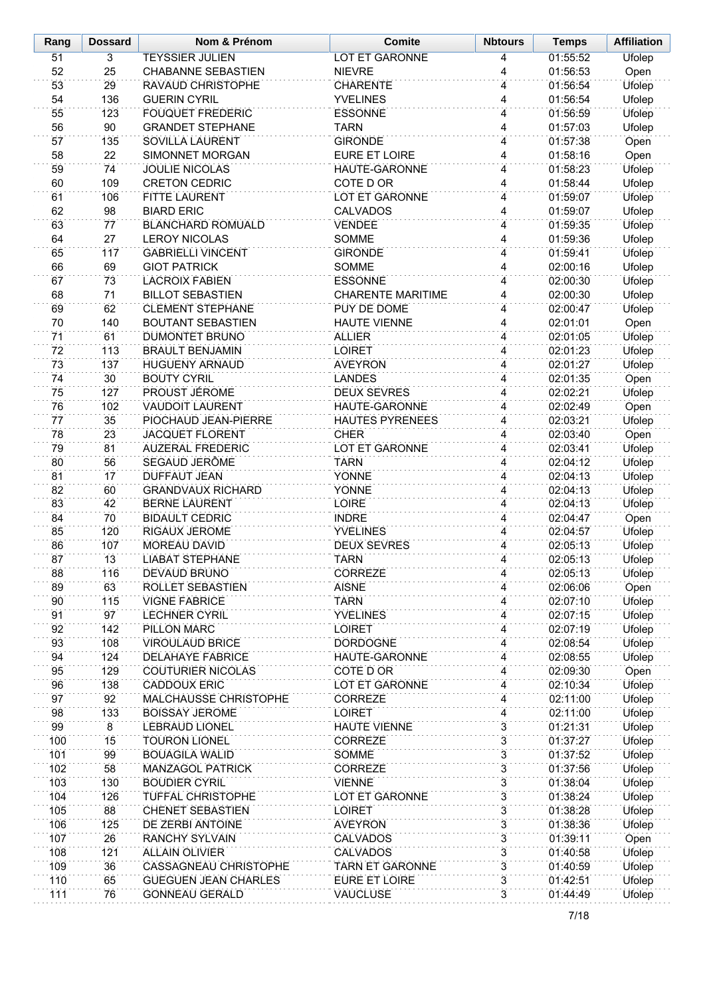| Rang       | <b>Dossard</b>  | Nom & Prénom                                         | <b>Comite</b>                    | <b>Nbtours</b>                   | <b>Temps</b>         | <b>Affiliation</b> |
|------------|-----------------|------------------------------------------------------|----------------------------------|----------------------------------|----------------------|--------------------|
| 51         | 3               | <b>TEYSSIER JULIEN</b>                               | <b>LOT ET GARONNE</b>            | 4                                | 01:55:52             | <b>Ufolep</b>      |
| 52         | 25              | <b>CHABANNE SEBASTIEN</b>                            | <b>NIEVRE</b>                    | 4                                | 01:56:53             | Open               |
| 53         | 29              | RAVAUD CHRISTOPHE                                    | <b>CHARENTE</b>                  | 4                                | 01:56:54             | Ufolep             |
| 54         | 136             | <b>GUERIN CYRIL</b>                                  | <b>YVELINES</b>                  | 4                                | 01:56:54             | Ufolep             |
| 55         | 123             | <b>FOUQUET FREDERIC</b>                              | <b>ESSONNE</b>                   | 4                                | 01:56:59             | Ufolep             |
| 56         | 90              | <b>GRANDET STEPHANE</b>                              | <b>TARN</b>                      | 4                                | 01:57:03             | Ufolep             |
| 57         | 135             | <b>SOVILLA LAURENT</b>                               | <b>GIRONDE</b>                   | 4                                | 01:57:38             | Open               |
| 58         | 22              | SIMONNET MORGAN                                      | <b>EURE ET LOIRE</b>             | 4                                | 01:58:16             | Open               |
| 59         | 74              | <b>JOULIE NICOLAS</b>                                | <b>HAUTE-GARONNE</b>             | 4                                | 01:58:23             | Ufolep             |
| 60         | 109             | <b>CRETON CEDRIC</b>                                 | COTE D OR                        | 4                                | 01:58:44             | Ufolep             |
| 61         | 106             | <b>FITTE LAURENT</b>                                 | <b>LOT ET GARONNE</b>            | 4                                | 01:59:07             | Ufolep             |
| 62         | 98              | <b>BIARD ERIC</b><br><b>BLANCHARD ROMUALD</b>        | <b>CALVADOS</b><br><b>VENDEE</b> | 4<br>4                           | 01:59:07<br>01:59:35 | Ufolep             |
| 63<br>64   | 77<br>27        | <b>LEROY NICOLAS</b>                                 | SOMME                            | 4                                | 01:59:36             | Ufolep<br>Ufolep   |
| 65         | 117             | <b>GABRIELLI VINCENT</b>                             | <b>GIRONDE</b>                   | 4                                | 01:59:41             | <b>Ufolep</b>      |
| 66         | 69              | <b>GIOT PATRICK</b>                                  | SOMME                            | 4                                | 02:00:16             | Ufolep             |
| 67         | 73              | <b>LACROIX FABIEN</b>                                | <b>ESSONNE</b>                   | 4                                | 02:00:30             | <b>Ufolep</b>      |
| 68         | 71              | <b>BILLOT SEBASTIEN</b>                              | <b>CHARENTE MARITIME</b>         | 4                                | 02:00:30             | Ufolep             |
| 69         | 62              | <b>CLEMENT STEPHANE</b>                              | PUY DE DOME                      | 4                                | 02:00:47             | Ufolep             |
| 70         | 140             | <b>BOUTANT SEBASTIEN</b>                             | <b>HAUTE VIENNE</b>              | 4                                | 02:01:01             | Open               |
| 71         | 61              | <b>DUMONTET BRUNO</b>                                | <b>ALLIER</b>                    | 4                                | 02:01:05             | Ufolep             |
| 72         | 113             | <b>BRAULT BENJAMIN</b>                               | <b>LOIRET</b>                    | 4                                | 02:01:23             | Ufolep             |
| 73         | 137             | <b>HUGUENY ARNAUD</b>                                | <b>AVEYRON</b>                   | 4                                | 02:01:27             | <b>Ufolep</b>      |
| 74         | 30              | <b>BOUTY CYRIL</b>                                   | <b>LANDES</b>                    | 4                                | 02:01:35             | Open               |
| 75         | 127             | PROUST JÉROME                                        | <b>DEUX SEVRES</b>               | 4                                | 02:02:21             | Ufolep             |
| 76         | 102             | <b>VAUDOIT LAURENT</b>                               | HAUTE-GARONNE                    | 4                                | 02:02:49             | Open               |
| 77         | 35              | PIOCHAUD JEAN-PIERRE                                 | <b>HAUTES PYRENEES</b>           | 4                                | 02:03:21             | Ufolep             |
| 78         | 23              | <b>JACQUET FLORENT</b>                               | <b>CHER</b>                      | 4                                | 02:03:40             | Open               |
| 79         | 81              | <b>AUZERAL FREDERIC</b>                              | LOT ET GARONNE                   | 4                                | 02:03:41             | Ufolep             |
| 80         | 56              | SEGAUD JERÔME                                        | <b>TARN</b>                      | 4                                | 02:04:12             | Ufolep             |
| 81         | $\overline{17}$ | <b>DUFFAUT JEAN</b>                                  | YONNE                            | $\overline{4}$                   | 02:04:13             | Ufolep             |
| 82         | 60              | <b>GRANDVAUX RICHARD</b>                             | YONNE                            | 4                                | 02:04:13             | Ufolep             |
| 83         | 42              | <b>BERNE LAURENT</b>                                 | <b>LOIRE</b>                     | $\overline{4}$                   | 02:04:13             | Ufolep             |
| 84         | 70              | <b>BIDAULT CEDRIC</b>                                | <b>INDRE</b>                     | 4                                | 02:04:47             | Open               |
| 85         | 120             | RIGAUX JEROME                                        | <b>YVELINES</b>                  | 4                                | 02:04:57             | Ufolep             |
| 86         | 107             | <b>MOREAU DAVID</b>                                  | <b>DEUX SEVRES</b>               | 4                                | 02:05:13             | Ufolep             |
| 87<br>88   | 13<br>116       | <b>LIABAT STEPHANE</b><br>DEVAUD BRUNO               | <b>TARN</b><br>CORREZE           | 4<br>4                           | 02:05:13<br>02:05:13 | Ufolep<br>Ufolep   |
| 89         | 63              | ROLLET SEBASTIEN                                     | <b>AISNE</b>                     | 4                                | 02:06:06             | Open               |
| 90         | 115             | <b>VIGNE FABRICE</b>                                 | <b>TARN</b>                      | 4                                | 02:07:10             | Ufolep             |
| 91         | 97              | <b>LECHNER CYRIL</b>                                 | <b>YVELINES</b>                  | 4                                | 02:07:15             | <b>Ufolep</b>      |
| 92         | 142             | PILLON MARC                                          | <b>LOIRET</b>                    | 4                                | 02:07:19             | Ufolep             |
| 93         | 108             | VIROULAUD BRICE                                      | <b>DORDOGNE</b>                  | 4                                | 02:08:54             | <b>Ufolep</b>      |
| 94         | 124             | <b>DELAHAYE FABRICE</b>                              | HAUTE-GARONNE                    | 4                                | 02:08:55             | Ufolep             |
| 95         | 129             | <b>COUTURIER NICOLAS</b>                             | <b>COTE D OR</b>                 | 4                                | 02:09:30             | Open               |
| 96         | 138             | <b>CADDOUX ERIC</b>                                  | <b>LOT ET GARONNE</b>            | 4                                | 02:10:34             | Ufolep             |
| 97         | 92              | MALCHAUSSE CHRISTOPHE                                | <b>CORREZE</b>                   | 4                                | 02:11:00             | <b>Ufolep</b>      |
| 98         | 133             | <b>BOISSAY JEROME</b>                                | <b>LOIRET</b>                    | 4                                | 02:11:00             | <b>Ufolep</b>      |
| 99         | $\overline{8}$  | <b>LEBRAUD LIONEL</b>                                | <b>HAUTE VIENNE</b>              | $\overline{3}$                   | 01:21:31             | Ufolep             |
| 100        | 15              | <b>TOURON LIONEL</b>                                 | <b>CORREZE</b>                   | 3                                | 01:37:27             | Ufolep             |
| 101        | 99              | <b>BOUAGILA WALID</b>                                | <b>SOMME</b>                     | $\overline{3}$                   | 01:37:52             | Ufolep             |
| 102        | 58              | <b>MANZAGOL PATRICK</b>                              | <b>CORREZE</b>                   | 3                                | 01:37:56             | Ufolep             |
| 103        | 130             | <b>BOUDIER CYRIL</b>                                 | <b>VIENNE</b>                    | $\overline{3}$                   | 01:38:04             | Ufolep             |
| 104        | 126             | <b>TUFFAL CHRISTOPHE</b>                             | LOT ET GARONNE                   | 3                                | 01:38:24             | Ufolep             |
| 105        | 88              | <b>CHENET SEBASTIEN</b>                              | <b>LOIRET</b>                    | $\overline{3}$                   | 01:38:28             | Ufolep             |
| 106        | 125             | DE ZERBI ANTOINE                                     | <b>AVEYRON</b>                   | 3                                | 01:38:36             | Ufolep             |
| 107        | 26              | <b>RANCHY SYLVAIN</b>                                | <b>CALVADOS</b>                  | $\overline{3}$                   | 01:39:11             | Open               |
| 108        | 121             | <b>ALLAIN OLIVIER</b>                                | <b>CALVADOS</b>                  | 3                                | 01:40:58             | Ufolep             |
| 109        | 36              | CASSAGNEAU CHRISTOPHE                                | <b>TARN ET GARONNE</b>           | $\overline{3}$<br>$\overline{3}$ | 01:40:59             | Ufolep             |
| 110<br>111 | 65<br>76        | <b>GUEGUEN JEAN CHARLES</b><br><b>GONNEAU GERALD</b> | EURE ET LOIRE<br><b>VAUCLUSE</b> | $\overline{3}$                   | 01:42:51<br>01:44:49 | Ufolep<br>Ufolep   |
|            |                 |                                                      |                                  |                                  |                      |                    |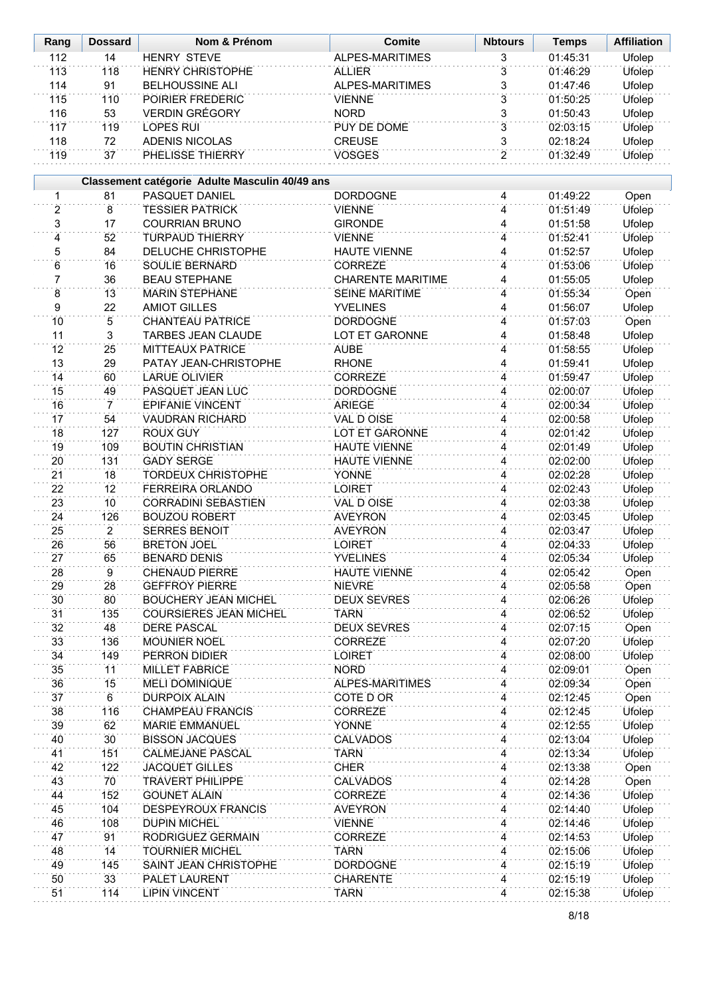| Rang            | <b>Dossard</b>       | Nom & Prénom                                   | <b>Comite</b>                          | <b>Nbtours</b> | <b>Temps</b>         | <b>Affiliation</b> |
|-----------------|----------------------|------------------------------------------------|----------------------------------------|----------------|----------------------|--------------------|
| 112             | 14                   | <b>HENRY STEVE</b>                             | <b>ALPES-MARITIMES</b>                 | 3              | 01:45:31             | <b>Ufolep</b>      |
| 113             | 118                  | <b>HENRY CHRISTOPHE</b>                        | <b>ALLIER</b>                          | $\overline{3}$ | 01:46:29             | Ufolep             |
| 114             | 91                   | <b>BELHOUSSINE ALI</b>                         | ALPES-MARITIMES                        | 3              | 01:47:46             | Ufolep             |
| 115             | 110                  | POIRIER FREDERIC                               | <b>VIENNE</b>                          | $\overline{3}$ | 01:50:25             | <b>Ufolep</b>      |
| 116             | 53                   | <b>VERDIN GRÉGORY</b>                          | <b>NORD</b>                            | 3              | 01:50:43             | Ufolep             |
| 117             | 119                  | <b>LOPES RUI</b>                               | PUY DE DOME                            | $\overline{3}$ | 02:03:15             | <b>Ufolep</b>      |
| 118             | 72                   | <b>ADENIS NICOLAS</b>                          | <b>CREUSE</b>                          | 3              | 02:18:24             | Ufolep             |
| 119             | 37                   | PHELISSE THIERRY                               | <b>VOSGES</b>                          | $\overline{2}$ | 01:32:49             | <b>Ufolep</b>      |
|                 |                      |                                                |                                        |                |                      |                    |
|                 |                      | Classement catégorie Adulte Masculin 40/49 ans |                                        |                |                      |                    |
| 1               | 81                   | PASQUET DANIEL                                 | <b>DORDOGNE</b>                        | 4              | 01:49:22             | Open               |
| $\overline{2}$  | 8                    | <b>TESSIER PATRICK</b>                         | <b>VIENNE</b>                          | 4              | 01:51:49             | <b>Ufolep</b>      |
| $\overline{3}$  | 17                   | <b>COURRIAN BRUNO</b>                          | <b>GIRONDE</b>                         | 4              | 01:51:58             | Ufolep             |
| $\overline{4}$  | 52                   | <b>TURPAUD THIERRY</b>                         | <b>VIENNE</b>                          | 4              | 01:52:41             | Ufolep             |
| 5               | 84                   | <b>DELUCHE CHRISTOPHE</b>                      | <b>HAUTE VIENNE</b>                    | 4              | 01:52:57             | <b>Ufolep</b>      |
| 6               | 16                   | <b>SOULIE BERNARD</b>                          | <b>CORREZE</b>                         | 4              | 01:53:06             | <b>Ufolep</b>      |
| 7               | 36                   | <b>BEAU STEPHANE</b>                           | <b>CHARENTE MARITIME</b>               | 4              | 01:55:05             | <b>Ufolep</b>      |
| $\overline{8}$  | 13                   | <b>MARIN STEPHANE</b>                          | <b>SEINE MARITIME</b>                  | 4              | 01:55:34             | Open               |
| 9               | 22                   | <b>AMIOT GILLES</b>                            | <b>YVELINES</b>                        | 4              | 01:56:07             | Ufolep             |
| $\overline{10}$ | $\overline{5}$       | <b>CHANTEAU PATRICE</b>                        | <b>DORDOGNE</b>                        | 4              | 01:57:03             | Open               |
| 11              | 3                    | TARBES JEAN CLAUDE                             | LOT ET GARONNE                         | 4              | 01:58:48             | Ufolep             |
| $\overline{12}$ | 25                   | <b>MITTEAUX PATRICE</b>                        | <b>AUBE</b>                            | 4              | 01:58:55             | <b>Ufolep</b>      |
| 13              | 29                   | PATAY JEAN-CHRISTOPHE                          | <b>RHONE</b>                           | 4              | 01:59:41             | Ufolep             |
| 14              | 60                   | <b>LARUE OLIVIER</b>                           | <b>CORREZE</b>                         | 4              | 01:59:47             | <b>Ufolep</b>      |
| 15              | 49                   | PASQUET JEAN LUC                               | <b>DORDOGNE</b>                        | 4              | 02:00:07             | Ufolep             |
| 16              | $\overline{7}$       | EPIFANIE VINCENT                               | <b>ARIEGE</b>                          | $\overline{4}$ | 02:00:34             | <b>Ufolep</b>      |
| 17              | 54                   | <b>VAUDRAN RICHARD</b>                         | VAL D OISE                             | $\overline{4}$ | 02:00:58             | Ufolep             |
| 18              | 127                  | <b>ROUX GUY</b>                                | <b>LOT ET GARONNE</b>                  | $\overline{4}$ | 02:01:42             | <b>Ufolep</b>      |
| 19              | 109                  | <b>BOUTIN CHRISTIAN</b>                        | <b>HAUTE VIENNE</b>                    | 4              | 02:01:49             | Ufolep             |
| 20              | 131                  | <b>GADY SERGE</b>                              | <b>HAUTE VIENNE</b>                    | $\overline{4}$ | 02:02:00             | Ufolep             |
| $\overline{21}$ | 18                   | <b>TORDEUX CHRISTOPHE</b>                      | <b>YONNE</b>                           | $\overline{4}$ | 02:02:28             | Ufolep             |
| 22              | 12                   | <b>FERREIRA ORLANDO</b>                        | <b>LOIRET</b>                          | 4              | 02:02:43             | Ufolep             |
| 23              | 10                   | <b>CORRADINI SEBASTIEN</b>                     | VAL D OISE                             | 4              | 02:03:38             | Ufolep             |
| 24              | 126                  | <b>BOUZOU ROBERT</b>                           | <b>AVEYRON</b>                         | 4              | 02:03:45             | Ufolep             |
| 25              | $\overline{2}$       | <b>SERRES BENOIT</b>                           | <b>AVEYRON</b>                         | 4              | 02:03:47             | Ufolep             |
| 26              | 56                   | <b>BRETON JOEL</b>                             | <b>LOIRET</b>                          | 4              | 02:04:33             | <b>Ufolep</b>      |
| 27              | 65<br>$\overline{9}$ | <b>BENARD DENIS</b><br><b>CHENAUD PIERRE</b>   | <b>YVELINES</b><br><b>HAUTE VIENNE</b> | 4              | 02:05:34             | Ufolep             |
| 28              |                      | <b>GEFFROY PIERRE</b>                          |                                        | 4              | 02:05:42             | Open               |
| 29<br>30        | 28<br>80             | <b>BOUCHERY JEAN MICHEL</b>                    | <b>NIEVRE</b><br><b>DEUX SEVRES</b>    | 4<br>4         | 02:05:58<br>02:06:26 | Open               |
|                 |                      |                                                |                                        |                |                      | Ufolep             |
| 31<br>32        | 135<br>48            | <b>COURSIERES JEAN MICHEL</b><br>DERE PASCAL   | <b>TARN</b><br><b>DEUX SEVRES</b>      | 4<br>4         | 02:06:52<br>02:07:15 | Ufolep<br>Open     |
| 33              | 136                  | <b>MOUNIER NOEL</b>                            | <b>CORREZE</b>                         | 4              | 02:07:20             | Ufolep             |
| 34              | 149                  | <b>PERRON DIDIER</b>                           | <b>LOIRET</b>                          | 4              | 02:08:00             | Ufolep             |
| 35              | 11                   | <b>MILLET FABRICE</b>                          | <b>NORD</b>                            | 4              | 02:09:01             | Open               |
| 36              | 15                   | <b>MELI DOMINIQUE</b>                          | <b>ALPES-MARITIMES</b>                 | 4              | 02:09:34             | Open               |
| 37              | $\,6\,$              | <b>DURPOIX ALAIN</b>                           | COTE D OR                              | 4              | 02:12:45             | Open               |
| 38              | 116                  | <b>CHAMPEAU FRANCIS</b>                        | <b>CORREZE</b>                         | 4              | 02:12:45             | Ufolep             |
| 39              | 62                   | <b>MARIE EMMANUEL</b>                          | <b>YONNE</b>                           | 4              | 02:12:55             | Ufolep             |
| 40              | 30 <sup>2</sup>      | <b>BISSON JACQUES</b>                          | <b>CALVADOS</b>                        | 4              | 02:13:04             | <b>Ufolep</b>      |
| 41              | 151                  | <b>CALMEJANE PASCAL</b>                        | <b>TARN</b>                            | 4              | 02:13:34             | Ufolep             |
| 42              | 122                  | <b>JACQUET GILLES</b>                          | <b>CHER</b>                            | 4              | 02:13:38             | Open               |
| 43              | 70                   | <b>TRAVERT PHILIPPE</b>                        | <b>CALVADOS</b>                        | 4              | 02:14:28             | Open               |
| 44              | 152                  | <b>GOUNET ALAIN</b>                            | <b>CORREZE</b>                         | 4              | 02:14:36             | Ufolep             |
| 45              | 104                  | DESPEYROUX FRANCIS                             | <b>AVEYRON</b>                         | 4              | 02:14:40             | Ufolep             |
| 46              | 108                  | <b>DUPIN MICHEL</b>                            | <b>VIENNE</b>                          | $\overline{4}$ | 02:14:46             | Ufolep             |
| 47              | 91                   | RODRIGUEZ GERMAIN                              | <b>CORREZE</b>                         | 4              | 02:14:53             | Ufolep             |
| 48              | 14                   | <b>TOURNIER MICHEL</b>                         | <b>TARN</b>                            | 4              | 02:15:06             | Ufolep             |
| 49              | 145                  | SAINT JEAN CHRISTOPHE                          | <b>DORDOGNE</b>                        | 4              | 02:15:19             | Ufolep             |
| 50              | 33                   | PALET LAURENT                                  | <b>CHARENTE</b>                        | 4              | 02:15:19             | Ufolep             |
| 51              | 114                  | <b>LIPIN VINCENT</b>                           | <b>TARN</b>                            | 4              | 02:15:38             | Ufolep             |
|                 |                      |                                                |                                        |                |                      |                    |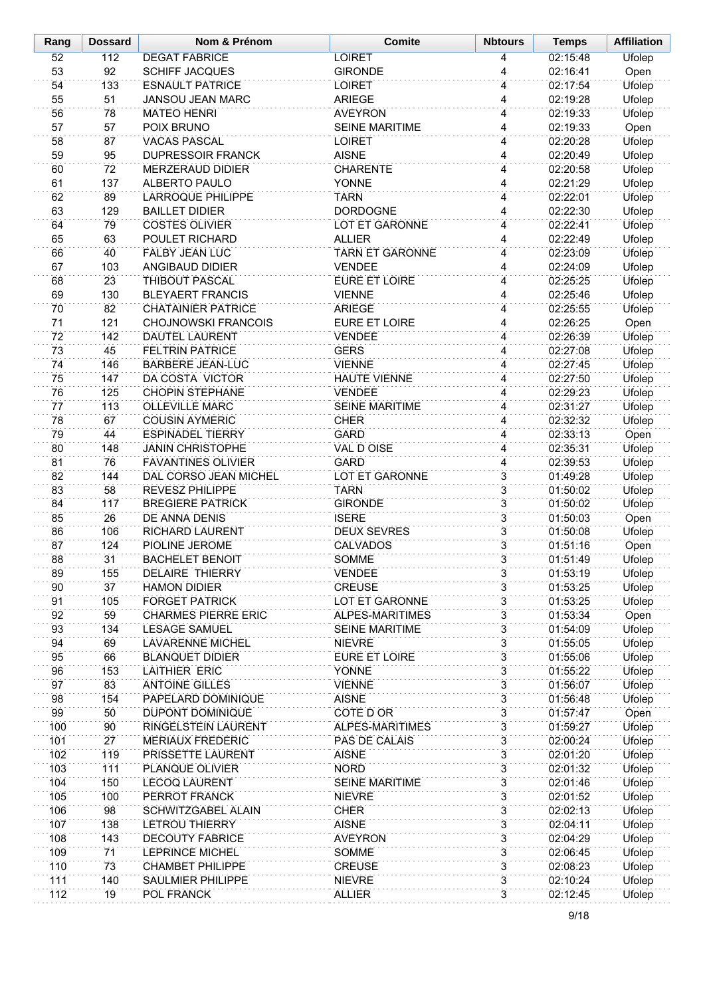| Rang     | <b>Dossard</b> | Nom & Prénom                                     | <b>Comite</b>                     | <b>Nbtours</b> | <b>Temps</b>         | <b>Affiliation</b>      |
|----------|----------------|--------------------------------------------------|-----------------------------------|----------------|----------------------|-------------------------|
| 52       | 112            | <b>DEGAT FABRICE</b>                             | <b>LOIRET</b>                     | 4              | 02:15:48             | Ufolep                  |
| 53       | 92             | <b>SCHIFF JACQUES</b>                            | <b>GIRONDE</b>                    | 4              | 02:16:41             | Open                    |
| 54       | 133            | <b>ESNAULT PATRICE</b>                           | <b>LOIRET</b>                     | 4              | 02:17:54             | Ufolep                  |
| 55       | 51             | <b>JANSOU JEAN MARC</b>                          | <b>ARIEGE</b>                     | 4              | 02:19:28             | Ufolep                  |
| 56       | 78             | <b>MATEO HENRI</b>                               | <b>AVEYRON</b>                    | 4              | 02:19:33             | Ufolep                  |
| 57       | 57             | POIX BRUNO                                       | <b>SEINE MARITIME</b>             | 4              | 02:19:33             | Open                    |
| 58       | 87             | <b>VACAS PASCAL</b>                              | <b>LOIRET</b>                     | 4              | 02:20:28             | Ufolep                  |
| 59       | 95             | <b>DUPRESSOIR FRANCK</b>                         | <b>AISNE</b>                      | 4              | 02:20:49             | Ufolep                  |
| 60       | 72             | MERZERAUD DIDIER                                 | <b>CHARENTE</b>                   | 4              | 02:20:58             | Ufolep                  |
| 61       | 137            | ALBERTO PAULO                                    | YONNE                             | 4              | 02:21:29             | Ufolep                  |
| 62       | 89             | <b>LARROQUE PHILIPPE</b>                         | <b>TARN</b>                       | 4              | 02:22:01             | Ufolep                  |
| 63<br>64 | 129<br>79      | <b>BAILLET DIDIER</b><br><b>COSTES OLIVIER</b>   | <b>DORDOGNE</b><br>LOT ET GARONNE | 4<br>4         | 02:22:30<br>02:22:41 | Ufolep                  |
| 65       | 63             | POULET RICHARD                                   | <b>ALLIER</b>                     | 4              | 02:22:49             | Ufolep<br>Ufolep        |
| 66       | 40             | <b>FALBY JEAN LUC</b>                            | <b>TARN ET GARONNE</b>            | 4              | 02:23:09             | Ufolep                  |
| 67       | 103            | ANGIBAUD DIDIER                                  | <b>VENDEE</b>                     | 4              | 02:24:09             | Ufolep                  |
| 68       | 23             | THIBOUT PASCAL                                   | <b>EURE ET LOIRE</b>              | 4              | 02:25:25             | Ufolep                  |
| 69       | 130            | <b>BLEYAERT FRANCIS</b>                          | <b>VIENNE</b>                     | 4              | 02:25:46             | Ufolep                  |
| 70       | 82             | <b>CHATAINIER PATRICE</b>                        | <b>ARIEGE</b>                     | 4              | 02:25:55             | Ufolep                  |
| 71       | 121            | <b>CHOJNOWSKI FRANCOIS</b>                       | <b>EURE ET LOIRE</b>              | 4              | 02:26:25             | Open                    |
| 72       | 142            | <b>DAUTEL LAURENT</b>                            | <b>VENDEE</b>                     | 4              | 02:26:39             | Ufolep                  |
| 73       | 45             | <b>FELTRIN PATRICE</b>                           | <b>GERS</b>                       | 4              | 02:27:08             | Ufolep                  |
| 74       | 146            | <b>BARBERE JEAN-LUC</b>                          | <b>VIENNE</b>                     | 4              | 02:27:45             | Ufolep                  |
| 75       | 147            | DA COSTA VICTOR                                  | <b>HAUTE VIENNE</b>               | 4              | 02:27:50             | Ufolep                  |
| 76       | 125            | <b>CHOPIN STEPHANE</b>                           | <b>VENDEE</b>                     | 4              | 02:29:23             | Ufolep                  |
| 77       | 113            | <b>OLLEVILLE MARC</b>                            | <b>SEINE MARITIME</b>             | 4              | 02:31:27             | Ufolep                  |
| 78       | 67             | <b>COUSIN AYMERIC</b>                            | <b>CHER</b>                       | 4              | 02:32:32             | Ufolep                  |
| 79       | 44             | <b>ESPINADEL TIERRY</b>                          | <b>GARD</b>                       | 4              | 02:33:13             | Open                    |
| 80       | 148            | <b>JANIN CHRISTOPHE</b>                          | <b>VAL D OISE</b>                 | 4              | 02:35:31             | Ufolep                  |
| 81       | 76             | <b>FAVANTINES OLIVIER</b>                        | <b>GARD</b>                       | 4              | 02:39:53             | Ufolep                  |
| 82       | 144            | DAL CORSO JEAN MICHEL                            | <b>LOT ET GARONNE</b>             | $\overline{3}$ | 01:49:28             | Ufolep                  |
| 83       | 58             | REVESZ PHILIPPE                                  | <b>TARN</b>                       | $\overline{3}$ | 01:50:02             | Ufolep                  |
| 84       | 117            | <b>BREGIERE PATRICK</b>                          | <b>GIRONDE</b>                    | $\overline{3}$ | 01:50:02             | Ufolep                  |
| 85       | 26             | DE ANNA DENIS                                    | <b>ISERE</b>                      | $\overline{3}$ | 01:50:03             | Open                    |
| 86       | 106            | RICHARD LAURENT                                  | <b>DEUX SEVRES</b>                | $\overline{3}$ | 01:50:08             | Ufolep                  |
| 87       | 124            | PIOLINE JEROME                                   | <b>CALVADOS</b>                   | $\overline{3}$ | 01:51:16             | Open                    |
| 88<br>89 | 31<br>155      | <b>BACHELET BENOIT</b><br><b>DELAIRE THIERRY</b> | SOMME                             | 3              | 01:51:49<br>01:53:19 | Ufolep                  |
| 90       | 37             | <b>HAMON DIDIER</b>                              | <b>VENDEE</b><br><b>CREUSE</b>    | 3<br>3         | 01:53:25             | Ufolep<br><b>Ufolep</b> |
| 91       | 105            | <b>FORGET PATRICK</b>                            | LOT ET GARONNE                    | 3              | 01:53:25             | Ufolep                  |
| 92       | 59             | <b>CHARMES PIERRE ERIC</b>                       | ALPES-MARITIMES                   | $\overline{3}$ | 01:53:34             | Open                    |
| 93       | 134            | <b>LESAGE SAMUEL</b>                             | <b>SEINE MARITIME</b>             | 3              | 01:54:09             | Ufolep                  |
| 94       | 69             | <b>LAVARENNE MICHEL</b>                          | <b>NIEVRE</b>                     | $\overline{3}$ | 01:55:05             | <b>Ufolep</b>           |
| 95       | 66             | <b>BLANQUET DIDIER</b>                           | EURE ET LOIRE                     | 3              | 01:55:06             | Ufolep                  |
| 96       | 153            | <b>LAITHIER ERIC</b>                             | <b>YONNE</b>                      | 3              | 01:55:22             | Ufolep                  |
| 97       | 83             | <b>ANTOINE GILLES</b>                            | <b>VIENNE</b>                     | 3              | 01:56:07             | Ufolep                  |
| 98       | 154            | PAPELARD DOMINIQUE                               | <b>AISNE</b>                      | 3              | 01:56:48             | <b>Ufolep</b>           |
| 99       | 50             | DUPONT DOMINIQUE                                 | <b>COTE D OR</b>                  | 3              | 01:57:47             | Open                    |
| 100      | 90             | RINGELSTEIN LAURENT                              | <b>ALPES-MARITIMES</b>            | 3              | 01:59:27             | Ufolep                  |
| 101      | 27             | <b>MERIAUX FREDERIC</b>                          | PAS DE CALAIS                     | $\overline{3}$ | 02:00:24             | <b>Ufolep</b>           |
| 102      | 119            | PRISSETTE LAURENT                                | <b>AISNE</b>                      | $\overline{3}$ | 02:01:20             | Ufolep                  |
| 103      | 111            | PLANQUE OLIVIER                                  | <b>NORD</b>                       | 3              | 02:01:32             | Ufolep                  |
| 104      | 150            | <b>LECOQ LAURENT</b>                             | <b>SEINE MARITIME</b>             | $\overline{3}$ | 02:01:46             | Ufolep                  |
| 105      | 100            | PERROT FRANCK                                    | <b>NIEVRE</b>                     | 3              | 02:01:52             | Ufolep                  |
| 106      | 98             | SCHWITZGABEL ALAIN                               | <b>CHER</b>                       | $\overline{3}$ | 02:02:13             | Ufolep                  |
| 107      | 138            | <b>LETROU THIERRY</b>                            | <b>AISNE</b>                      | $\overline{3}$ | 02:04:11             | Ufolep                  |
| 108      | 143            | <b>DECOUTY FABRICE</b>                           | <b>AVEYRON</b>                    | $\overline{3}$ | 02:04:29             | Ufolep                  |
| 109      | 71             | <b>LEPRINCE MICHEL</b>                           | SOMME                             | 3              | 02:06:45             | Ufolep                  |
| 110      | 73             | <b>CHAMBET PHILIPPE</b>                          | <b>CREUSE</b>                     | $\overline{3}$ | 02:08:23             | Ufolep                  |
| 111      | 140            | <b>SAULMIER PHILIPPE</b>                         | <b>NIEVRE</b>                     | $\overline{3}$ | 02:10:24             | Ufolep                  |
| 112      | 19             | POL FRANCK                                       | <b>ALLIER</b>                     | $\overline{3}$ | 02:12:45             | <b>Ufolep</b>           |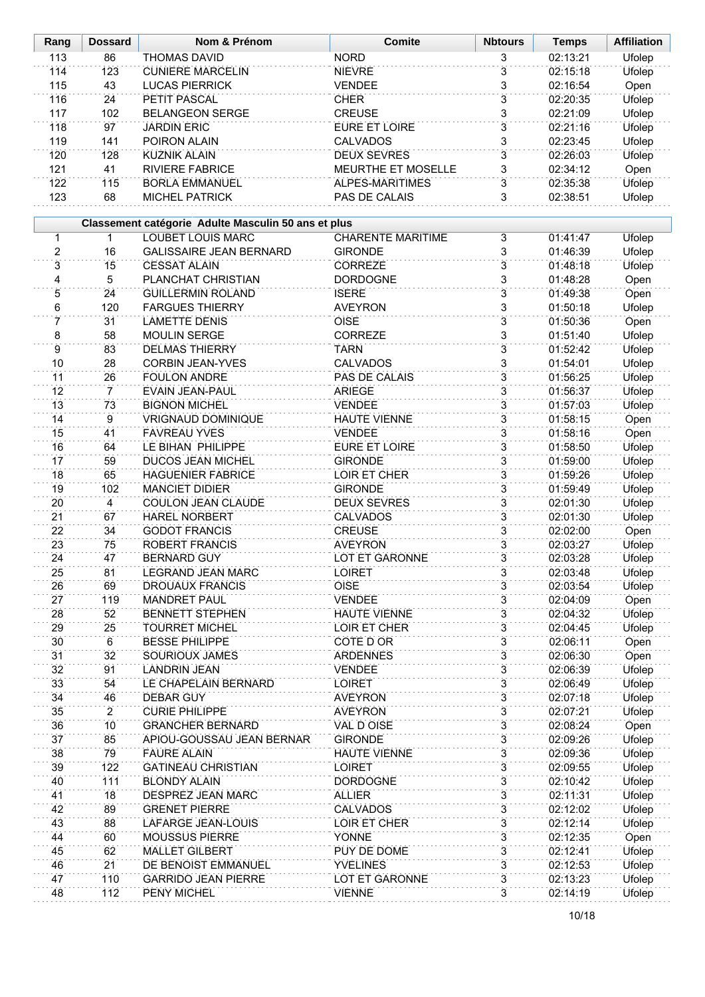| Rang            | <b>Dossard</b> | Nom & Prénom                                        | <b>Comite</b>                        | <b>Nbtours</b>                   | <b>Temps</b>         | <b>Affiliation</b>      |
|-----------------|----------------|-----------------------------------------------------|--------------------------------------|----------------------------------|----------------------|-------------------------|
| 113             | 86             | <b>THOMAS DAVID</b>                                 | <b>NORD</b>                          | 3                                | 02:13:21             | <b>Ufolep</b>           |
| 114             | 123            | <b>CUNIERE MARCELIN</b>                             | <b>NIEVRE</b>                        | $\overline{3}$                   | 02:15:18             | <b>Ufolep</b>           |
| 115             | 43             | <b>LUCAS PIERRICK</b>                               | <b>VENDEE</b>                        | 3                                | 02:16:54             | Open                    |
| 116             | 24             | PETIT PASCAL                                        | <b>CHER</b>                          | 3                                | 02:20:35             | Ufolep                  |
| 117             | 102            | <b>BELANGEON SERGE</b>                              | <b>CREUSE</b>                        | 3                                | 02:21:09             | Ufolep                  |
| 118             | 97             | <b>JARDIN ERIC</b>                                  | <b>EURE ET LOIRE</b>                 | $\overline{3}$                   | 02:21:16             | <b>Ufolep</b>           |
| 119             | 141            | POIRON ALAIN                                        | <b>CALVADOS</b>                      | 3                                | 02:23:45             | Ufolep                  |
| 120             | 128            | <b>KUZNIK ALAIN</b>                                 | <b>DEUX SEVRES</b>                   | $\overline{3}$                   | 02:26:03             | <b>Ufolep</b>           |
| 121             | 41             | <b>RIVIERE FABRICE</b>                              | MEURTHE ET MOSELLE                   | 3                                | 02:34:12             | Open                    |
| 122             | 115            | <b>BORLA EMMANUEL</b>                               | ALPES-MARITIMES                      | 3                                | 02:35:38             | Ufolep                  |
| 123             | 68             | MICHEL PATRICK                                      | PAS DE CALAIS                        | $\overline{3}$                   | 02:38:51             | Ufolep                  |
|                 |                |                                                     |                                      |                                  |                      |                         |
|                 |                | Classement catégorie Adulte Masculin 50 ans et plus |                                      |                                  |                      |                         |
| 1               | $\mathbf 1$    | <b>LOUBET LOUIS MARC</b>                            | <b>CHARENTE MARITIME</b>             | $\overline{3}$                   | 01:41:47             | <b>Ufolep</b>           |
| $\overline{2}$  | 16             | <b>GALISSAIRE JEAN BERNARD</b>                      | <b>GIRONDE</b>                       | 3                                | 01:46:39             | <b>Ufolep</b>           |
| $\overline{3}$  | 15             | <b>CESSAT ALAIN</b>                                 | <b>CORREZE</b>                       | $\overline{3}$                   | 01:48:18             | Ufolep                  |
| $\overline{4}$  | $\overline{5}$ | PLANCHAT CHRISTIAN                                  | <b>DORDOGNE</b>                      | $\overline{3}$                   | 01:48:28             | Open                    |
| $\overline{5}$  | 24             | <b>GUILLERMIN ROLAND</b>                            | <b>ISERE</b>                         | $\overline{3}$                   | 01:49:38             | Open                    |
| 6               | 120            | <b>FARGUES THIERRY</b>                              | <b>AVEYRON</b>                       | 3                                | 01:50:18             | Ufolep                  |
| 7               | 31             | <b>LAMETTE DENIS</b>                                | <b>OISE</b>                          | $\overline{3}$                   | 01:50:36             | Open                    |
| 8               | 58             | <b>MOULIN SERGE</b>                                 | CORREZE                              | 3                                | 01:51:40             | Ufolep                  |
| $\overline{9}$  | 83             | <b>DELMAS THIERRY</b>                               | <b>TARN</b>                          | 3                                | 01:52:42             | <b>Ufolep</b>           |
| 10              | 28             | <b>CORBIN JEAN-YVES</b>                             | <b>CALVADOS</b>                      | $\overline{3}$                   | 01:54:01             | Ufolep                  |
| $\overline{11}$ | 26             | <b>FOULON ANDRE</b>                                 | PAS DE CALAIS                        | $\overline{3}$                   | 01:56:25             | Ufolep                  |
| 12              | $\overline{7}$ | EVAIN JEAN-PAUL                                     | <b>ARIEGE</b>                        | $\overline{3}$                   | 01:56:37             | Ufolep                  |
| 13              | 73             | <b>BIGNON MICHEL</b>                                | <b>VENDEE</b>                        | $\overline{3}$                   | 01:57:03             | <b>Ufolep</b>           |
| 14              | $\overline{9}$ | <b>VRIGNAUD DOMINIQUE</b>                           | <b>HAUTE VIENNE</b>                  | 3                                | 01:58:15             | Open                    |
| 15              | 41             | <b>FAVREAU YVES</b>                                 | <b>VENDEE</b>                        | $\overline{3}$                   | 01:58:16             | Open                    |
| 16              | 64             | LE BIHAN PHILIPPE                                   | <b>EURE ET LOIRE</b>                 | $\overline{3}$                   | 01:58:50             | Ufolep                  |
| 17              | 59             | <b>DUCOS JEAN MICHEL</b>                            | <b>GIRONDE</b>                       | $\overline{3}$                   | 01:59:00             | Ufolep                  |
| 18              | 65             | <b>HAGUENIER FABRICE</b>                            | LOIR ET CHER                         | $\overline{3}$                   | 01:59:26             | Ufolep                  |
| 19              | 102            | <b>MANCIET DIDIER</b>                               | <b>GIRONDE</b>                       | $\overline{3}$                   | 01:59:49             | <b>Ufolep</b>           |
| 20              | 4              | COULON JEAN CLAUDE                                  | <b>DEUX SEVRES</b>                   | 3                                | 02:01:30             | Ufolep                  |
| 21              | 67             | <b>HAREL NORBERT</b>                                | <b>CALVADOS</b>                      | 3                                | 02:01:30             | <b>Ufolep</b>           |
| 22              | 34             | <b>GODOT FRANCIS</b>                                | <b>CREUSE</b>                        | 3                                | 02:02:00             | Open                    |
| 23              | 75             | ROBERT FRANCIS                                      | <b>AVEYRON</b>                       | 3                                | 02:03:27             | <b>Ufolep</b>           |
| 24              | 47             | <b>BERNARD GUY</b>                                  | LOT ET GARONNE                       | 3                                | 02:03:28             | Ufolep                  |
| 25              | 81             | <b>LEGRAND JEAN MARC</b>                            | <b>LOIRET</b>                        | 3                                | 02:03:48             | <b>Ufolep</b>           |
| 26              | 69             | <b>DROUAUX FRANCIS</b>                              | OISE                                 | 3                                | 02:03:54             | Ufolep                  |
| 27              | 119            | <b>MANDRET PAUL</b>                                 | <b>VENDEE</b>                        | $\overline{3}$                   | 02:04:09             | Open                    |
| 28              | 52             | <b>BENNETT STEPHEN</b>                              | <b>HAUTE VIENNE</b>                  | 3                                | 02:04:32             | Ufolep                  |
| 29              | 25             | <b>TOURRET MICHEL</b><br><b>BESSE PHILIPPE</b>      | LOIR ET CHER                         | $\overline{3}$<br>$\overline{3}$ | 02:04:45             | Ufolep                  |
| 30              | 6<br>32        |                                                     | COTE D OR                            |                                  | 02:06:11<br>02:06:30 | Open                    |
| 31<br>32        | 91             | <b>SOURIOUX JAMES</b><br><b>LANDRIN JEAN</b>        | <b>ARDENNES</b><br><b>VENDEE</b>     | $\overline{3}$<br>$\overline{3}$ | 02:06:39             | Open                    |
| 33              | 54             | LE CHAPELAIN BERNARD                                | <b>LOIRET</b>                        | 3                                | 02:06:49             | Ufolep<br>Ufolep        |
| 34              | 46             | <b>DEBAR GUY</b>                                    | <b>AVEYRON</b>                       | 3                                | 02:07:18             | Ufolep                  |
| 35              | $\overline{2}$ | <b>CURIE PHILIPPE</b>                               | <b>AVEYRON</b>                       | 3                                | 02:07:21             | <b>Ufolep</b>           |
| 36              | 10             | <b>GRANCHER BERNARD</b>                             | VAL D OISE                           | 3                                | 02:08:24             |                         |
| 37              | 85             | APIOU-GOUSSAU JEAN BERNAR                           | <b>GIRONDE</b>                       | $\overline{3}$                   | 02:09:26             | Open                    |
|                 |                |                                                     |                                      |                                  |                      | Ufolep                  |
| 38<br>39        | 79<br>122      | <b>FAURE ALAIN</b><br><b>GATINEAU CHRISTIAN</b>     | <b>HAUTE VIENNE</b><br><b>LOIRET</b> | 3<br>3                           | 02:09:36<br>02:09:55 | Ufolep<br><b>Ufolep</b> |
| 40              | 111            | <b>BLONDY ALAIN</b>                                 | <b>DORDOGNE</b>                      | 3                                | 02:10:42             | Ufolep                  |
| 41              | 18             | DESPREZ JEAN MARC                                   | <b>ALLIER</b>                        | $\overline{3}$                   | 02:11:31             | <b>Ufolep</b>           |
| 42              | 89             | <b>GRENET PIERRE</b>                                | <b>CALVADOS</b>                      | $\overline{3}$                   | 02:12:02             | Ufolep                  |
| 43              | 88             | LAFARGE JEAN-LOUIS                                  | LOIR ET CHER                         | $\overline{3}$                   | 02:12:14             | Ufolep                  |
| 44              | 60             | <b>MOUSSUS PIERRE</b>                               | YONNE                                | 3                                | 02:12:35             | Open                    |
| 45              | 62             | <b>MALLET GILBERT</b>                               | PUY DE DOME                          | $\overline{3}$                   | 02:12:41             | Ufolep                  |
| 46              | 21             | DE BENOIST EMMANUEL                                 | <b>YVELINES</b>                      | $\overline{3}$                   | 02:12:53             | Ufolep                  |
| 47              | 110            | <b>GARRIDO JEAN PIERRE</b>                          | LOT ET GARONNE                       | $\overline{3}$                   | 02:13:23             | Ufolep                  |
| 48              | 112            | PENY MICHEL                                         | <b>VIENNE</b>                        | 3                                | 02:14:19             | Ufolep                  |
|                 |                |                                                     |                                      |                                  |                      |                         |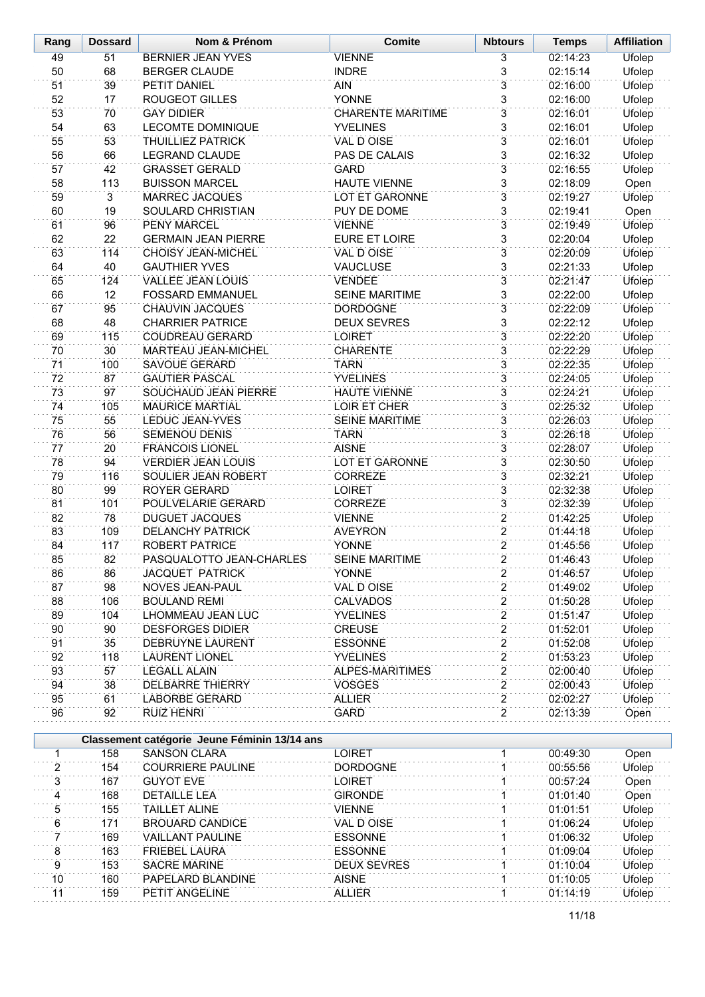| Rang     | <b>Dossard</b>       | Nom & Prénom                                                        | <b>Comite</b>                    | <b>Nbtours</b>                   | <b>Temps</b>         | <b>Affiliation</b>      |
|----------|----------------------|---------------------------------------------------------------------|----------------------------------|----------------------------------|----------------------|-------------------------|
| 49       | 51                   | <b>BERNIER JEAN YVES</b>                                            | <b>VIENNE</b>                    | 3                                | 02:14:23             | <b>Ufolep</b>           |
| 50       | 68                   | <b>BERGER CLAUDE</b>                                                | <b>INDRE</b>                     | $\overline{3}$                   | 02:15:14             | Ufolep                  |
| 51       | 39                   | PETIT DANIEL                                                        | AIN                              | $\overline{3}$                   | 02:16:00             | <b>Ufolep</b>           |
| 52       | 17                   | ROUGEOT GILLES                                                      | <b>YONNE</b>                     | 3                                | 02:16:00             | Ufolep                  |
| 53       | 70                   | <b>GAY DIDIER</b>                                                   | <b>CHARENTE MARITIME</b>         | $\overline{3}$                   | 02:16:01             | <b>Ufolep</b>           |
| 54       | 63                   | <b>LECOMTE DOMINIQUE</b>                                            | <b>YVELINES</b>                  | $\overline{3}$                   | 02:16:01             | Ufolep                  |
| 55       | 53                   | <b>THUILLIEZ PATRICK</b>                                            | <b>VAL D OISE</b>                | $\overline{3}$                   | 02:16:01             | <b>Ufolep</b>           |
| 56       | 66                   | LEGRAND CLAUDE                                                      | PAS DE CALAIS                    | $\overline{3}$                   | 02:16:32             | Ufolep                  |
| 57       | 42                   | <b>GRASSET GERALD</b>                                               | <b>GARD</b>                      | $\overline{3}$                   | 02:16:55             | Ufolep                  |
| 58       | 113                  | <b>BUISSON MARCEL</b><br><b>MARREC JACQUES</b>                      | <b>HAUTE VIENNE</b>              | 3<br>$\overline{3}$              | 02:18:09             | Open                    |
| 59<br>60 | $\overline{3}$<br>19 | SOULARD CHRISTIAN                                                   | LOT ET GARONNE<br>PUY DE DOME    | 3                                | 02:19:27<br>02:19:41 | Ufolep<br>Open          |
| 61       | 96                   | PENY MARCEL                                                         | <b>VIENNE</b>                    | $\overline{3}$                   | 02:19:49             | Ufolep                  |
| 62       | 22                   | <b>GERMAIN JEAN PIERRE</b>                                          | EURE ET LOIRE                    | $\overline{3}$                   | 02:20:04             | Ufolep                  |
| 63       | 114                  | CHOISY JEAN-MICHEL                                                  | VAL D OISE                       | $\overline{3}$                   | 02:20:09             | Ufolep                  |
| 64       | 40                   | <b>GAUTHIER YVES</b>                                                | <b>VAUCLUSE</b>                  | $\overline{3}$                   | 02:21:33             | Ufolep                  |
| 65       | 124                  | <b>VALLEE JEAN LOUIS</b>                                            | <b>VENDEE</b>                    | $\overline{3}$                   | 02:21:47             | <b>Ufolep</b>           |
| 66       | 12                   | <b>FOSSARD EMMANUEL</b>                                             | <b>SEINE MARITIME</b>            | 3                                | 02:22:00             | <b>Ufolep</b>           |
| 67       | 95                   | CHAUVIN JACQUES                                                     | <b>DORDOGNE</b>                  | $\overline{3}$                   | 02:22:09             | <b>Ufolep</b>           |
| 68       | 48                   | <b>CHARRIER PATRICE</b>                                             | <b>DEUX SEVRES</b>               | $\overline{3}$                   | 02:22:12             | Ufolep                  |
| 69       | 115                  | <b>COUDREAU GERARD</b>                                              | <b>LOIRET</b>                    | $\overline{3}$                   | 02:22:20             | Ufolep                  |
| 70       | 30 <sup>2</sup>      | MARTEAU JEAN-MICHEL                                                 | <b>CHARENTE</b>                  | $\overline{3}$                   | 02:22:29             | <b>Ufolep</b>           |
| 71       | 100                  | <b>SAVOUE GERARD</b>                                                | <b>TARN</b>                      | $\overline{3}$                   | 02:22:35             | Ufolep                  |
| 72       | 87                   | <b>GAUTIER PASCAL</b>                                               | <b>YVELINES</b>                  | 3                                | 02:24:05             | Ufolep                  |
| 73       | 97                   | SOUCHAUD JEAN PIERRE                                                | <b>HAUTE VIENNE</b>              | $\overline{3}$                   | 02:24:21             | Ufolep                  |
| 74       | 105                  | <b>MAURICE MARTIAL</b>                                              | LOIR ET CHER                     | 3                                | 02:25:32             | Ufolep                  |
| 75       | 55                   | LEDUC JEAN-YVES                                                     | <b>SEINE MARITIME</b>            | $\overline{3}$                   | 02:26:03             | Ufolep                  |
| 76       | 56                   | <b>SEMENOU DENIS</b>                                                | <b>TARN</b>                      | 3                                | 02:26:18             | Ufolep                  |
| 77       | 20                   | <b>FRANCOIS LIONEL</b>                                              | <b>AISNE</b>                     | $\overline{3}$                   | 02:28:07             | <b>Ufolep</b>           |
| 78       | 94                   | <b>VERDIER JEAN LOUIS</b>                                           | <b>LOT ET GARONNE</b>            | $\overline{3}$                   | 02:30:50             | Ufolep                  |
| 79       | 116                  | SOULIER JEAN ROBERT                                                 | <b>CORREZE</b>                   | $\overline{3}$                   | 02:32:21             | <b>Ufolep</b>           |
| 80<br>81 | 99<br>101            | ROYER GERARD                                                        | <b>LOIRET</b>                    | $\overline{3}$<br>$\overline{3}$ | 02:32:38<br>02:32:39 | Ufolep                  |
| 82       | 78                   | POULVELARIE GERARD<br><b>DUGUET JACQUES</b>                         | <b>CORREZE</b><br><b>VIENNE</b>  | $\overline{2}$                   | 01:42:25             | <b>Ufolep</b><br>Ufolep |
| 83       | 109                  | <b>DELANCHY PATRICK</b>                                             | <b>AVEYRON</b>                   | $\overline{2}$                   | 01:44:18             | Ufolep                  |
| 84       | 117                  | <b>ROBERT PATRICE</b>                                               | <b>YONNE</b>                     | $\overline{2}$                   | 01:45:56             | Ufolep                  |
| 85       | 82                   | PASOUAL OTTO JEAN-CHARLES                                           | <b>SFINF MARITIME</b>            | $\overline{2}$                   | 01:46:43             | Ufolep                  |
| 86       | 86                   | JACQUET PATRICK                                                     | YONNE                            | 2                                | 01:46:57             | Ufolep                  |
| 87       | 98                   | NOVES JEAN-PAUL                                                     | VAL D OISE                       | $\overline{2}$                   | 01:49:02             | Ufolep                  |
| 88       | 106                  | <b>BOULAND REMI</b>                                                 | CALVADOS                         | 2                                | 01:50:28             | Ufolep                  |
| 89       | 104                  | LHOMMEAU JEAN LUC                                                   | <b>YVELINES</b>                  | $\overline{2}$                   | 01:51:47             | Ufolep                  |
| 90       | 90                   | <b>DESFORGES DIDIER</b>                                             | <b>CREUSE</b>                    | $\overline{c}$                   | 01:52:01             | Ufolep                  |
| 91       | 35                   | DEBRUYNE LAURENT                                                    | <b>ESSONNE</b>                   | $\overline{2}$                   | 01:52:08             | Ufolep                  |
| 92       | 118                  | <b>LAURENT LIONEL</b>                                               | <b>YVELINES</b>                  | $\overline{\mathbf{c}}$          | 01:53:23             | Ufolep                  |
| 93       | 57                   | <b>LEGALL ALAIN</b>                                                 | ALPES-MARITIMES                  | $\overline{2}$                   | 02:00:40             | Ufolep                  |
| 94       | 38                   | DELBARRE THIERRY                                                    | <b>VOSGES</b>                    | 2                                | 02:00:43             | Ufolep                  |
| 95       | 61                   | <b>LABORBE GERARD</b>                                               | <b>ALLIER</b>                    | $\overline{2}$                   | 02:02:27             | Ufolep                  |
| 96       | 92                   | <b>RUIZ HENRI</b>                                                   | GARD                             | $\overline{2}$                   | 02:13:39             | Open                    |
|          |                      |                                                                     |                                  |                                  |                      |                         |
|          |                      | Classement catégorie Jeune Féminin 13/14 ans<br><b>SANSON CLARA</b> |                                  |                                  |                      |                         |
| 1<br>2   | 158<br>154           | <b>COURRIERE PAULINE</b>                                            | <b>LOIRET</b><br><b>DORDOGNE</b> | 1<br>1                           | 00:49:30<br>00:55:56 | Open<br>Ufolep          |
| 3        | 167                  | <b>GUYOT EVE</b>                                                    | LOIRET                           | 1                                | 00:57:24             | Open                    |
| 4        | 168                  | <b>DETAILLE LEA</b>                                                 | <b>GIRONDE</b>                   |                                  | 01:01:40             | Open                    |
| 5        | 155                  | <b>TAILLET ALINE</b>                                                | <b>VIENNE</b>                    | 1                                | 01:01:51             | Ufolep                  |
| 6        | 171                  | <b>BROUARD CANDICE</b>                                              | VAL D OISE                       |                                  | 01:06:24             | Ufolep                  |
| 7        | 169                  | <b>VAILLANT PAULINE</b>                                             | <b>ESSONNE</b>                   | $\mathbf{1}$                     | 01:06:32             | Ufolep                  |
| 8        | 163                  | <b>FRIEBEL LAURA</b>                                                | <b>ESSONNE</b>                   |                                  | 01:09:04             | Ufolep                  |
| 9        | 153                  | <b>SACRE MARINE</b>                                                 | <b>DEUX SEVRES</b>               | 1                                | 01:10:04             | Ufolep                  |
| 10       | 160                  | PAPELARD BLANDINE                                                   | <b>AISNE</b>                     | 1                                | 01:10:05             | Ufolep                  |
| 11       | 159                  | PETIT ANGELINE                                                      | <b>ALLIER</b>                    | 1                                | 01:14:19             | Ufolep                  |
|          |                      |                                                                     |                                  |                                  |                      |                         |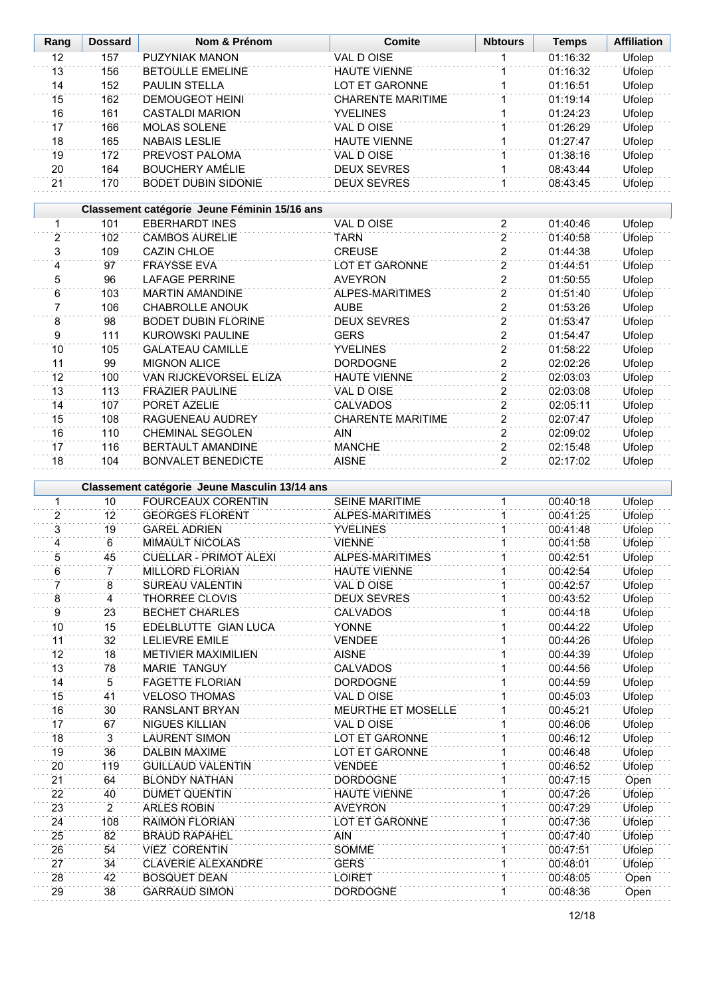| Rang            | <b>Dossard</b> | Nom & Prénom                                  | <b>Comite</b>             | <b>Nbtours</b>          | <b>Temps</b> | <b>Affiliation</b> |
|-----------------|----------------|-----------------------------------------------|---------------------------|-------------------------|--------------|--------------------|
| 12              | 157            | PUZYNIAK MANON                                | <b>VAL D OISE</b>         | 1                       | 01:16:32     | <b>Ufolep</b>      |
| 13              | 156            | <b>BETOULLE EMELINE</b>                       | <b>HAUTE VIENNE</b>       | 1                       | 01:16:32     | Ufolep             |
| 14              | 152            | PAULIN STELLA                                 | LOT ET GARONNE            | 1                       | 01:16:51     | Ufolep             |
| $\overline{15}$ | 162            | <b>DEMOUGEOT HEINI</b>                        | <b>CHARENTE MARITIME</b>  | 1                       | 01:19:14     | <b>Ufolep</b>      |
| 16              | 161            | <b>CASTALDI MARION</b>                        | <b>YVELINES</b>           | 1                       | 01:24:23     | Ufolep             |
| $\overline{17}$ | 166            | <b>MOLAS SOLENE</b>                           | VAL DOISE                 | 1                       | 01:26:29     | <b>Ufolep</b>      |
| 18              | 165            | <b>NABAIS LESLIE</b>                          | <b>HAUTE VIENNE</b>       | 1                       | 01:27:47     | Ufolep             |
| 19              | 172            | PREVOST PALOMA                                | <b>VAL D OISE</b>         | $\overline{1}$          | 01:38:16     | <b>Ufolep</b>      |
| 20              | 164            | <b>BOUCHERY AMÉLIE</b>                        | <b>DEUX SEVRES</b>        | 1                       | 08:43:44     | Ufolep             |
| 21              | 170            | <b>BODET DUBIN SIDONIE</b>                    | <b>DEUX SEVRES</b>        | ĩ                       | 08:43:45     | Ufolep             |
|                 |                |                                               |                           |                         |              |                    |
|                 |                | Classement catégorie Jeune Féminin 15/16 ans  |                           |                         |              |                    |
| 1               | 101            | <b>EBERHARDT INES</b>                         | <b>VAL D OISE</b>         | 2                       | 01:40:46     | Ufolep             |
| 2               | 102            | <b>CAMBOS AURELIE</b>                         | <b>TARN</b>               | $\overline{2}$          | 01:40:58     | <b>Ufolep</b>      |
| $\overline{3}$  | 109            | <b>CAZIN CHLOE</b>                            | <b>CREUSE</b>             | $\overline{2}$          | 01:44:38     | <b>Ufolep</b>      |
| 4               | 97             | <b>FRAYSSE EVA</b>                            | LOT ET GARONNE            | $\overline{2}$          | 01:44:51     | <b>Ufolep</b>      |
| $\overline{5}$  | 96             | <b>LAFAGE PERRINE</b>                         | <b>AVEYRON</b>            | $\overline{2}$          | 01:50:55     | <b>Ufolep</b>      |
| 6               | 103            | <b>MARTIN AMANDINE</b>                        | ALPES-MARITIMES           | $\overline{2}$          | 01:51:40     | Ufolep             |
| 7               | 106            | <b>CHABROLLE ANOUK</b>                        | <b>AUBE</b>               | $\overline{\mathbf{c}}$ | 01:53:26     | Ufolep             |
| $\overline{8}$  | 98             | <b>BODET DUBIN FLORINE</b>                    | <b>DEUX SEVRES</b>        | $\overline{2}$          | 01:53:47     | Ufolep             |
| 9               | 111            | <b>KUROWSKI PAULINE</b>                       | <b>GERS</b>               | $\overline{c}$          | 01:54:47     | Ufolep             |
| $\overline{10}$ | 105            | <b>GALATEAU CAMILLE</b>                       | <b>YVELINES</b>           | $\overline{2}$          | 01:58:22     | <b>Ufolep</b>      |
| 11              | 99             | <b>MIGNON ALICE</b>                           | <b>DORDOGNE</b>           | $\overline{\mathbf{c}}$ | 02:02:26     | Ufolep             |
| 12              | 100            | VAN RIJCKEVORSEL ELIZA                        | <b>HAUTE VIENNE</b>       | $\overline{2}$          | 02:03:03     | <b>Ufolep</b>      |
| 13              | 113            | <b>FRAZIER PAULINE</b>                        | VAL D OISE                | $\overline{2}$          | 02:03:08     | Ufolep             |
| 14              | 107            | PORET AZELIE                                  | <b>CALVADOS</b>           | $\overline{2}$          | 02:05:11     | <b>Ufolep</b>      |
| 15              | 108            | RAGUENEAU AUDREY                              | <b>CHARENTE MARITIME</b>  | $\overline{2}$          | 02:07:47     | Ufolep             |
| 16              | 110            | <b>CHEMINAL SEGOLEN</b>                       | <b>AIN</b>                | $\overline{2}$          | 02:09:02     | <b>Ufolep</b>      |
| 17              | 116            | BERTAULT AMANDINE                             | <b>MANCHE</b>             | $\overline{2}$          | 02:15:48     | Ufolep             |
| 18              | 104            | <b>BONVALET BENEDICTE</b>                     | <b>AISNE</b>              | $\overline{2}$          | 02:17:02     | Ufolep             |
|                 |                |                                               |                           |                         |              |                    |
|                 |                | Classement catégorie Jeune Masculin 13/14 ans |                           |                         |              |                    |
| 1               | 10             | <b>FOURCEAUX CORENTIN</b>                     | <b>SEINE MARITIME</b>     | 1                       | 00:40:18     | Ufolep             |
| $\overline{2}$  | 12             | <b>GEORGES FLORENT</b>                        | ALPES-MARITIMES           | 1                       | 00:41:25     | Ufolep             |
| 3               | 19             | <b>GAREL ADRIEN</b>                           | <b>YVELINES</b>           | 1                       | 00:41:48     | Ufolep             |
| $\overline{4}$  | 6              | <b>MIMAULT NICOLAS</b>                        | <b>VIENNE</b>             | 1                       | 00:41:58     | Ufolep             |
| 5               | 45             | <b>CUELLAR - PRIMOT ALEXI</b>                 | ALPES-MARITIMES           |                         | 00:42:51     | Ufolep             |
| 6               | 7              | <b>MILLORD FLORIAN</b>                        | <b>HAUTE VIENNE</b>       | 1                       | 00:42:54     | <b>Ufolep</b>      |
| 7               | 8              | SUREAU VALENTIN                               | VAL D OISE                |                         | 00:42:57     | Ufolep             |
| 8               | 4              | THORREE CLOVIS                                | <b>DEUX SEVRES</b>        | 1                       | 00:43:52     | <b>Ufolep</b>      |
| 9               | 23             | <b>BECHET CHARLES</b>                         | <b>CALVADOS</b>           |                         | 00:44:18     | Ufolep             |
| 10              | 15             | EDELBLUTTE GIAN LUCA                          | <b>YONNE</b>              |                         | 00:44:22     | <b>Ufolep</b>      |
| 11              | 32             | <b>LELIEVRE EMILE</b>                         | <b>VENDEE</b>             |                         | 00:44:26     | Ufolep             |
| 12              | 18             | <b>METIVIER MAXIMILIEN</b>                    | <b>AISNE</b>              |                         | 00:44:39     | Ufolep             |
| 13              | 78             | <b>MARIE TANGUY</b>                           | <b>CALVADOS</b>           | 1                       | 00:44:56     | <b>Ufolep</b>      |
| 14              | $\,$ 5         | <b>FAGETTE FLORIAN</b>                        | <b>DORDOGNE</b>           |                         | 00:44:59     | Ufolep             |
| 15              | 41             | <b>VELOSO THOMAS</b>                          | VAL D OISE                | 1                       | 00:45:03     | Ufolep             |
| 16              | 30             | <b>RANSLANT BRYAN</b>                         | <b>MEURTHE ET MOSELLE</b> | 1                       | 00:45:21     | Ufolep             |
| 17              | 67             | NIGUES KILLIAN                                | VAL D OISE                |                         | 00:46:06     | Ufolep             |
| 18              | $\overline{3}$ | <b>LAURENT SIMON</b>                          | LOT ET GARONNE            | 1                       | 00:46:12     | <b>Ufolep</b>      |
| 19              | 36             | DALBIN MAXIME                                 | LOT ET GARONNE            |                         | 00:46:48     | Ufolep             |
| 20              | 119            | <b>GUILLAUD VALENTIN</b>                      | <b>VENDEE</b>             | 1                       | 00:46:52     | <b>Ufolep</b>      |
| 21              | 64             | <b>BLONDY NATHAN</b>                          | <b>DORDOGNE</b>           |                         | 00:47:15     | Open               |
| $\overline{22}$ | 40             | <b>DUMET QUENTIN</b>                          | <b>HAUTE VIENNE</b>       | $\overline{1}$          | 00:47:26     | Ufolep             |
| 23              | $\overline{2}$ | <b>ARLES ROBIN</b>                            | <b>AVEYRON</b>            |                         | 00:47:29     | Ufolep             |
| 24              | 108            | <b>RAIMON FLORIAN</b>                         | LOT ET GARONNE            | $\mathbf{1}$            | 00:47:36     | Ufolep             |
| 25              | 82             | <b>BRAUD RAPAHEL</b>                          | <b>AIN</b>                | $\mathbf{1}$            | 00:47:40     | Ufolep             |
| 26              | 54             | <b>VIEZ CORENTIN</b>                          | <b>SOMME</b>              | $\mathbf{1}$            | 00:47:51     | Ufolep             |
| 27              | 34             | <b>CLAVERIE ALEXANDRE</b>                     | <b>GERS</b>               | $\mathbf{1}$            | 00:48:01     | Ufolep             |
| 28              | 42             | <b>BOSQUET DEAN</b>                           | <b>LOIRET</b>             | 1                       | 00:48:05     | Open               |
| 29              | 38             | <b>GARRAUD SIMON</b>                          | <b>DORDOGNE</b>           | 1                       | 00:48:36     | Open               |
|                 |                |                                               |                           |                         |              |                    |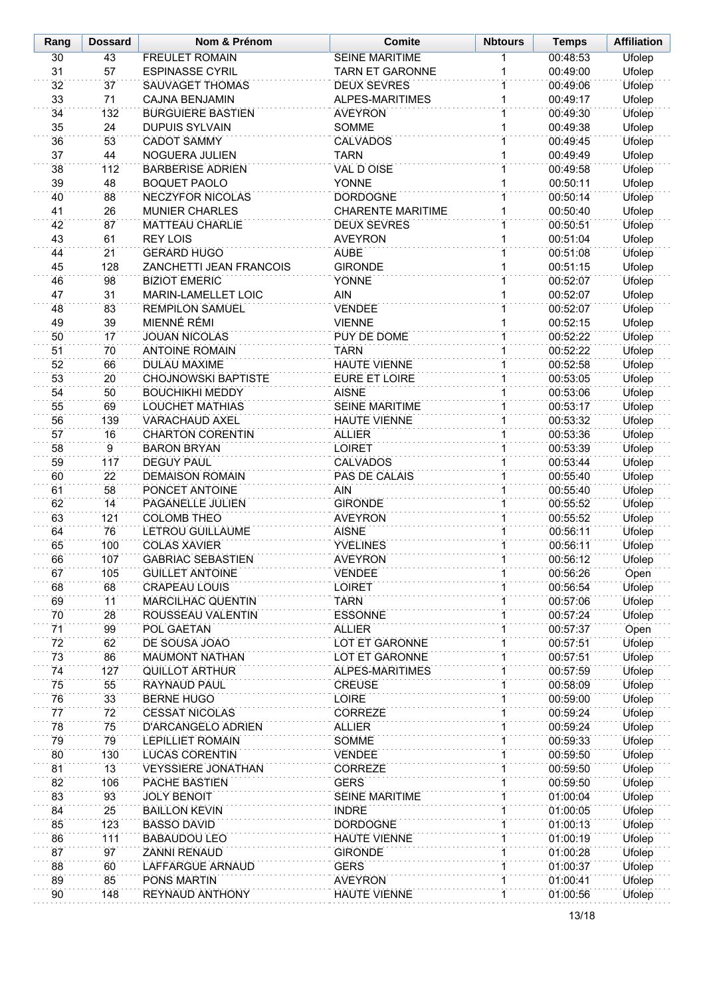| Rang     | <b>Dossard</b>  | Nom & Prénom                           | <b>Comite</b><br><b>Nbtours</b>  |                             | <b>Temps</b>         | <b>Affiliation</b>      |
|----------|-----------------|----------------------------------------|----------------------------------|-----------------------------|----------------------|-------------------------|
| 30       | 43              | <b>FREULET ROMAIN</b>                  | <b>SEINE MARITIME</b>            | 1                           | 00:48:53             | Ufolep                  |
| 31       | 57              | <b>ESPINASSE CYRIL</b>                 | <b>TARN ET GARONNE</b>           | 1                           | 00:49:00             | Ufolep                  |
| 32       | 37              | SAUVAGET THOMAS                        | <b>DEUX SEVRES</b>               | $\mathbf{1}$                | 00:49:06             | Ufolep                  |
| 33       | 71              | <b>CAJNA BENJAMIN</b>                  | ALPES-MARITIMES                  | $\mathbf{1}$                | 00:49:17             | Ufolep                  |
| 34       | 132             | <b>BURGUIERE BASTIEN</b>               | <b>AVEYRON</b>                   | 1                           | 00:49:30             | Ufolep                  |
| 35       | 24              | <b>DUPUIS SYLVAIN</b>                  | SOMME                            | 1                           | 00:49:38             | Ufolep                  |
| 36       | 53              | <b>CADOT SAMMY</b>                     | <b>CALVADOS</b>                  | 1                           | 00:49:45             | Ufolep                  |
| 37       | 44              | <b>NOGUERA JULIEN</b>                  | <b>TARN</b>                      | 1                           | 00:49:49             | Ufolep                  |
| 38       | 112             | <b>BARBERISE ADRIEN</b>                | <b>VAL D OISE</b>                | 1                           | 00:49:58             | Ufolep                  |
| 39       | 48              | <b>BOQUET PAOLO</b>                    | YONNE                            | 1                           | 00:50:11             | Ufolep                  |
| 40       | 88              | <b>NECZYFOR NICOLAS</b>                | <b>DORDOGNE</b>                  | 1                           | 00:50:14             | Ufolep                  |
| 41       | 26              | <b>MUNIER CHARLES</b>                  | <b>CHARENTE MARITIME</b>         | 1                           | 00:50:40             | Ufolep                  |
| 42       | 87              | <b>MATTEAU CHARLIE</b>                 | <b>DEUX SEVRES</b>               | 1                           | 00:50:51             | Ufolep                  |
| 43       | 61              | <b>REY LOIS</b>                        | <b>AVEYRON</b>                   | 1                           | 00:51:04             | Ufolep                  |
| 44       | $\overline{21}$ | <b>GERARD HUGO</b>                     | <b>AUBE</b>                      | 1                           | 00:51:08             | Ufolep                  |
| 45       | 128             | ZANCHETTI JEAN FRANCOIS                | <b>GIRONDE</b>                   | 1                           | 00:51:15             | Ufolep                  |
| 46       | 98              | <b>BIZIOT EMERIC</b>                   | <b>YONNE</b>                     | $\mathbf 1$                 | 00:52:07             | Ufolep                  |
| 47       | 31              | MARIN-LAMELLET LOIC                    | <b>AIN</b>                       | 1                           | 00:52:07             | Ufolep                  |
| 48       | 83              | <b>REMPILON SAMUEL</b>                 | <b>VENDEE</b>                    | 1                           | 00:52:07             | Ufolep                  |
| 49       | 39              | <b>MIENNÉ RÉMI</b>                     | <b>VIENNE</b>                    | 1                           | 00:52:15             | Ufolep                  |
| 50       | 17              | <b>JOUAN NICOLAS</b>                   | <b>PUY DE DOME</b>               | $\mathbf{1}$                | 00:52:22             | <b>Ufolep</b>           |
| 51       | 70              | <b>ANTOINE ROMAIN</b>                  | <b>TARN</b>                      | $\overline{1}$              | 00:52:22             | Ufolep                  |
| 52       | 66              | <b>DULAU MAXIME</b>                    | <b>HAUTE VIENNE</b>              | 1                           | 00:52:58             | Ufolep                  |
| 53       | 20              | <b>CHOJNOWSKI BAPTISTE</b>             | EURE ET LOIRE                    | 1                           | 00:53:05             | Ufolep                  |
| 54       | 50              | <b>BOUCHIKHI MEDDY</b>                 | <b>AISNE</b>                     | $\mathbf{1}$                | 00:53:06             | Ufolep                  |
| 55       | 69              | LOUCHET MATHIAS                        | <b>SEINE MARITIME</b>            | 1                           | 00:53:17             | Ufolep                  |
| 56       | 139             | <b>VARACHAUD AXEL</b>                  | <b>HAUTE VIENNE</b>              | $\overline{1}$              | 00:53:32             | <b>Ufolep</b>           |
| 57       | 16              | <b>CHARTON CORENTIN</b>                | <b>ALLIER</b>                    | 1                           | 00:53:36             | Ufolep                  |
| 58       | $\overline{9}$  | <b>BARON BRYAN</b>                     | <b>LOIRET</b>                    | $\mathbf{1}$                | 00:53:39             | Ufolep                  |
| 59       | 117             | <b>DEGUY PAUL</b>                      | <b>CALVADOS</b>                  | $\overline{1}$              | 00:53:44             | Ufolep                  |
| 60       | $\overline{22}$ | <b>DEMAISON ROMAIN</b>                 | PAS DE CALAIS                    | $\overline{1}$              | 00:55:40             | Ufolep                  |
| 61       | 58              | PONCET ANTOINE                         | <b>AIN</b>                       | $\mathbf{1}$                | 00:55:40             | Ufolep                  |
| 62<br>63 | 14<br>121       | PAGANELLE JULIEN<br><b>COLOMB THEO</b> | <b>GIRONDE</b><br><b>AVEYRON</b> | $\mathbf 1$<br>$\mathbf{1}$ | 00:55:52             | Ufolep                  |
| 64       | 76              | LETROU GUILLAUME                       | <b>AISNE</b>                     | $\mathbf{1}$                | 00:55:52<br>00:56:11 | Ufolep<br><b>Ufolep</b> |
| 65       | 100             | <b>COLAS XAVIER</b>                    | <b>YVELINES</b>                  | 1                           | 00:56:11             | Ufolep                  |
| 66       | 107             | <b>GABRIAC SEBASTIEN</b>               | <b>AVEYRON</b>                   | 1                           | 00:56:12             | Ufolep                  |
| 67       | 105             | <b>GUILLET ANTOINE</b>                 | <b>VENDEE</b>                    | 1                           | 00:56:26             | Open                    |
| 68       | 68              | <b>CRAPEAU LOUIS</b>                   | <b>LOIRET</b>                    | 1                           | 00:56:54             | <b>Ufolep</b>           |
| 69       | 11              | <b>MARCILHAC QUENTIN</b>               | <b>TARN</b>                      |                             | 00:57:06             | Ufolep                  |
| 70       | 28              | ROUSSEAU VALENTIN                      | <b>ESSONNE</b>                   | 1                           | 00:57:24             | Ufolep                  |
| 71       | 99              | POL GAETAN                             | <b>ALLIER</b>                    |                             | 00:57:37             | Open                    |
| 72       | 62              | DE SOUSA JOAO                          | LOT ET GARONNE                   | 1                           | 00:57:51             | Ufolep                  |
| 73       | 86              | <b>MAUMONT NATHAN</b>                  | LOT ET GARONNE                   | 1                           | 00:57:51             | Ufolep                  |
| 74       | 127             | <b>QUILLOT ARTHUR</b>                  | ALPES-MARITIMES                  | 1                           | 00:57:59             | Ufolep                  |
| 75       | 55              | RAYNAUD PAUL                           | <b>CREUSE</b>                    | 1                           | 00:58:09             | Ufolep                  |
| 76       | 33              | <b>BERNE HUGO</b>                      | <b>LOIRE</b>                     | 1                           | 00:59:00             | <b>Ufolep</b>           |
| 77       | 72              | <b>CESSAT NICOLAS</b>                  | <b>CORREZE</b>                   | 1                           | 00:59:24             | Ufolep                  |
| 78       | 75              | D'ARCANGELO ADRIEN                     | <b>ALLIER</b>                    | 1                           | 00:59:24             | Ufolep                  |
| 79       | 79              | <b>LEPILLIET ROMAIN</b>                | <b>SOMME</b>                     | 1                           | 00:59:33             | Ufolep                  |
| 80       | 130             | <b>LUCAS CORENTIN</b>                  | <b>VENDEE</b>                    | 1                           | 00:59:50             | Ufolep                  |
| 81       | 13              | <b>VEYSSIERE JONATHAN</b>              | <b>CORREZE</b>                   | 1                           | 00:59:50             | Ufolep                  |
| 82       | 106             | PACHE BASTIEN                          | <b>GERS</b>                      | $\mathbf{1}$                | 00:59:50             | Ufolep                  |
| 83       | 93              | <b>JOLY BENOIT</b>                     | <b>SEINE MARITIME</b>            | 1                           | 01:00:04             | Ufolep                  |
| 84       | 25              | <b>BAILLON KEVIN</b>                   | <b>INDRE</b>                     | $\mathbf 1$                 | 01:00:05             | Ufolep                  |
| 85       | 123             | <b>BASSO DAVID</b>                     | <b>DORDOGNE</b>                  | 1                           | 01:00:13             | Ufolep                  |
| 86       | 111             | <b>BABAUDOU LEO</b>                    | <b>HAUTE VIENNE</b>              | 1                           | 01:00:19             | Ufolep                  |
| 87       | 97              | <b>ZANNI RENAUD</b>                    | <b>GIRONDE</b>                   |                             | 01:00:28             | Ufolep                  |
| 88       | 60              | LAFFARGUE ARNAUD                       | <b>GERS</b>                      | $\mathbf 1$                 | 01:00:37             | Ufolep                  |
| 89       | 85              | PONS MARTIN                            | <b>AVEYRON</b>                   | 1                           | 01:00:41             | Ufolep                  |
| 90       | 148             | <b>REYNAUD ANTHONY</b>                 | <b>HAUTE VIENNE</b>              | 1                           | 01:00:56             | Ufolep                  |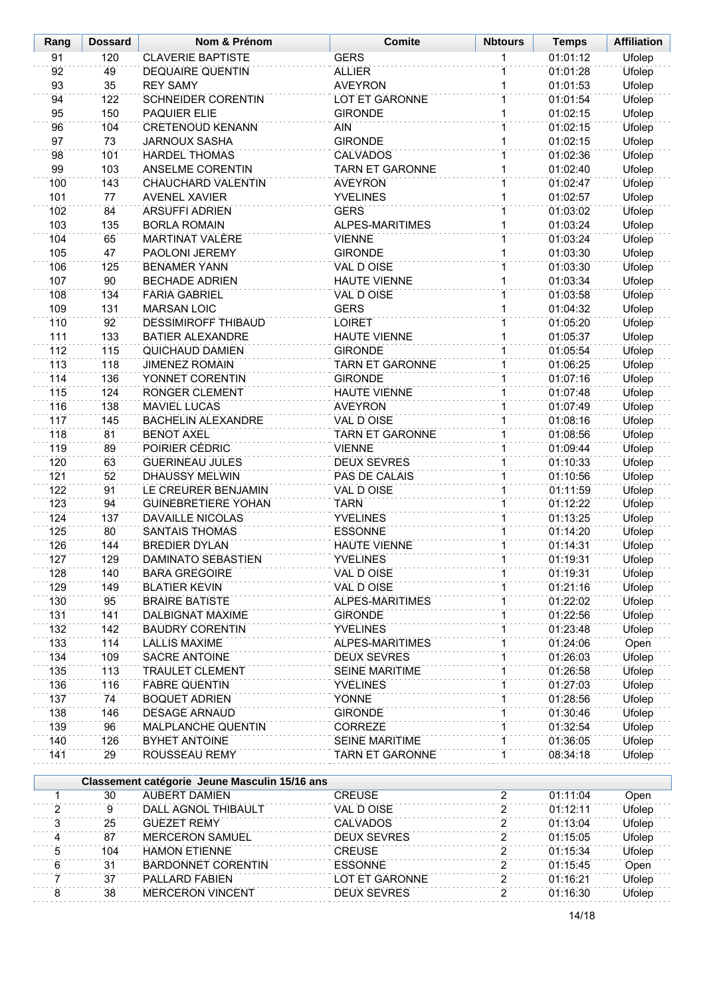| Rang           | <b>Dossard</b>   | Nom & Prénom                                  | <b>Comite</b><br><b>Nbtours</b> |                | <b>Temps</b>         | <b>Affiliation</b> |
|----------------|------------------|-----------------------------------------------|---------------------------------|----------------|----------------------|--------------------|
| 91             | 120              | <b>CLAVERIE BAPTISTE</b>                      | <b>GERS</b>                     | 1              | 01:01:12             | <b>Ufolep</b>      |
| 92             | 49               | <b>DEQUAIRE QUENTIN</b>                       | <b>ALLIER</b>                   | 1              | 01:01:28             | <b>Ufolep</b>      |
| 93             | 35               | <b>REY SAMY</b>                               | <b>AVEYRON</b>                  | 1              | 01:01:53             | Ufolep             |
| 94             | 122              | <b>SCHNEIDER CORENTIN</b>                     | <b>LOT ET GARONNE</b>           | $\overline{1}$ | 01:01:54             | Ufolep             |
| 95             | 150              | <b>PAQUIER ELIE</b>                           | <b>GIRONDE</b>                  | 1              | 01:02:15             | Ufolep             |
| 96             | 104              | <b>CRETENOUD KENANN</b>                       | <b>AIN</b>                      | 1              | 01:02:15             | Ufolep             |
| 97             | 73               | <b>JARNOUX SASHA</b>                          | <b>GIRONDE</b>                  | 1              | 01:02:15             | Ufolep             |
| 98             | 101              | <b>HARDEL THOMAS</b>                          | <b>CALVADOS</b>                 | $\overline{1}$ | 01:02:36             | Ufolep             |
| 99             | 103              | ANSELME CORENTIN                              | <b>TARN ET GARONNE</b>          | $\overline{1}$ | 01:02:40             | Ufolep             |
| 100            | 143              | CHAUCHARD VALENTIN                            | <b>AVEYRON</b>                  | $\overline{1}$ | 01:02:47             | Ufolep             |
| 101            | 77               | <b>AVENEL XAVIER</b>                          | <b>YVELINES</b>                 | 1              | 01:02:57             | Ufolep             |
| 102            | 84               | <b>ARSUFFI ADRIEN</b>                         | <b>GERS</b>                     | $\mathbf{1}$   | 01:03:02             | Ufolep             |
| 103            | 135              | <b>BORLA ROMAIN</b>                           | <b>ALPES-MARITIMES</b>          | 1              | 01:03:24             | Ufolep             |
| 104            | 65               | <b>MARTINAT VALÈRE</b>                        | <b>VIENNE</b>                   | 1              | 01:03:24             | Ufolep             |
| 105            | 47               | PAOLONI JEREMY                                | <b>GIRONDE</b>                  | 1              | 01:03:30             | <b>Ufolep</b>      |
| 106            | 125              | <b>BENAMER YANN</b>                           | VAL D OISE                      | 1              | 01:03:30             | <b>Ufolep</b>      |
| 107            | 90               | <b>BECHADE ADRIEN</b>                         | <b>HAUTE VIENNE</b>             | 1              | 01:03:34             | Ufolep             |
| 108            | 134              | <b>FARIA GABRIEL</b>                          | VAL D OISE                      | 1              | 01:03:58             | Ufolep             |
| 109            | 131              | <b>MARSAN LOIC</b>                            | <b>GERS</b>                     | 1              | 01:04:32             | Ufolep             |
| 110            | 92               | <b>DESSIMIROFF THIBAUD</b>                    | <b>LOIRET</b>                   | 1              | 01:05:20             | Ufolep             |
| 111            | 133              | <b>BATIER ALEXANDRE</b>                       | <b>HAUTE VIENNE</b>             | 1              | 01:05:37             | Ufolep             |
| 112            | 115              | <b>QUICHAUD DAMIEN</b>                        | <b>GIRONDE</b>                  | 1              | 01:05:54             | Ufolep             |
| 113            | 118              | <b>JIMENEZ ROMAIN</b>                         | <b>TARN ET GARONNE</b>          | 1              | 01:06:25             | Ufolep             |
| 114            | 136              | YONNET CORENTIN                               | <b>GIRONDE</b>                  | 1              | 01:07:16             | Ufolep             |
| 115            | 124              | RONGER CLEMENT                                | <b>HAUTE VIENNE</b>             | 1              | 01:07:48<br>01:07:49 | Ufolep             |
| 116            | 138              | <b>MAVIEL LUCAS</b>                           | <b>AVEYRON</b>                  | 1              |                      | <b>Ufolep</b>      |
| 117            | 145              | <b>BACHELIN ALEXANDRE</b>                     | <b>VAL D OISE</b>               | 1              |                      | Ufolep             |
| 118            | $\overline{81}$  | <b>BENOT AXEL</b>                             | <b>TARN ET GARONNE</b>          | $\mathbf{1}$   |                      | <b>Ufolep</b>      |
| 119            | 89               | POIRIER CÉDRIC                                | <b>VIENNE</b>                   | $\overline{1}$ |                      | Ufolep             |
| 120            | 63               | <b>GUERINEAU JULES</b>                        | <b>DEUX SEVRES</b>              | $\mathbf{1}$   |                      | Ufolep             |
| 121            | 52               | <b>DHAUSSY MELWIN</b>                         | PAS DE CALAIS                   | 1              |                      | Ufolep             |
| 122            | 91               | LE CREURER BENJAMIN                           | VAL D OISE                      | $\mathbf{1}$   | 01:11:59             | Ufolep             |
| 123            | 94               | <b>GUINEBRETIERE YOHAN</b>                    | <b>TARN</b>                     | 1              | 01:12:22             | Ufolep             |
| 124            | 137              | <b>DAVAILLE NICOLAS</b>                       | <b>YVELINES</b>                 | $\overline{1}$ | 01:13:25             | <b>Ufolep</b>      |
| 125            | 80               | <b>SANTAIS THOMAS</b>                         | <b>ESSONNE</b>                  | $\overline{1}$ | 01:14:20             | Ufolep             |
| 126            | 144              | <b>BREDIER DYLAN</b>                          | <b>HAUTE VIENNE</b>             | $\overline{1}$ | 01:14:31             | Ufolep             |
| 127            | 129              | DAMINATO SEBASTIEN                            | YVELINES                        |                | 01:19:31             | Ufolep             |
| 128            | 140              | <b>BARA GREGOIRE</b>                          | VAL D OISE                      | 1              | 01:19:31             | Ufolep             |
| 129            | 149              | <b>BLATIER KEVIN</b>                          | VAL D OISE                      | 1              | 01:21:16             | Ufolep             |
| 130            | 95               | <b>BRAIRE BATISTE</b>                         | <b>ALPES-MARITIMES</b>          | 1              | 01:22:02             | Ufolep             |
| 131            | 141              | DALBIGNAT MAXIME                              | <b>GIRONDE</b>                  | 1              | 01:22:56             | Ufolep             |
| 132            | 142              | <b>BAUDRY CORENTIN</b>                        | <b>YVELINES</b>                 | 1              | 01:23:48             | Ufolep             |
| 133            | 114              | <b>LALLIS MAXIME</b>                          | ALPES-MARITIMES                 | 1              | 01:24:06             | Open               |
| 134            | 109              | SACRE ANTOINE                                 | <b>DEUX SEVRES</b>              | 1              | 01:26:03             | Ufolep             |
| 135            | 113              | <b>TRAULET CLEMENT</b>                        | SEINE MARITIME                  | 1              | 01:26:58             | Ufolep             |
| 136            | 116              | <b>FABRE QUENTIN</b>                          | <b>YVELINES</b>                 | 1              | 01:27:03             | Ufolep             |
| 137            | 74               | <b>BOQUET ADRIEN</b>                          | <b>YONNE</b>                    |                | 01:28:56             | Ufolep             |
| 138            | 146              | <b>DESAGE ARNAUD</b>                          | <b>GIRONDE</b>                  | 1              | 01:30:46             | Ufolep             |
| 139            | 96               | MALPLANCHE QUENTIN                            | <b>CORREZE</b>                  |                | 01:32:54             | Ufolep             |
| 140            | 126              | <b>BYHET ANTOINE</b>                          | <b>SEINE MARITIME</b>           | 1              | 01:36:05             | Ufolep             |
| 141            | 29               | ROUSSEAU REMY                                 | <b>TARN ET GARONNE</b>          |                | 08:34:18             | Ufolep             |
|                |                  | Classement catégorie Jeune Masculin 15/16 ans |                                 |                |                      |                    |
| 1              | 30               | <b>AUBERT DAMIEN</b>                          | <b>CREUSE</b>                   | 2              | 01:11:04             | Open               |
| 2              | $\boldsymbol{9}$ | DALL AGNOL THIBAULT                           | VAL D OISE                      | $\overline{2}$ | 01:12:11             | Ufolep             |
| $\overline{3}$ | 25               | <b>GUEZET REMY</b>                            | <b>CALVADOS</b>                 | $\overline{2}$ | 01:13:04             | Ufolep             |
| 4              | 87               | <b>MERCERON SAMUEL</b>                        | <b>DEUX SEVRES</b>              | $\overline{2}$ | 01:15:05             | Ufolep             |
| 5              | 104              | <b>HAMON ETIENNE</b>                          | <b>CREUSE</b>                   | $\overline{2}$ | 01:15:34             | Ufolep             |
| 6              | 31               | <b>BARDONNET CORENTIN</b>                     | <b>ESSONNE</b>                  | $\overline{2}$ | 01:15:45             | Open               |
| 7              | 37               | PALLARD FABIEN                                | LOT ET GARONNE                  | $\overline{2}$ | 01:16:21             | Ufolep             |
| 8              | 38               | <b>MERCERON VINCENT</b>                       | <b>DEUX SEVRES</b>              | 2              | 01:16:30             | Ufolep             |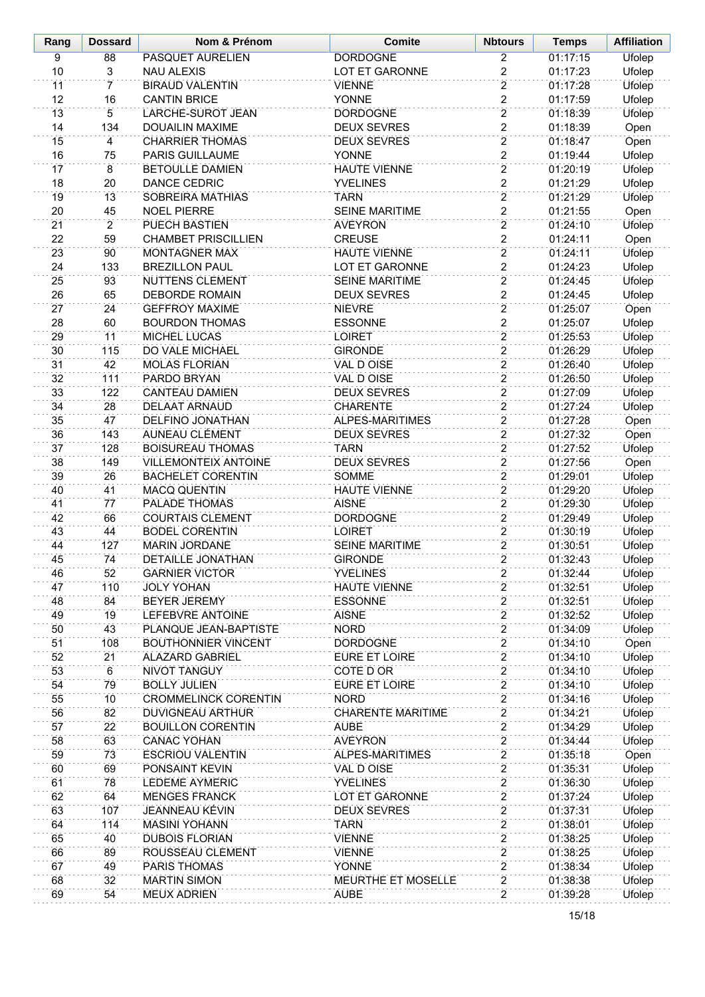| Rang            | <b>Dossard</b>       | Nom & Prénom                                  | <b>Comite</b>                           |                                  | <b>Temps</b>         | <b>Affiliation</b> |
|-----------------|----------------------|-----------------------------------------------|-----------------------------------------|----------------------------------|----------------------|--------------------|
| 9               | 88                   | <b>PASQUET AURELIEN</b>                       | <b>DORDOGNE</b>                         | $\overline{2}$                   | 01:17:15             | <b>Ufolep</b>      |
| 10              | 3                    | <b>NAU ALEXIS</b>                             | LOT ET GARONNE                          | $\overline{2}$                   | 01:17:23             | Ufolep             |
| 11              | 7                    | <b>BIRAUD VALENTIN</b>                        | <b>VIENNE</b>                           | $\overline{2}$                   | 01:17:28             | <b>Ufolep</b>      |
| 12              | 16                   | <b>CANTIN BRICE</b>                           | YONNE                                   | $\overline{2}$                   | 01:17:59             | Ufolep             |
| 13              | $\overline{5}$       | LARCHE-SUROT JEAN                             | <b>DORDOGNE</b>                         | $\overline{2}$                   | 01:18:39             | <b>Ufolep</b>      |
| 14              | 134                  | <b>DOUAILIN MAXIME</b>                        | <b>DEUX SEVRES</b>                      | $\overline{2}$                   | 01:18:39             | Open               |
| 15              | 4                    | <b>CHARRIER THOMAS</b>                        | <b>DEUX SEVRES</b>                      | $\overline{2}$                   | 01:18:47             | Open               |
| 16              | 75                   | PARIS GUILLAUME                               | YONNE                                   | $\overline{2}$                   | 01:19:44             | Ufolep             |
| 17              | 8                    | <b>BETOULLE DAMIEN</b>                        | <b>HAUTE VIENNE</b>                     | $\overline{2}$                   | 01:20:19             | Ufolep             |
| 18              | 20                   | DANCE CEDRIC                                  | <b>YVELINES</b>                         | $\overline{c}$                   | 01:21:29             | Ufolep             |
| 19              | 13                   | SOBREIRA MATHIAS                              | <b>TARN</b>                             | $\overline{2}$                   | 01:21:29             | Ufolep             |
| 20<br>21        | 45<br>$\overline{2}$ | <b>NOEL PIERRE</b><br>PUECH BASTIEN           | <b>SEINE MARITIME</b><br><b>AVEYRON</b> | $\overline{c}$<br>$\overline{2}$ | 01:21:55<br>01:24:10 | Open<br>Ufolep     |
| 22              | 59                   | <b>CHAMBET PRISCILLIEN</b>                    | <b>CREUSE</b>                           | $\overline{\mathbf{c}}$          | 01:24:11             | Open               |
| 23              | 90                   | <b>MONTAGNER MAX</b>                          | <b>HAUTE VIENNE</b>                     | $\overline{2}$                   | 01:24:11             | Ufolep             |
| 24              | 133                  | <b>BREZILLON PAUL</b>                         | LOT ET GARONNE                          | $\overline{2}$                   | 01:24:23             | Ufolep             |
| 25              | 93                   | <b>NUTTENS CLEMENT</b>                        | <b>SEINE MARITIME</b>                   | $\overline{2}$                   | 01:24:45             | <b>Ufolep</b>      |
| 26              | 65                   | <b>DEBORDE ROMAIN</b>                         | <b>DEUX SEVRES</b>                      | $\overline{2}$                   | 01:24:45             | Ufolep             |
| 27              | 24                   | <b>GEFFROY MAXIME</b>                         | <b>NIEVRE</b>                           | $\overline{2}$                   | 01:25:07             | Open               |
| 28              | 60                   | <b>BOURDON THOMAS</b>                         | <b>ESSONNE</b>                          | $\overline{2}$                   | 01:25:07             | Ufolep             |
| 29              | 11                   | <b>MICHEL LUCAS</b>                           | <b>LOIRET</b>                           | $\overline{2}$                   | 01:25:53             | Ufolep             |
| 30              | 115                  | <b>DO VALE MICHAEL</b>                        | <b>GIRONDE</b>                          | $\overline{2}$                   | 01:26:29             | <b>Ufolep</b>      |
| 31              | 42                   | <b>MOLAS FLORIAN</b>                          | <b>VAL D OISE</b>                       | $\overline{2}$                   | 01:26:40             | Ufolep             |
| 32              | 111                  | PARDO BRYAN                                   | VAL D OISE                              | $\overline{2}$                   | 01:26:50             | Ufolep             |
| 33              | 122                  | <b>CANTEAU DAMIEN</b>                         | <b>DEUX SEVRES</b>                      | $\overline{2}$                   | 01:27:09             | Ufolep             |
| 34              | 28                   | DELAAT ARNAUD                                 | <b>CHARENTE</b>                         | $\overline{2}$                   | 01:27:24             | Ufolep             |
| 35              | 47                   | <b>DELFINO JONATHAN</b>                       | ALPES-MARITIMES                         | $\overline{2}$                   | 01:27:28             | Open               |
| 36              | 143                  | AUNEAU CLÉMENT                                | <b>DEUX SEVRES</b>                      | $\overline{2}$                   | 01:27:32             | Open               |
| $\overline{37}$ | 128                  | <b>BOISUREAU THOMAS</b>                       | <b>TARN</b>                             | $\overline{2}$                   | 01:27:52             | Ufolep             |
| 38              | 149                  | <b>VILLEMONTEIX ANTOINE</b>                   | <b>DEUX SEVRES</b>                      | $\overline{2}$                   | 01:27:56             | Open               |
| 39              | 26                   | <b>BACHELET CORENTIN</b>                      | SOMME                                   | $\overline{2}$                   | 01:29:01             | Ufolep             |
| 40              | 41                   | <b>MACQ QUENTIN</b>                           | <b>HAUTE VIENNE</b>                     | $\overline{2}$                   | 01:29:20             | Ufolep             |
| 41              | 77                   | PALADE THOMAS                                 | <b>AISNE</b>                            | $\overline{2}$                   | 01:29:30             | Ufolep             |
| 42              | 66                   | <b>COURTAIS CLEMENT</b>                       | <b>DORDOGNE</b>                         | $\overline{2}$                   | 01:29:49             | Ufolep             |
| 43              | 44<br>127            | <b>BODEL CORENTIN</b><br><b>MARIN JORDANE</b> | <b>LOIRET</b>                           | $\overline{2}$<br>$\overline{2}$ | 01:30:19             | Ufolep             |
| 44              |                      |                                               | <b>SEINE MARITIME</b><br><b>GIRONDE</b> | $\overline{2}$                   | 01:30:51             | Ufolep             |
| 45<br>46        | 74<br>52             | DETAILLE JONATHAN<br><b>GARNIER VICTOR</b>    | <b>YVELINES</b>                         | 2                                | 01:32:43<br>01:32:44 | Ufolep<br>Ufolep   |
| 47              | 110                  | <b>JOLY YOHAN</b>                             | <b>HAUTE VIENNE</b>                     | $\overline{2}$                   | 01:32:51             | <b>Ufolep</b>      |
| 48              | 84                   | <b>BEYER JEREMY</b>                           | <b>ESSONNE</b>                          | $\overline{c}$                   | 01:32:51             | Ufolep             |
| 49              | 19                   | LEFEBVRE ANTOINE                              | <b>AISNE</b>                            | $\overline{2}$                   | 01:32:52             | Ufolep             |
| 50              | 43                   | PLANQUE JEAN-BAPTISTE                         | <b>NORD</b>                             | 2                                | 01:34:09             | Ufolep             |
| 51              | 108                  | <b>BOUTHONNIER VINCENT</b>                    | <b>DORDOGNE</b>                         | $\overline{2}$                   | 01:34:10             | Open               |
| 52              | 21                   | <b>ALAZARD GABRIEL</b>                        | <b>EURE ET LOIRE</b>                    | 2                                | 01:34:10             | Ufolep             |
| 53              | 6                    | <b>NIVOT TANGUY</b>                           | COTE D OR                               | $\overline{2}$                   | 01:34:10             | <b>Ufolep</b>      |
| 54              | 79                   | <b>BOLLY JULIEN</b>                           | EURE ET LOIRE                           | $\overline{2}$                   | 01:34:10             | Ufolep             |
| 55              | 10                   | <b>CROMMELINCK CORENTIN</b>                   | <b>NORD</b>                             | $\overline{2}$                   | 01:34:16             | <b>Ufolep</b>      |
| 56              | 82                   | DUVIGNEAU ARTHUR                              | <b>CHARENTE MARITIME</b>                | $\overline{2}$                   | 01:34:21             | <b>Ufolep</b>      |
| 57              | $\overline{22}$      | <b>BOUILLON CORENTIN</b>                      | <b>AUBE</b>                             | $\overline{2}$                   | 01:34:29             | Ufolep             |
| 58              | 63                   | <b>CANAC YOHAN</b>                            | <b>AVEYRON</b>                          | $\overline{2}$                   | 01:34:44             | <b>Ufolep</b>      |
| 59              | 73                   | <b>ESCRIOU VALENTIN</b>                       | ALPES-MARITIMES                         | $\overline{2}$                   | 01:35:18             | Open               |
| 60              | 69                   | PONSAINT KEVIN                                | VAL D OISE                              | $\overline{2}$                   | 01:35:31             | Ufolep             |
| 61              | 78                   | <b>LEDEME AYMERIC</b>                         | <b>YVELINES</b>                         | $\overline{2}$                   | 01:36:30             | Ufolep             |
| 62              | 64                   | <b>MENGES FRANCK</b>                          | LOT ET GARONNE                          | $\overline{c}$                   | 01:37:24             | Ufolep             |
| 63              | 107                  | <b>JEANNEAU KÉVIN</b>                         | <b>DEUX SEVRES</b>                      | $\overline{2}$                   | 01:37:31             | <b>Ufolep</b>      |
| 64              | 114                  | <b>MASINI YOHANN</b>                          | <b>TARN</b>                             | $\overline{2}$                   | 01:38:01             | Ufolep             |
| 65              | 40                   | <b>DUBOIS FLORIAN</b>                         | <b>VIENNE</b>                           | $\overline{2}$                   | 01:38:25             | <b>Ufolep</b>      |
| 66<br>67        | 89                   | ROUSSEAU CLEMENT                              | <b>VIENNE</b>                           | $\overline{2}$<br>$\overline{2}$ | 01:38:25             | Ufolep             |
| 68              | 49<br>32             | PARIS THOMAS<br><b>MARTIN SIMON</b>           | YONNE<br>MEURTHE ET MOSELLE             | $\overline{2}$                   | 01:38:34<br>01:38:38 | Ufolep<br>Ufolep   |
| 69              | 54                   | <b>MEUX ADRIEN</b>                            | <b>AUBE</b>                             | $\overline{2}$                   | 01:39:28             | <b>Ufolep</b>      |
|                 |                      |                                               |                                         |                                  |                      |                    |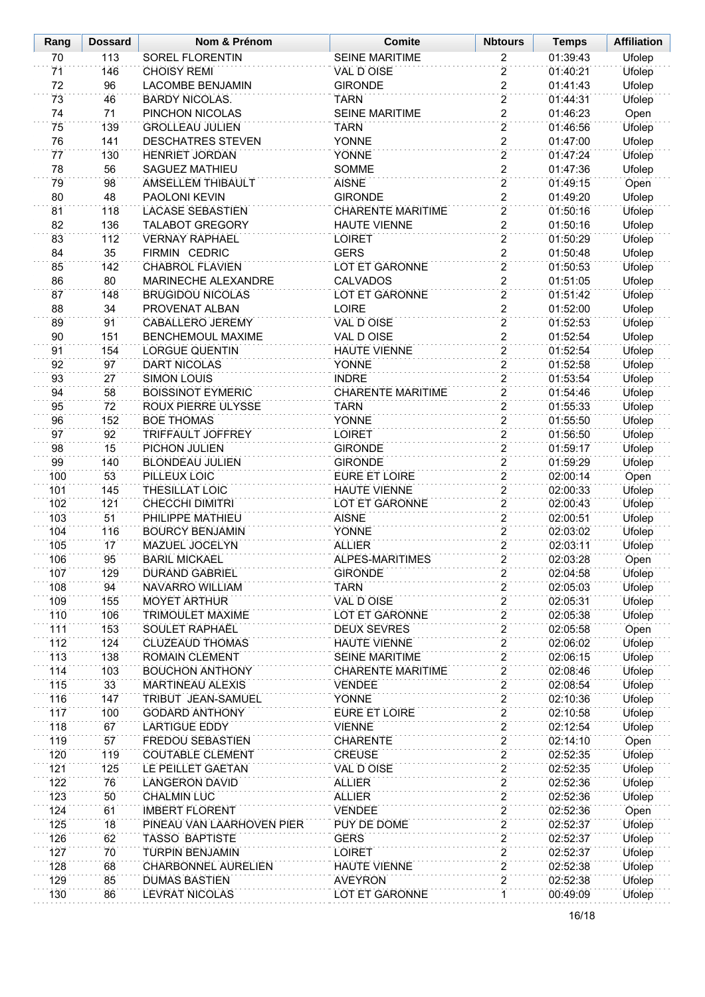| Rang       | <b>Dossard</b> | Nom & Prénom                                    | <b>Comite</b>                  | <b>Nbtours</b>                   | <b>Temps</b>         | <b>Affiliation</b> |
|------------|----------------|-------------------------------------------------|--------------------------------|----------------------------------|----------------------|--------------------|
| 70         | 113            | <b>SOREL FLORENTIN</b>                          | <b>SEINE MARITIME</b>          | 2                                | 01:39:43             | <b>Ufolep</b>      |
| 71         | 146            | <b>CHOISY REMI</b>                              | VAL D OISE                     | $\overline{2}$                   | 01:40:21             | Ufolep             |
| 72         | 96             | <b>LACOMBE BENJAMIN</b>                         | <b>GIRONDE</b>                 | $\overline{2}$                   | 01:41:43             | Ufolep             |
| 73         | 46             | <b>BARDY NICOLAS.</b>                           | <b>TARN</b>                    | $\overline{2}$                   | 01:44:31             | Ufolep             |
| 74         | 71             | PINCHON NICOLAS                                 | <b>SEINE MARITIME</b>          | $\overline{2}$                   | 01:46:23             | Open               |
| 75         | 139            | <b>GROLLEAU JULIEN</b>                          | <b>TARN</b>                    | $\overline{2}$                   | 01:46:56             | Ufolep             |
| 76         | 141            | <b>DESCHATRES STEVEN</b>                        | <b>YONNE</b>                   | $\overline{c}$                   | 01:47:00             | Ufolep             |
| 77         | 130            | <b>HENRIET JORDAN</b>                           | <b>YONNE</b>                   | $\overline{2}$                   | 01:47:24             | Ufolep             |
| 78         | 56             | <b>SAGUEZ MATHIEU</b>                           | <b>SOMME</b>                   | $\overline{2}$                   | 01:47:36             | Ufolep             |
| 79         | 98             | AMSELLEM THIBAULT                               | <b>AISNE</b>                   | $\overline{2}$                   | 01:49:15             | Open               |
| 80         | 48             | PAOLONI KEVIN                                   | <b>GIRONDE</b>                 | $\overline{2}$                   | 01:49:20             | Ufolep             |
| 81         | 118            | <b>LACASE SEBASTIEN</b>                         | <b>CHARENTE MARITIME</b>       | $\overline{2}$                   | 01:50:16             | Ufolep             |
| 82         | 136            | <b>TALABOT GREGORY</b>                          | <b>HAUTE VIENNE</b>            | $\overline{2}$                   | 01:50:16             | <b>Ufolep</b>      |
| 83         | 112            | <b>VERNAY RAPHAEL</b>                           | <b>LOIRET</b>                  | $\overline{2}$                   | 01:50:29             | <b>Ufolep</b>      |
| 84         | 35             | FIRMIN CEDRIC                                   | <b>GERS</b>                    | $\overline{2}$                   | 01:50:48             | <b>Ufolep</b>      |
| 85         | 142            | <b>CHABROL FLAVIEN</b>                          | LOT ET GARONNE                 | $\overline{2}$                   | 01:50:53             | <b>Ufolep</b>      |
| 86         | 80             | MARINECHE ALEXANDRE                             | <b>CALVADOS</b>                | $\overline{2}$                   | 01:51:05             | Ufolep             |
| 87         | 148            | <b>BRUGIDOU NICOLAS</b>                         | <b>LOT ET GARONNE</b>          | $\overline{2}$                   | 01:51:42             | Ufolep             |
| 88         | 34             | PROVENAT ALBAN                                  | <b>LOIRE</b>                   | $\overline{2}$                   | 01:52:00             | Ufolep             |
| 89         | 91             | <b>CABALLERO JEREMY</b>                         | <b>VAL D OISE</b>              | $\overline{2}$                   | 01:52:53             | Ufolep             |
| 90         | 151            | <b>BENCHEMOUL MAXIME</b>                        | VAL D OISE                     | $\overline{c}$                   | 01:52:54             | Ufolep             |
| 91         | 154            | <b>LORGUE QUENTIN</b>                           | <b>HAUTE VIENNE</b>            | $\overline{2}$                   | 01:52:54             | Ufolep             |
| 92         | 97             | <b>DART NICOLAS</b>                             | <b>YONNE</b>                   | $\overline{2}$                   | 01:52:58             | Ufolep             |
| 93         | 27             | <b>SIMON LOUIS</b>                              | <b>INDRE</b>                   | $\overline{2}$                   | 01:53:54             | Ufolep             |
| 94         | 58             | <b>BOISSINOT EYMERIC</b>                        | <b>CHARENTE MARITIME</b>       | $\overline{2}$                   | 01:54:46             | Ufolep             |
| 95         | 72             | ROUX PIERRE ULYSSE                              | <b>TARN</b>                    | $\overline{2}$                   | 01:55:33             | <b>Ufolep</b>      |
| 96         | 152            | <b>BOE THOMAS</b>                               | <b>YONNE</b>                   | $\overline{2}$                   | 01:55:50             | Ufolep             |
| 97         | 92             | TRIFFAULT JOFFREY                               | <b>LOIRET</b>                  | $\overline{2}$                   | 01:56:50             | <b>Ufolep</b>      |
| 98         | 15             | PICHON JULIEN                                   | <b>GIRONDE</b>                 | $\overline{2}$                   | 01:59:17             | Ufolep             |
| 99         | 140            | <b>BLONDEAU JULIEN</b>                          | <b>GIRONDE</b>                 | $\overline{2}$                   | 01:59:29             | Ufolep             |
| 100        | 53             | PILLEUX LOIC                                    | <b>EURE ET LOIRE</b>           | $\overline{2}$<br>$\overline{2}$ | 02:00:14             | Open               |
| 101        | 145            | <b>THESILLAT LOIC</b><br><b>CHECCHI DIMITRI</b> | <b>HAUTE VIENNE</b>            | $\overline{2}$                   | 02:00:33<br>02:00:43 | Ufolep             |
| 102<br>103 | 121<br>51      | PHILIPPE MATHIEU                                | LOT ET GARONNE<br><b>AISNE</b> | $\overline{2}$                   | 02:00:51             | Ufolep             |
| 104        | 116            | <b>BOURCY BENJAMIN</b>                          | <b>YONNE</b>                   | $\overline{2}$                   | 02:03:02             | Ufolep<br>Ufolep   |
| 105        | 17             | MAZUEL JOCELYN                                  | <b>ALLIER</b>                  | $\overline{2}$                   | 02:03:11             | Ufolep             |
| 106        | 95             | <b>BARIL MICKAEL</b>                            | ALPES-MARITIMES                | $\overline{2}$                   | 02:03:28             | Open               |
| 107        | 129            | <b>DURAND GABRIEL</b>                           | <b>GIRONDE</b>                 | 2                                | 02:04:58             | <b>Ufolep</b>      |
| 108        | 94             | NAVARRO WILLIAM                                 | <b>TARN</b>                    | $\overline{2}$                   | 02:05:03             | Ufolep             |
| 109        | 155            | <b>MOYET ARTHUR</b>                             | <b>VAL D OISE</b>              | $\overline{2}$                   | 02:05:31             | <b>Ufolep</b>      |
| 110        | 106            | TRIMOULET MAXIME                                | LOT ET GARONNE                 | $\overline{2}$                   | 02:05:38             | Ufolep             |
| 111        | 153            | <b>SOULET RAPHAËL</b>                           | <b>DEUX SEVRES</b>             | $\overline{2}$                   | 02:05:58             | Open               |
| 112        | 124            | <b>CLUZEAUD THOMAS</b>                          | <b>HAUTE VIENNE</b>            | $\overline{2}$                   | 02:06:02             | <b>Ufolep</b>      |
| 113        | 138            | <b>ROMAIN CLEMENT</b>                           | <b>SEINE MARITIME</b>          | $\overline{2}$                   | 02:06:15             | Ufolep             |
| 114        | 103            | <b>BOUCHON ANTHONY</b>                          | <b>CHARENTE MARITIME</b>       | $\overline{2}$                   | 02:08:46             | <b>Ufolep</b>      |
| 115        | 33             | <b>MARTINEAU ALEXIS</b>                         | <b>VENDEE</b>                  | $\overline{2}$                   | 02:08:54             | Ufolep             |
| 116        | 147            | TRIBUT JEAN-SAMUEL                              | <b>YONNE</b>                   | $\overline{\mathbf{c}}$          | 02:10:36             | Ufolep             |
| 117        | 100            | <b>GODARD ANTHONY</b>                           | <b>EURE ET LOIRE</b>           | $\overline{2}$                   | 02:10:58             | Ufolep             |
| 118        | 67             | <b>LARTIGUE EDDY</b>                            | <b>VIENNE</b>                  | 2                                | 02:12:54             | Ufolep             |
| 119        | 57             | <b>FREDOU SEBASTIEN</b>                         | <b>CHARENTE</b>                | $\overline{2}$                   | 02:14:10             | Open               |
| 120        | 119            | <b>COUTABLE CLEMENT</b>                         | <b>CREUSE</b>                  | $\overline{2}$                   | 02:52:35             | Ufolep             |
| 121        | 125            | LE PEILLET GAETAN                               | VAL D OISE                     | $\overline{2}$                   | 02:52:35             | <b>Ufolep</b>      |
| 122        | 76             | <b>LANGERON DAVID</b>                           | <b>ALLIER</b>                  | $\overline{2}$                   | 02:52:36             | Ufolep             |
| 123        | 50             | <b>CHALMIN LUC</b>                              | <b>ALLIER</b>                  | $\overline{2}$                   | 02:52:36             | <b>Ufolep</b>      |
| 124        | 61             | <b>IMBERT FLORENT</b>                           | <b>VENDEE</b>                  | $\overline{2}$                   | 02:52:36             | Open               |
| 125        | 18             | PINEAU VAN LAARHOVEN PIER                       | PUY DE DOME                    | $\overline{2}$                   | 02:52:37             | Ufolep             |
| 126        | 62             | TASSO BAPTISTE                                  | <b>GERS</b>                    | $\overline{2}$                   | 02:52:37             | Ufolep             |
| 127        | 70             | <b>TURPIN BENJAMIN</b>                          | <b>LOIRET</b>                  | $\overline{2}$                   | 02:52:37             | Ufolep             |
| 128        | 68             | CHARBONNEL AURELIEN                             | <b>HAUTE VIENNE</b>            | $\overline{2}$                   | 02:52:38             | Ufolep             |
| 129        | 85             | <b>DUMAS BASTIEN</b>                            | <b>AVEYRON</b>                 | $\overline{2}$                   | 02:52:38             | Ufolep             |
| 130        | 86             | LEVRAT NICOLAS                                  | LOT ET GARONNE                 | 1                                | 00:49:09             | Ufolep             |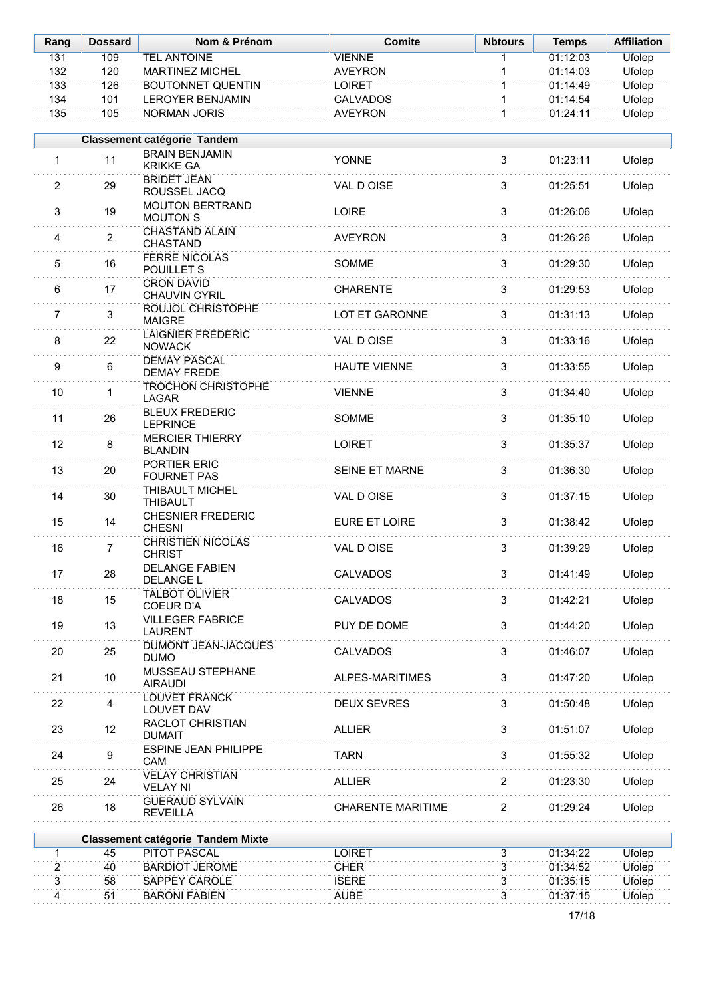| Rang           | <b>Dossard</b> | Nom & Prénom                              | <b>Comite</b>            | <b>Nbtours</b> | <b>Temps</b> | <b>Affiliation</b> |
|----------------|----------------|-------------------------------------------|--------------------------|----------------|--------------|--------------------|
| 131            | 109            | <b>TEL ANTOINE</b>                        | <b>VIENNE</b>            | 1              | 01:12:03     | <b>Ufolep</b>      |
| 132            | 120            | <b>MARTINEZ MICHEL</b>                    | <b>AVEYRON</b>           | 1              | 01:14:03     | Ufolep             |
| 133            | 126            | <b>BOUTONNET QUENTIN</b>                  | <b>LOIRET</b>            | $\overline{1}$ | 01:14:49     | <b>Ufolep</b>      |
| 134            | 101            | <b>LEROYER BENJAMIN</b>                   | <b>CALVADOS</b>          | $\mathbf{1}$   | 01:14:54     | Ufolep             |
| 135            | 105            | <b>NORMAN JORIS</b>                       | <b>AVEYRON</b>           | $\overline{1}$ | 01:24:11     | <b>Ufolep</b>      |
|                |                | Classement catégorie Tandem               |                          |                |              |                    |
| $\mathbf{1}$   | 11             | <b>BRAIN BENJAMIN</b><br><b>KRIKKE GA</b> | <b>YONNE</b>             | 3              | 01:23:11     | Ufolep             |
| 2              | 29             | <b>BRIDET JEAN</b><br>ROUSSEL JACQ        | VAL D OISE               | 3              | 01:25:51     | Ufolep             |
| 3              | 19             | <b>MOUTON BERTRAND</b><br><b>MOUTON S</b> | LOIRE                    | 3              | 01:26:06     | Ufolep             |
| 4              | $\overline{2}$ | <b>CHASTAND ALAIN</b><br>CHASTAND         | <b>AVEYRON</b>           | 3              | 01:26:26     | Ufolep             |
| 5              | 16             | <b>FERRE NICOLAS</b><br>POUILLET S        | SOMME                    | 3              | 01:29:30     | Ufolep             |
| 6              | 17             | <b>CRON DAVID</b><br>CHAUVIN CYRIL        | <b>CHARENTE</b>          | 3              | 01:29:53     | Ufolep             |
| $\overline{7}$ | 3              | ROUJOL CHRISTOPHE<br><b>MAIGRE</b>        | LOT ET GARONNE           | 3              | 01:31:13     | Ufolep             |
| 8              | 22             | <b>LAIGNIER FREDERIC</b><br><b>NOWACK</b> | VAL D OISE               | 3              | 01:33:16     | Ufolep             |
| 9              | 6              | <b>DEMAY PASCAL</b><br><b>DEMAY FREDE</b> | <b>HAUTE VIENNE</b>      | 3              | 01:33:55     | Ufolep             |
| 10             | 1              | <b>TROCHON CHRISTOPHE</b><br><b>LAGAR</b> | <b>VIENNE</b>            | 3              | 01:34:40     | Ufolep             |
| 11             | 26             | <b>BLEUX FREDERIC</b><br><b>LEPRINCE</b>  | SOMME                    | 3              | 01:35:10     | Ufolep             |
| 12             | 8              | <b>MERCIER THIERRY</b><br><b>BLANDIN</b>  | <b>LOIRET</b>            | 3              | 01:35:37     | Ufolep             |
| 13             | 20             | PORTIER ERIC<br><b>FOURNET PAS</b>        | SEINE ET MARNE           | 3              | 01:36:30     | Ufolep             |
| 14             | 30             | THIBAULT MICHEL<br><b>THIBAULT</b>        | VAL D OISE               | 3              | 01:37:15     | Ufolep             |
| 15             | 14             | <b>CHESNIER FREDERIC</b><br><b>CHESNI</b> | EURE ET LOIRE            | 3              | 01:38:42     | Ufolep             |
| 16             | $\overline{7}$ | <b>CHRISTIEN NICOLAS</b><br><b>CHRIST</b> | VAL D OISE               | 3              | 01:39:29     | Ufolep             |
| 17             | 28             | <b>DELANGE FABIEN</b><br><b>DELANGE L</b> | <b>CALVADOS</b>          | 3              | 01:41:49     | Ufolep             |
| 18             | 15             | <b>TALBOT OLIVIER</b><br><b>COEUR D'A</b> | <b>CALVADOS</b>          | 3              | 01:42:21     | Ufolep             |
| 19             | 13             | <b>VILLEGER FABRICE</b><br><b>LAURENT</b> | PUY DE DOME              | 3              | 01:44:20     | Ufolep             |
| 20             | 25             | <b>DUMONT JEAN-JACQUES</b><br><b>DUMO</b> | <b>CALVADOS</b>          | 3              | 01:46:07     | Ufolep             |
| 21             | 10             | <b>MUSSEAU STEPHANE</b><br><b>AIRAUDI</b> | ALPES-MARITIMES          | 3              | 01:47:20     | Ufolep             |
| 22             | 4              | <b>LOUVET FRANCK</b><br>LOUVET DAV        | <b>DEUX SEVRES</b>       | 3              | 01:50:48     | Ufolep             |
| 23             | 12             | <b>RACLOT CHRISTIAN</b><br><b>DUMAIT</b>  | <b>ALLIER</b>            | 3              | 01:51:07     | Ufolep             |
| 24             | 9              | <b>ESPINE JEAN PHILIPPE</b><br>CAM        | <b>TARN</b>              | 3              | 01:55:32     | Ufolep             |
| 25             | 24             | <b>VELAY CHRISTIAN</b><br><b>VELAY NI</b> | <b>ALLIER</b>            | $\overline{2}$ | 01:23:30     | Ufolep             |
| 26             | 18             | <b>GUERAUD SYLVAIN</b><br><b>REVEILLA</b> | <b>CHARENTE MARITIME</b> | $\overline{2}$ | 01:29:24     | Ufolep             |
|                |                | <b>Classement catégorie Tandem Mixte</b>  |                          |                |              |                    |
| $\mathbf{1}$   | 45             | <b>PITOT PASCAL</b>                       | <b>LOIRET</b>            | 3              | 01:34:22     | <b>Ufolep</b>      |
| $\overline{2}$ | 40             | <b>BARDIOT JEROME</b>                     | <b>CHER</b>              | 3              | 01:34:52     | <b>Ufolep</b>      |
| 3              | 58             | SAPPEY CAROLE                             | <b>ISERE</b>             | $\overline{3}$ | 01:35:15     | <b>Ufolep</b>      |
| $\overline{4}$ | 51             | <b>BARONI FABIEN</b>                      | <b>AUBE</b>              | $\overline{3}$ | 01:37:15     | <b>Ufolep</b>      |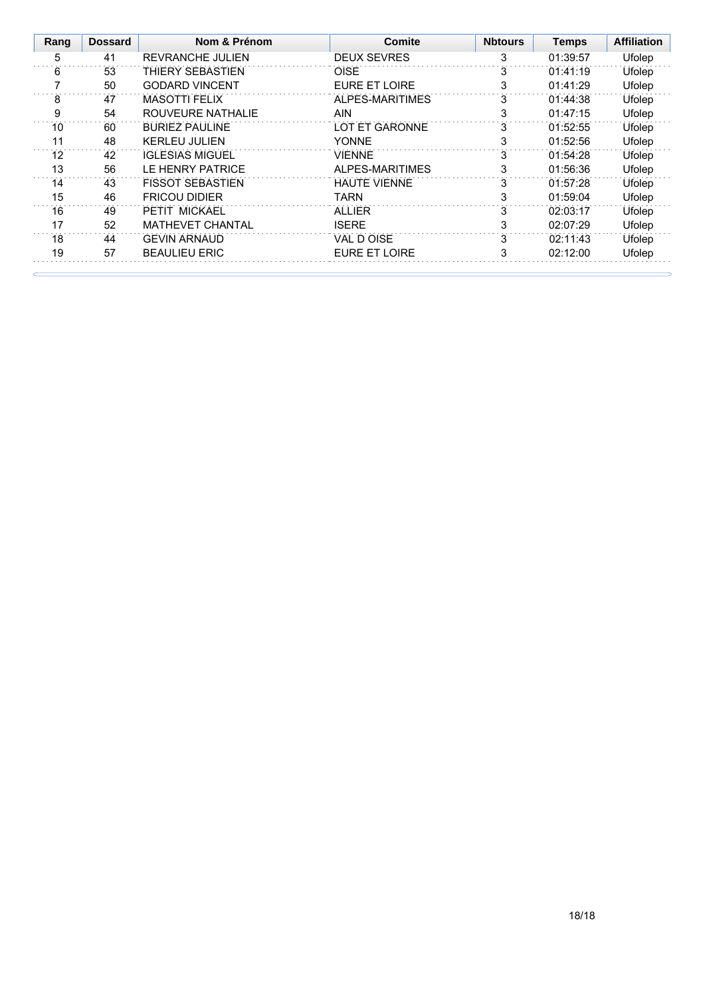| Rang | <b>Dossard</b> | Nom & Prénom            | Comite               | <b>Nbtours</b> | <b>Temps</b> | <b>Affiliation</b> |
|------|----------------|-------------------------|----------------------|----------------|--------------|--------------------|
| 5    | 41             | <b>REVRANCHE JULIEN</b> | <b>DEUX SEVRES</b>   | 3              | 01:39:57     | Ufolep             |
| 6    | 53             | <b>THIERY SEBASTIEN</b> | <b>OISE</b>          | 3              | 01:41:19     | Ufolep             |
|      | 50             | <b>GODARD VINCENT</b>   | <b>EURE ET LOIRE</b> | 3              | 01:41:29     | Ufolep             |
| 8    | 47             | <b>MASOTTI FELIX</b>    | ALPES-MARITIMES      | 3              | 01:44:38     | Ufolep             |
| 9    | 54             | ROUVEURE NATHALIE       | <b>AIN</b>           | 3              | 01:47:15     | Ufolep             |
| 10   | 60             | <b>BURIEZ PAULINE</b>   | LOT ET GARONNE       | 3              | 01:52:55     | Ufolep             |
| 11   | 48             | KERI FU JULIEN          | <b>YONNE</b>         | 3              | 01:52:56     | Ufolep             |
| 12   | 42             | <b>IGLESIAS MIGUEL</b>  | <b>VIENNE</b>        | 3              | 01:54:28     | Ufolep             |
| 13   | 56             | LE HENRY PATRICE        | ALPES-MARITIMES      | 3              | 01:56:36     | Ufolep             |
| 14   | 43             | <b>FISSOT SEBASTIEN</b> | <b>HAUTE VIENNE</b>  | 3              | 01:57:28     | Ufolep             |
| 15   | 46             | <b>FRICOU DIDIER</b>    | TARN                 | 3              | 01:59:04     | Ufolep             |
| 16   | 49             | PETIT MICKAEL           | <b>ALLIER</b>        | 3              | 02:03:17     | Ufolep             |
| 17   | 52             | <b>MATHEVET CHANTAL</b> | <b>ISERE</b>         | 3              | 02:07:29     | Ufolep             |
| 18   | 44             | <b>GEVIN ARNAUD</b>     | VAL D OISE           | 3              | 02:11:43     | Ufolep             |
| 19   | 57             | <b>BEAULIEU ERIC</b>    | <b>EURE ET LOIRE</b> | 3              | 02:12:00     | Ufolep             |
|      |                |                         |                      |                |              |                    |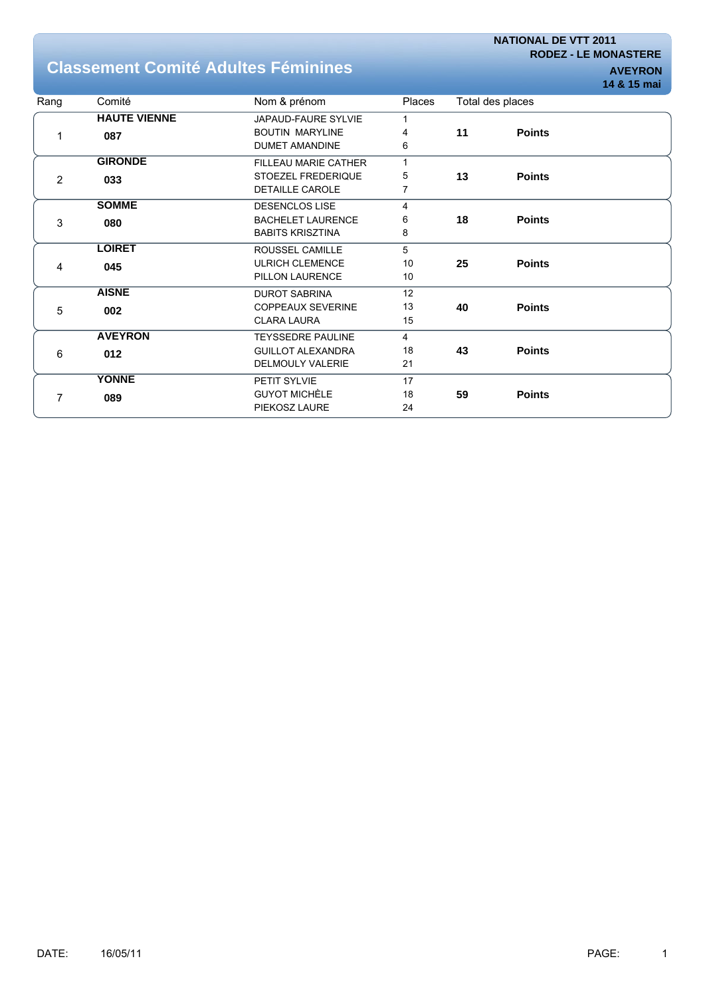**NATIONAL DE VTT 2011 RODEZ - LE MONASTERE**

## **Classement Comité Adultes Féminines AUGES AUGES**

|                |                     |                          |              |    |                  | 14 & 15 mai |
|----------------|---------------------|--------------------------|--------------|----|------------------|-------------|
| Rang           | Comité              | Nom & prénom             | Places       |    | Total des places |             |
|                | <b>HAUTE VIENNE</b> | JAPAUD-FAURE SYLVIE      | 1            |    |                  |             |
| 1              | 087                 | <b>BOUTIN MARYLINE</b>   | 4            | 11 | <b>Points</b>    |             |
|                |                     | <b>DUMET AMANDINE</b>    | 6            |    |                  |             |
|                | <b>GIRONDE</b>      | FILLEAU MARIE CATHER     | $\mathbf{1}$ |    |                  |             |
| $\overline{2}$ | 033                 | STOEZEL FREDERIQUE       | 5            | 13 | <b>Points</b>    |             |
|                |                     | <b>DETAILLE CAROLE</b>   | 7            |    |                  |             |
|                | <b>SOMME</b>        | <b>DESENCLOS LISE</b>    | 4            |    |                  |             |
| 3              | 080                 | <b>BACHELET LAURENCE</b> | 6            | 18 | <b>Points</b>    |             |
|                |                     | <b>BABITS KRISZTINA</b>  | 8            |    |                  |             |
|                | <b>LOIRET</b>       | ROUSSEL CAMILLE          | 5            |    |                  |             |
| 4              | 045                 | <b>ULRICH CLEMENCE</b>   | 10           | 25 | <b>Points</b>    |             |
|                |                     | PILLON LAURENCE          | 10           |    |                  |             |
|                | <b>AISNE</b>        | <b>DUROT SABRINA</b>     | 12           |    |                  |             |
| 5              | 002                 | <b>COPPEAUX SEVERINE</b> | 13           | 40 | <b>Points</b>    |             |
|                |                     | <b>CLARA LAURA</b>       | 15           |    |                  |             |
|                | <b>AVEYRON</b>      | <b>TEYSSEDRE PAULINE</b> | 4            |    |                  |             |
| 6              | 012                 | <b>GUILLOT ALEXANDRA</b> | 18           | 43 | <b>Points</b>    |             |
|                |                     | <b>DELMOULY VALERIE</b>  | 21           |    |                  |             |
|                | <b>YONNE</b>        | PETIT SYLVIE             | 17           |    |                  |             |
| 7              | 089                 | <b>GUYOT MICHÈLE</b>     | 18           | 59 | <b>Points</b>    |             |
|                |                     | PIEKOSZ LAURE            | 24           |    |                  |             |
|                |                     |                          |              |    |                  |             |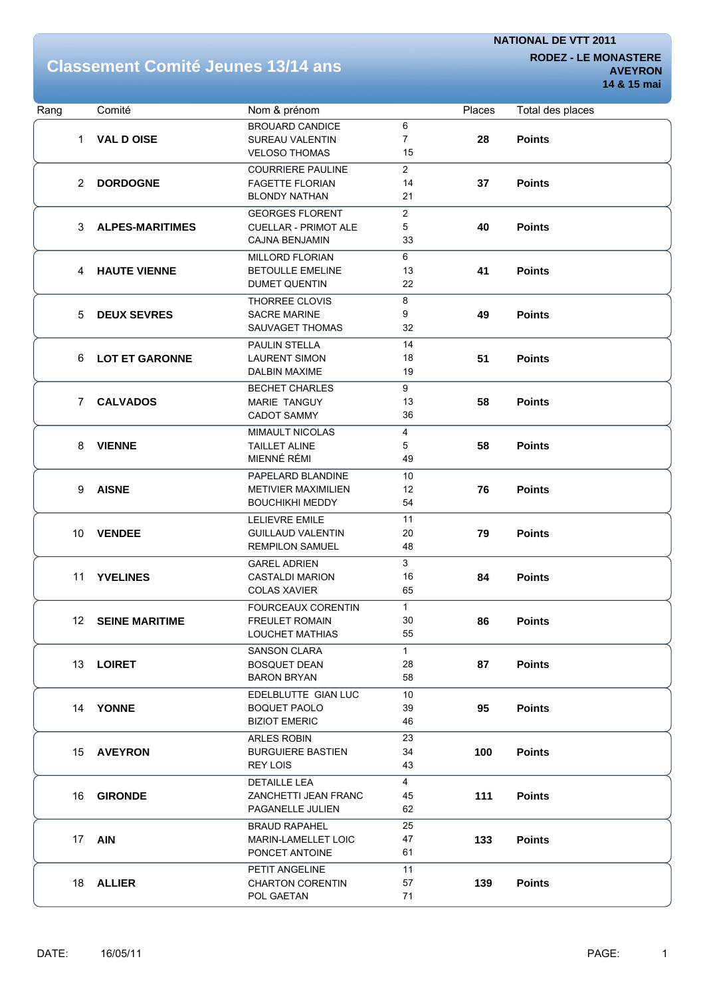# **Classement Comité Jeunes 13/14 ans RODEZ-LE MONASTERE**

**AVEYRON 14 & 15 mai**

| Rang                  | Comité                 | Nom & prénom                                |                      | Places | Total des places |
|-----------------------|------------------------|---------------------------------------------|----------------------|--------|------------------|
|                       |                        | <b>BROUARD CANDICE</b>                      | 6                    |        |                  |
| 1.                    | <b>VAL D OISE</b>      | <b>SUREAU VALENTIN</b>                      | $\overline{7}$       | 28     | <b>Points</b>    |
|                       |                        | <b>VELOSO THOMAS</b>                        | 15                   |        |                  |
|                       |                        | <b>COURRIERE PAULINE</b>                    | $\overline{2}$       |        |                  |
| $\mathbf{2}^{\prime}$ | <b>DORDOGNE</b>        | <b>FAGETTE FLORIAN</b>                      | 14                   | 37     | <b>Points</b>    |
|                       |                        | <b>BLONDY NATHAN</b>                        | 21                   |        |                  |
|                       |                        | <b>GEORGES FLORENT</b>                      | $\overline{c}$       |        |                  |
| 3                     | <b>ALPES-MARITIMES</b> | <b>CUELLAR - PRIMOT ALE</b>                 | 5                    | 40     | <b>Points</b>    |
|                       |                        | <b>CAJNA BENJAMIN</b>                       | 33                   |        |                  |
|                       |                        | MILLORD FLORIAN                             | 6                    |        |                  |
| 4                     | <b>HAUTE VIENNE</b>    | <b>BETOULLE EMELINE</b>                     | 13                   | 41     | <b>Points</b>    |
|                       |                        | <b>DUMET QUENTIN</b>                        | 22                   |        |                  |
|                       |                        | THORREE CLOVIS                              | 8                    |        |                  |
| 5                     | <b>DEUX SEVRES</b>     | <b>SACRE MARINE</b>                         | 9                    | 49     | <b>Points</b>    |
|                       |                        | SAUVAGET THOMAS                             | 32                   |        |                  |
|                       |                        | <b>PAULIN STELLA</b>                        | 14                   |        |                  |
| 6                     | <b>LOT ET GARONNE</b>  | <b>LAURENT SIMON</b>                        | 18                   | 51     | <b>Points</b>    |
|                       |                        | DALBIN MAXIME                               | 19                   |        |                  |
|                       |                        | <b>BECHET CHARLES</b>                       | 9                    |        |                  |
| 7                     | <b>CALVADOS</b>        | <b>MARIE TANGUY</b>                         | 13                   | 58     | <b>Points</b>    |
|                       |                        | <b>CADOT SAMMY</b>                          | 36                   |        |                  |
|                       |                        | MIMAULT NICOLAS                             | 4                    |        |                  |
| 8                     | <b>VIENNE</b>          | <b>TAILLET ALINE</b>                        | 5                    | 58     | <b>Points</b>    |
|                       |                        | MIENNÉ RÉMI                                 | 49                   |        |                  |
| 9                     |                        | PAPELARD BLANDINE                           | 10                   |        |                  |
|                       | <b>AISNE</b>           | <b>METIVIER MAXIMILIEN</b>                  | 12                   | 76     | <b>Points</b>    |
|                       |                        | <b>BOUCHIKHI MEDDY</b>                      | 54                   |        |                  |
|                       |                        | <b>LELIEVRE EMILE</b>                       | 11                   |        |                  |
| 10 <sup>°</sup>       | <b>VENDEE</b>          | <b>GUILLAUD VALENTIN</b>                    | 20                   | 79     | <b>Points</b>    |
|                       |                        | <b>REMPILON SAMUEL</b>                      | 48                   |        |                  |
|                       |                        | <b>GAREL ADRIEN</b>                         | 3                    |        |                  |
| 11                    | <b>YVELINES</b>        | <b>CASTALDI MARION</b>                      | 16                   | 84     | <b>Points</b>    |
|                       |                        | <b>COLAS XAVIER</b>                         | 65                   |        |                  |
|                       |                        | <b>FOURCEAUX CORENTIN</b>                   | $\mathbf{1}$         |        |                  |
| 12                    | <b>SEINE MARITIME</b>  | <b>FREULET ROMAIN</b>                       | 30                   | 86     | <b>Points</b>    |
|                       |                        | LOUCHET MATHIAS                             | 55                   |        |                  |
|                       |                        | <b>SANSON CLARA</b>                         | $\mathbf{1}$         |        |                  |
|                       | 13 LOIRET              | <b>BOSQUET DEAN</b>                         | 28                   | 87     | <b>Points</b>    |
|                       |                        | <b>BARON BRYAN</b>                          | 58                   |        |                  |
|                       |                        | EDELBLUTTE GIAN LUC                         | 10                   |        |                  |
|                       | 14 YONNE               | <b>BOQUET PAOLO</b><br><b>BIZIOT EMERIC</b> | 39<br>46             | 95     | <b>Points</b>    |
|                       |                        |                                             |                      |        |                  |
|                       |                        | ARLES ROBIN                                 | 23<br>34             |        |                  |
|                       | 15 AVEYRON             | <b>BURGUIERE BASTIEN</b><br>REY LOIS        | 43                   | 100    | <b>Points</b>    |
|                       |                        |                                             |                      |        |                  |
|                       | 16 GIRONDE             | <b>DETAILLE LEA</b><br>ZANCHETTI JEAN FRANC | $\overline{4}$<br>45 | 111    | <b>Points</b>    |
|                       |                        | PAGANELLE JULIEN                            | 62                   |        |                  |
|                       |                        | <b>BRAUD RAPAHEL</b>                        | 25                   |        |                  |
|                       | 17 <b>AIN</b>          | <b>MARIN-LAMELLET LOIC</b>                  | 47                   | 133    | <b>Points</b>    |
|                       |                        | PONCET ANTOINE                              | 61                   |        |                  |
|                       |                        | PETIT ANGELINE                              | 11                   |        |                  |
|                       | 18 ALLIER              | <b>CHARTON CORENTIN</b>                     | 57                   | 139    | <b>Points</b>    |
|                       |                        | POL GAETAN                                  | 71                   |        |                  |
|                       |                        |                                             |                      |        |                  |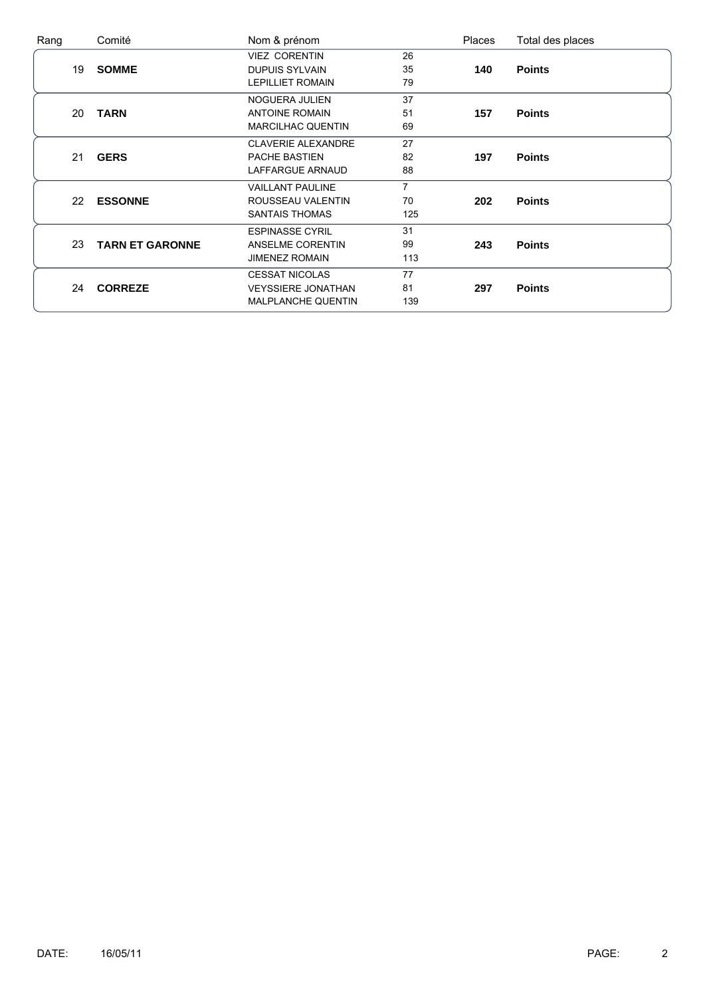| Rang |    | Comité                 | Nom & prénom              |                | Places | Total des places |
|------|----|------------------------|---------------------------|----------------|--------|------------------|
|      |    |                        | <b>VIEZ CORENTIN</b>      | 26             |        |                  |
|      | 19 | <b>SOMME</b>           | <b>DUPUIS SYLVAIN</b>     | 35             | 140    | <b>Points</b>    |
|      |    |                        | <b>LEPILLIET ROMAIN</b>   | 79             |        |                  |
|      |    |                        | NOGUERA JULIEN            | 37             |        |                  |
|      | 20 | <b>TARN</b>            | <b>ANTOINE ROMAIN</b>     | 51             | 157    | <b>Points</b>    |
|      |    |                        | <b>MARCILHAC QUENTIN</b>  | 69             |        |                  |
|      |    |                        | <b>CLAVERIE ALEXANDRE</b> | 27             |        |                  |
|      | 21 | <b>GERS</b>            | PACHE BASTIEN             | 82             | 197    | <b>Points</b>    |
|      |    |                        | LAFFARGUE ARNAUD          | 88             |        |                  |
|      |    |                        | <b>VAILLANT PAULINE</b>   | $\overline{7}$ |        |                  |
|      | 22 | <b>ESSONNE</b>         | ROUSSEAU VALENTIN         | 70             | 202    | <b>Points</b>    |
|      |    |                        | <b>SANTAIS THOMAS</b>     | 125            |        |                  |
|      |    |                        | <b>ESPINASSE CYRIL</b>    | 31             |        |                  |
|      | 23 | <b>TARN ET GARONNE</b> | ANSELME CORENTIN          | 99             | 243    | <b>Points</b>    |
|      |    |                        | <b>JIMENEZ ROMAIN</b>     | 113            |        |                  |
|      |    |                        | <b>CESSAT NICOLAS</b>     | 77             |        |                  |
|      | 24 | <b>CORREZE</b>         | <b>VEYSSIERE JONATHAN</b> | 81             | 297    | <b>Points</b>    |
|      |    |                        | <b>MALPLANCHE QUENTIN</b> | 139            |        |                  |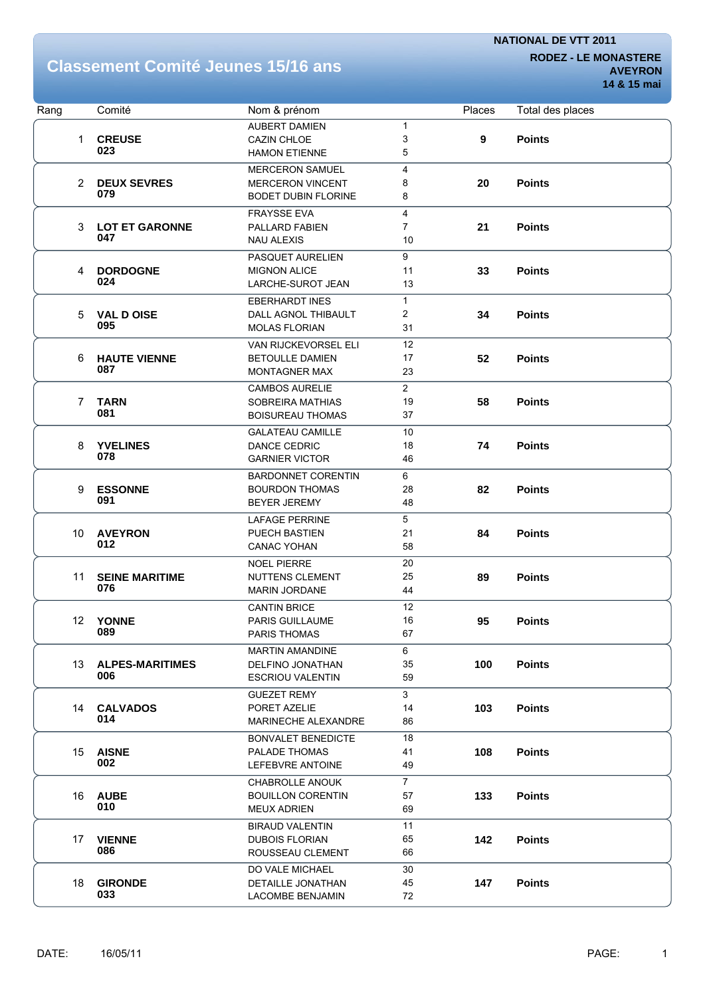# **Classement Comité Jeunes 15/16 ans RODEZ-LE MONASTERE**

**AVEYRON 14 & 15 mai**

| Rang            | Comité                 | Nom & prénom                |                | Places | Total des places |
|-----------------|------------------------|-----------------------------|----------------|--------|------------------|
|                 |                        | <b>AUBERT DAMIEN</b>        | $\mathbf{1}$   |        |                  |
|                 | 1 CREUSE               | <b>CAZIN CHLOE</b>          | 3              | 9      | <b>Points</b>    |
|                 | 023                    | <b>HAMON ETIENNE</b>        | 5              |        |                  |
|                 |                        | <b>MERCERON SAMUEL</b>      | 4              |        |                  |
|                 | 2 DEUX SEVRES          | <b>MERCERON VINCENT</b>     | 8              | 20     | <b>Points</b>    |
|                 | 079                    | <b>BODET DUBIN FLORINE</b>  | 8              |        |                  |
|                 |                        | <b>FRAYSSE EVA</b>          | 4              |        |                  |
| 3               | <b>LOT ET GARONNE</b>  | PALLARD FABIEN              | $\overline{7}$ | 21     | <b>Points</b>    |
|                 | 047                    | <b>NAU ALEXIS</b>           | 10             |        |                  |
|                 |                        | PASQUET AURELIEN            | 9              |        |                  |
| 4               | <b>DORDOGNE</b>        | <b>MIGNON ALICE</b>         | 11             | 33     | <b>Points</b>    |
|                 | 024                    | LARCHE-SUROT JEAN           | 13             |        |                  |
|                 |                        | <b>EBERHARDT INES</b>       | $\mathbf{1}$   |        |                  |
| 5               | <b>VAL D OISE</b>      | DALL AGNOL THIBAULT         | 2              | 34     | <b>Points</b>    |
|                 | 095                    | <b>MOLAS FLORIAN</b>        | 31             |        |                  |
|                 |                        | <b>VAN RIJCKEVORSEL ELI</b> | 12             |        |                  |
| 6               | <b>HAUTE VIENNE</b>    | <b>BETOULLE DAMIEN</b>      | 17             | 52     | <b>Points</b>    |
|                 | 087                    | <b>MONTAGNER MAX</b>        | 23             |        |                  |
|                 |                        | <b>CAMBOS AURELIE</b>       | $\overline{2}$ |        |                  |
| $\overline{7}$  | <b>TARN</b>            | SOBREIRA MATHIAS            | 19             | 58     | <b>Points</b>    |
|                 | 081                    | <b>BOISUREAU THOMAS</b>     | 37             |        |                  |
|                 |                        |                             |                |        |                  |
|                 |                        | <b>GALATEAU CAMILLE</b>     | 10             |        |                  |
| 8               | <b>YVELINES</b><br>078 | DANCE CEDRIC                | 18             | 74     | <b>Points</b>    |
|                 |                        | <b>GARNIER VICTOR</b>       | 46             |        |                  |
|                 |                        | <b>BARDONNET CORENTIN</b>   | 6              |        |                  |
| 9               | <b>ESSONNE</b><br>091  | <b>BOURDON THOMAS</b>       | 28             | 82     | <b>Points</b>    |
|                 |                        | <b>BEYER JEREMY</b>         | 48             |        |                  |
|                 |                        | <b>LAFAGE PERRINE</b>       | 5              |        |                  |
| 10 <sup>°</sup> | <b>AVEYRON</b>         | PUECH BASTIEN               | 21             | 84     | <b>Points</b>    |
|                 | 012                    | <b>CANAC YOHAN</b>          | 58             |        |                  |
|                 |                        | <b>NOEL PIERRE</b>          | 20             |        |                  |
| 11              | <b>SEINE MARITIME</b>  | <b>NUTTENS CLEMENT</b>      | 25             | 89     | <b>Points</b>    |
|                 | 076                    | <b>MARIN JORDANE</b>        | 44             |        |                  |
|                 |                        | <b>CANTIN BRICE</b>         | 12             |        |                  |
| 12 <sup>°</sup> | <b>YONNE</b>           | <b>PARIS GUILLAUME</b>      | 16             | 95     | <b>Points</b>    |
|                 | 089                    | PARIS THOMAS                | 67             |        |                  |
|                 |                        | <b>MARTIN AMANDINE</b>      | 6              |        |                  |
| 13              | <b>ALPES-MARITIMES</b> | DELFINO JONATHAN            | 35             | 100    | <b>Points</b>    |
|                 | 006                    | <b>ESCRIOU VALENTIN</b>     | 59             |        |                  |
|                 |                        | <b>GUEZET REMY</b>          | 3              |        |                  |
| 14              | <b>CALVADOS</b>        | PORET AZELIE                | 14             | 103    | <b>Points</b>    |
|                 | 014                    | MARINECHE ALEXANDRE         | 86             |        |                  |
|                 |                        | <b>BONVALET BENEDICTE</b>   | 18             |        |                  |
| 15              | <b>AISNE</b>           | PALADE THOMAS               | 41             | 108    | <b>Points</b>    |
|                 | 002                    | LEFEBVRE ANTOINE            | 49             |        |                  |
|                 |                        | CHABROLLE ANOUK             | $\overline{7}$ |        |                  |
| 16              | <b>AUBE</b>            | <b>BOUILLON CORENTIN</b>    | 57             | 133    | <b>Points</b>    |
|                 | 010                    | <b>MEUX ADRIEN</b>          | 69             |        |                  |
|                 |                        | <b>BIRAUD VALENTIN</b>      | 11             |        |                  |
| 17              | <b>VIENNE</b>          | <b>DUBOIS FLORIAN</b>       | 65             | 142    | <b>Points</b>    |
|                 | 086                    | ROUSSEAU CLEMENT            | 66             |        |                  |
|                 |                        | DO VALE MICHAEL             | 30             |        |                  |
| 18              | <b>GIRONDE</b>         | DETAILLE JONATHAN           | 45             | 147    | <b>Points</b>    |
|                 | 033                    | LACOMBE BENJAMIN            | 72             |        |                  |
|                 |                        |                             |                |        |                  |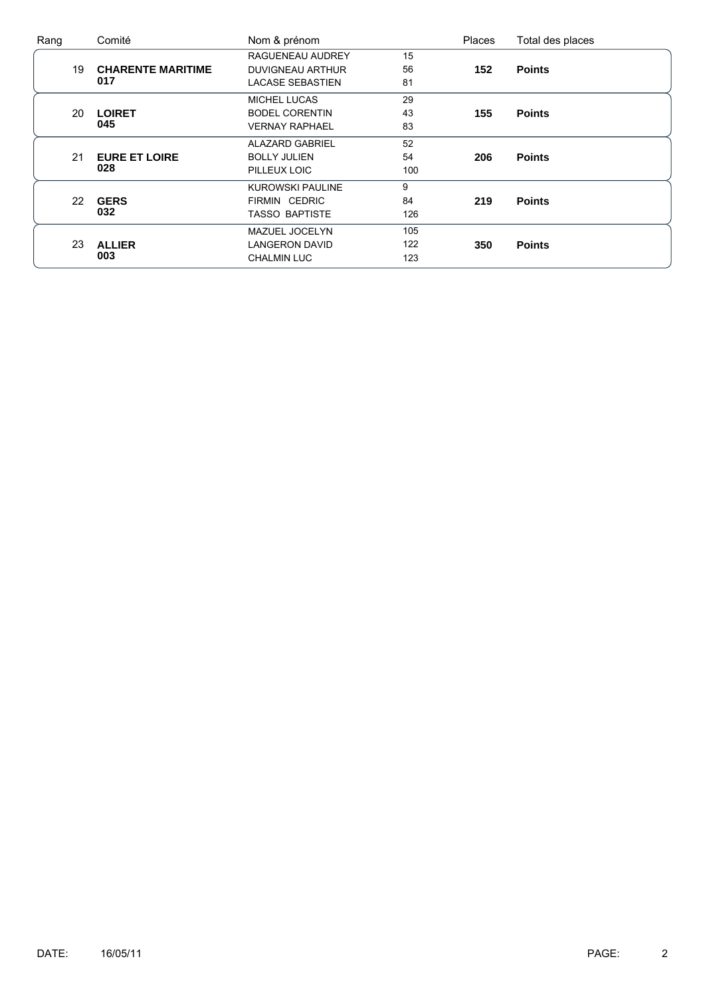| Rang |    | Comité                   | Nom & prénom            |     | <b>Places</b> | Total des places |
|------|----|--------------------------|-------------------------|-----|---------------|------------------|
|      |    |                          | RAGUENEAU AUDREY        | 15  |               |                  |
|      | 19 | <b>CHARENTE MARITIME</b> | <b>DUVIGNEAU ARTHUR</b> | 56  | 152           | <b>Points</b>    |
|      |    | 017                      | <b>LACASE SEBASTIEN</b> | 81  |               |                  |
|      |    |                          | <b>MICHEL LUCAS</b>     | 29  |               |                  |
|      | 20 | <b>LOIRET</b>            | <b>BODEL CORENTIN</b>   | 43  | 155           | <b>Points</b>    |
|      |    | 045                      | <b>VERNAY RAPHAEL</b>   | 83  |               |                  |
|      |    |                          | <b>ALAZARD GABRIEL</b>  | 52  |               |                  |
|      | 21 | <b>EURE ET LOIRE</b>     | <b>BOLLY JULIEN</b>     | 54  | 206           | <b>Points</b>    |
|      |    | 028                      | PILLEUX LOIC            | 100 |               |                  |
|      |    |                          | <b>KUROWSKI PAULINE</b> | 9   |               |                  |
|      | 22 | <b>GERS</b>              | FIRMIN CEDRIC           | 84  | 219           | <b>Points</b>    |
|      |    | 032                      | <b>TASSO BAPTISTE</b>   | 126 |               |                  |
|      |    |                          | MAZUEL JOCELYN          | 105 |               |                  |
|      | 23 | <b>ALLIER</b>            | <b>LANGERON DAVID</b>   | 122 | 350           | <b>Points</b>    |
|      |    | 003                      | <b>CHALMIN LUC</b>      | 123 |               |                  |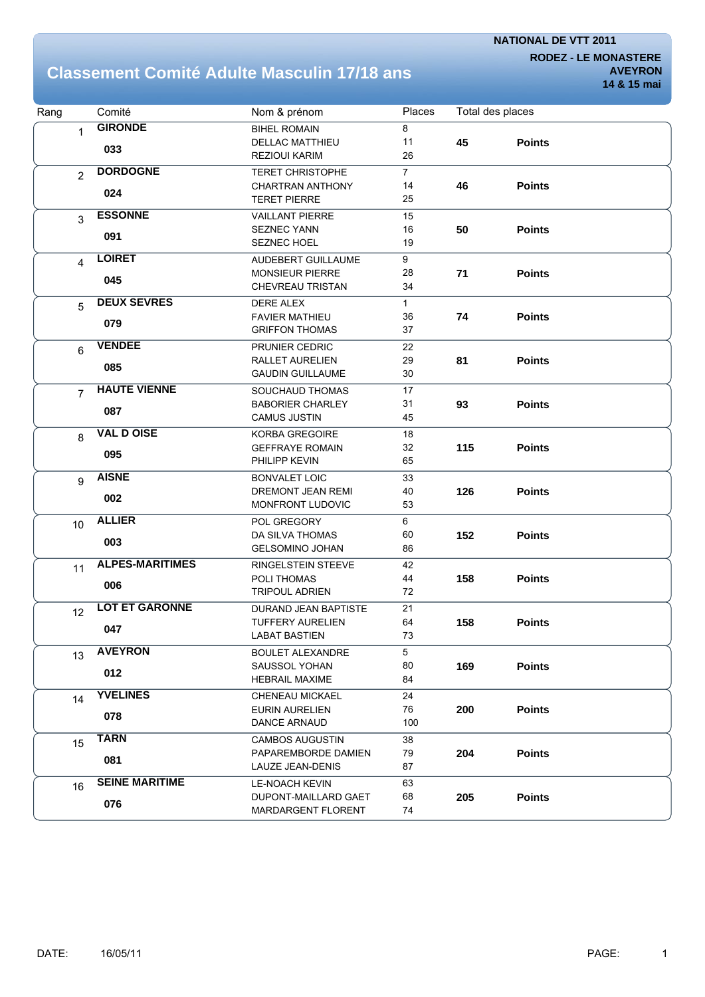**RODEZ - LE MONASTERE AVEYRON**

### **Classement Comité Adulte Masculin 17/18 ans**

| Rang                    | Comité                 | Nom & prénom             | Places         | Total des places |               |  |
|-------------------------|------------------------|--------------------------|----------------|------------------|---------------|--|
| $\mathbf{1}$            | <b>GIRONDE</b>         | <b>BIHEL ROMAIN</b>      | 8              |                  |               |  |
|                         | 033                    | <b>DELLAC MATTHIEU</b>   | 11             | 45               | <b>Points</b> |  |
|                         |                        | <b>REZIOUI KARIM</b>     | 26             |                  |               |  |
| $\overline{2}$          | <b>DORDOGNE</b>        | <b>TERET CHRISTOPHE</b>  | $\overline{7}$ |                  |               |  |
|                         |                        | <b>CHARTRAN ANTHONY</b>  | 14             | 46               | <b>Points</b> |  |
|                         | 024                    | <b>TERET PIERRE</b>      | 25             |                  |               |  |
| 3                       | <b>ESSONNE</b>         | <b>VAILLANT PIERRE</b>   | 15             |                  |               |  |
|                         |                        | SEZNEC YANN              | 16             | 50               | <b>Points</b> |  |
|                         | 091                    | <b>SEZNEC HOEL</b>       | 19             |                  |               |  |
| $\overline{\mathbf{4}}$ | <b>LOIRET</b>          | AUDEBERT GUILLAUME       | 9              |                  |               |  |
|                         |                        | <b>MONSIEUR PIERRE</b>   | 28             | 71               | <b>Points</b> |  |
|                         | 045                    | CHEVREAU TRISTAN         | 34             |                  |               |  |
| 5                       | <b>DEUX SEVRES</b>     | <b>DERE ALEX</b>         | $\mathbf{1}$   |                  |               |  |
|                         |                        | <b>FAVIER MATHIEU</b>    | 36             | 74               | <b>Points</b> |  |
|                         | 079                    | <b>GRIFFON THOMAS</b>    | 37             |                  |               |  |
| 6                       | <b>VENDEE</b>          | PRUNIER CEDRIC           | 22             |                  |               |  |
|                         |                        | RALLET AURELIEN          | 29             | 81               | <b>Points</b> |  |
|                         | 085                    | <b>GAUDIN GUILLAUME</b>  | 30             |                  |               |  |
| $\overline{7}$          | <b>HAUTE VIENNE</b>    | SOUCHAUD THOMAS          | 17             |                  |               |  |
|                         |                        | <b>BABORIER CHARLEY</b>  | 31             | 93               | <b>Points</b> |  |
|                         | 087                    | <b>CAMUS JUSTIN</b>      | 45             |                  |               |  |
| 8                       | <b>VAL D OISE</b>      | <b>KORBA GREGOIRE</b>    | 18             |                  |               |  |
|                         |                        | <b>GEFFRAYE ROMAIN</b>   | 32             | 115              | <b>Points</b> |  |
|                         | 095                    | PHILIPP KEVIN            | 65             |                  |               |  |
| 9                       | <b>AISNE</b>           | <b>BONVALET LOIC</b>     | 33             |                  |               |  |
|                         |                        | <b>DREMONT JEAN REMI</b> | 40             | 126              | <b>Points</b> |  |
|                         | 002                    | MONFRONT LUDOVIC         | 53             |                  |               |  |
| 10                      | <b>ALLIER</b>          | POL GREGORY              | 6              |                  |               |  |
|                         |                        | DA SILVA THOMAS          | 60             | 152              | <b>Points</b> |  |
|                         | 003                    | <b>GELSOMINO JOHAN</b>   | 86             |                  |               |  |
| 11                      | <b>ALPES-MARITIMES</b> | RINGELSTEIN STEEVE       | 42             |                  |               |  |
|                         |                        | POLI THOMAS              | 44             | 158              | <b>Points</b> |  |
|                         | 006                    | <b>TRIPOUL ADRIEN</b>    | 72             |                  |               |  |
| 12                      | <b>LOT ET GARONNE</b>  | DURAND JEAN BAPTISTE     | 21             |                  |               |  |
|                         |                        | <b>TUFFERY AURELIEN</b>  | 64             | 158              | <b>Points</b> |  |
|                         | 047                    | <b>LABAT BASTIEN</b>     | 73             |                  |               |  |
| 13                      | <b>AVEYRON</b>         | <b>BOULET ALEXANDRE</b>  | 5              |                  |               |  |
|                         |                        | SAUSSOL YOHAN            | 80             | 169              | <b>Points</b> |  |
|                         | 012                    | <b>HEBRAIL MAXIME</b>    | 84             |                  |               |  |
| 14                      | <b>YVELINES</b>        | CHENEAU MICKAEL          | 24             |                  |               |  |
|                         |                        | <b>EURIN AURELIEN</b>    | 76             | 200              | <b>Points</b> |  |
|                         | 078                    | DANCE ARNAUD             | 100            |                  |               |  |
| 15                      | <b>TARN</b>            | <b>CAMBOS AUGUSTIN</b>   | 38             |                  |               |  |
|                         |                        | PAPAREMBORDE DAMIEN      | 79             | 204              | <b>Points</b> |  |
|                         | 081                    | LAUZE JEAN-DENIS         | 87             |                  |               |  |
| 16                      | <b>SEINE MARITIME</b>  | <b>LE-NOACH KEVIN</b>    | 63             |                  |               |  |
|                         |                        | DUPONT-MAILLARD GAET     | 68             | 205              | <b>Points</b> |  |
|                         | 076                    | MARDARGENT FLORENT       | 74             |                  |               |  |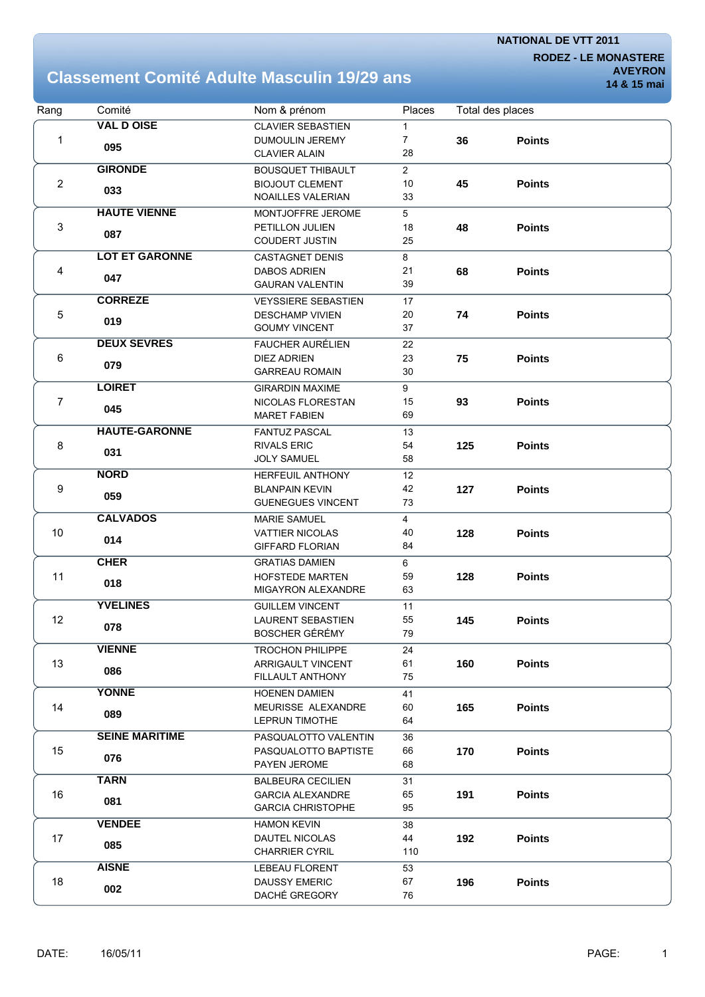**RODEZ - LE MONASTERE**

## **Classement Comité Adulte Masculin 19/29 ans**

**AVEYRON 14 & 15 mai**

| Rang           | Comité                | Nom & prénom                          | Places         |     | Total des places |  |
|----------------|-----------------------|---------------------------------------|----------------|-----|------------------|--|
|                | <b>VAL D OISE</b>     | <b>CLAVIER SEBASTIEN</b>              | 1              |     |                  |  |
| 1              | 095                   | DUMOULIN JEREMY                       | $\overline{7}$ | 36  | <b>Points</b>    |  |
|                |                       | <b>CLAVIER ALAIN</b>                  | 28             |     |                  |  |
|                | <b>GIRONDE</b>        | <b>BOUSQUET THIBAULT</b>              | $\overline{2}$ |     |                  |  |
| $\overline{2}$ | 033                   | <b>BIOJOUT CLEMENT</b>                | 10             | 45  | <b>Points</b>    |  |
|                |                       | NOAILLES VALERIAN                     | 33             |     |                  |  |
|                | <b>HAUTE VIENNE</b>   | MONTJOFFRE JEROME                     | 5              |     |                  |  |
| 3              |                       | PETILLON JULIEN                       | 18             | 48  | <b>Points</b>    |  |
|                | 087                   | <b>COUDERT JUSTIN</b>                 | 25             |     |                  |  |
|                | <b>LOT ET GARONNE</b> | <b>CASTAGNET DENIS</b>                | 8              |     |                  |  |
| 4              | 047                   | <b>DABOS ADRIEN</b>                   | 21             | 68  | <b>Points</b>    |  |
|                |                       | <b>GAURAN VALENTIN</b>                | 39             |     |                  |  |
|                | <b>CORREZE</b>        | <b>VEYSSIERE SEBASTIEN</b>            | 17             |     |                  |  |
| 5              | 019                   | <b>DESCHAMP VIVIEN</b>                | 20             | 74  | <b>Points</b>    |  |
|                |                       | <b>GOUMY VINCENT</b>                  | 37             |     |                  |  |
|                | <b>DEUX SEVRES</b>    | <b>FAUCHER AURÉLIEN</b>               | 22             |     |                  |  |
| 6              | 079                   | <b>DIEZ ADRIEN</b>                    | 23             | 75  | <b>Points</b>    |  |
|                |                       | <b>GARREAU ROMAIN</b>                 | 30             |     |                  |  |
|                | <b>LOIRET</b>         | <b>GIRARDIN MAXIME</b>                | 9              |     |                  |  |
| $\overline{7}$ | 045                   | NICOLAS FLORESTAN                     | 15             | 93  | <b>Points</b>    |  |
|                |                       | <b>MARET FABIEN</b>                   | 69             |     |                  |  |
|                | <b>HAUTE-GARONNE</b>  | <b>FANTUZ PASCAL</b>                  | 13             |     |                  |  |
| 8              | 031                   | <b>RIVALS ERIC</b>                    | 54             | 125 | <b>Points</b>    |  |
|                |                       | <b>JOLY SAMUEL</b>                    | 58             |     |                  |  |
|                | <b>NORD</b>           | <b>HERFEUIL ANTHONY</b>               | 12             |     |                  |  |
| 9              | 059                   | <b>BLANPAIN KEVIN</b>                 | 42             | 127 | <b>Points</b>    |  |
|                |                       | <b>GUENEGUES VINCENT</b>              | 73             |     |                  |  |
|                | <b>CALVADOS</b>       | <b>MARIE SAMUEL</b>                   | 4              |     |                  |  |
| 10             | 014                   | <b>VATTIER NICOLAS</b>                | 40             | 128 | <b>Points</b>    |  |
|                |                       | <b>GIFFARD FLORIAN</b>                | 84             |     |                  |  |
|                | <b>CHER</b>           | <b>GRATIAS DAMIEN</b>                 | 6              |     |                  |  |
| 11             | 018                   | <b>HOFSTEDE MARTEN</b>                | 59             | 128 | <b>Points</b>    |  |
|                |                       | MIGAYRON ALEXANDRE                    | 63             |     |                  |  |
|                | <b>YVELINES</b>       | <b>GUILLEM VINCENT</b>                | 11             |     |                  |  |
| 12             | 078                   | <b>LAURENT SEBASTIEN</b>              | 55             | 145 | <b>Points</b>    |  |
|                |                       | BOSCHER GÉRÉMY                        | 79             |     |                  |  |
|                | <b>VIENNE</b>         | <b>TROCHON PHILIPPE</b>               | 24             |     |                  |  |
| 13             | 086                   | ARRIGAULT VINCENT<br>FILLAULT ANTHONY | 61<br>75       | 160 | <b>Points</b>    |  |
|                | <b>YONNE</b>          |                                       |                |     |                  |  |
|                |                       | <b>HOENEN DAMIEN</b>                  | 41             |     |                  |  |
| 14             | 089                   | MEURISSE ALEXANDRE<br>LEPRUN TIMOTHE  | 60<br>64       | 165 | <b>Points</b>    |  |
|                | <b>SEINE MARITIME</b> | PASQUALOTTO VALENTIN                  |                |     |                  |  |
| 15             |                       | PASQUALOTTO BAPTISTE                  | 36<br>66       | 170 | <b>Points</b>    |  |
|                | 076                   | PAYEN JEROME                          | 68             |     |                  |  |
|                | <b>TARN</b>           | <b>BALBEURA CECILIEN</b>              | 31             |     |                  |  |
| 16             |                       | <b>GARCIA ALEXANDRE</b>               | 65             | 191 | <b>Points</b>    |  |
|                | 081                   | <b>GARCIA CHRISTOPHE</b>              | 95             |     |                  |  |
|                | <b>VENDEE</b>         | <b>HAMON KEVIN</b>                    | 38             |     |                  |  |
| 17             |                       | <b>DAUTEL NICOLAS</b>                 | 44             | 192 | <b>Points</b>    |  |
|                | 085                   | <b>CHARRIER CYRIL</b>                 | 110            |     |                  |  |
|                | <b>AISNE</b>          | <b>LEBEAU FLORENT</b>                 | 53             |     |                  |  |
| 18             |                       | <b>DAUSSY EMERIC</b>                  | 67             | 196 | <b>Points</b>    |  |
|                | 002                   | DACHÉ GREGORY                         | 76             |     |                  |  |
|                |                       |                                       |                |     |                  |  |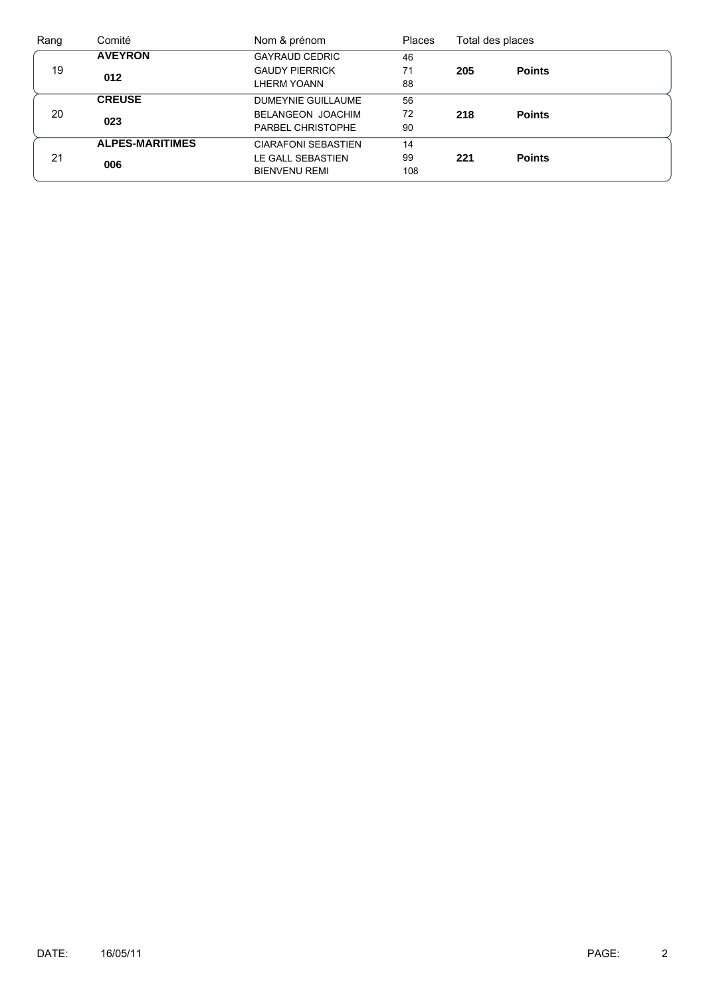| Rang | Comité                 | Nom & prénom               | <b>Places</b> | Total des places |               |  |
|------|------------------------|----------------------------|---------------|------------------|---------------|--|
|      | <b>AVEYRON</b>         | <b>GAYRAUD CEDRIC</b>      | 46            |                  |               |  |
| 19   | 012                    | <b>GAUDY PIERRICK</b>      | 71            | 205              | <b>Points</b> |  |
|      |                        | <b>LHERM YOANN</b>         | 88            |                  |               |  |
|      | <b>CREUSE</b>          | DUMEYNIE GUILLAUME         | 56            |                  |               |  |
| 20   | 023                    | <b>BELANGEON JOACHIM</b>   | 72            | 218              | <b>Points</b> |  |
|      |                        | PARBEL CHRISTOPHE          | 90            |                  |               |  |
|      | <b>ALPES-MARITIMES</b> | <b>CIARAFONI SEBASTIEN</b> | 14            |                  |               |  |
| 21   |                        | LE GALL SEBASTIEN          | 99            | 221              | <b>Points</b> |  |
|      | 006                    | <b>BIENVENU REMI</b>       | 108           |                  |               |  |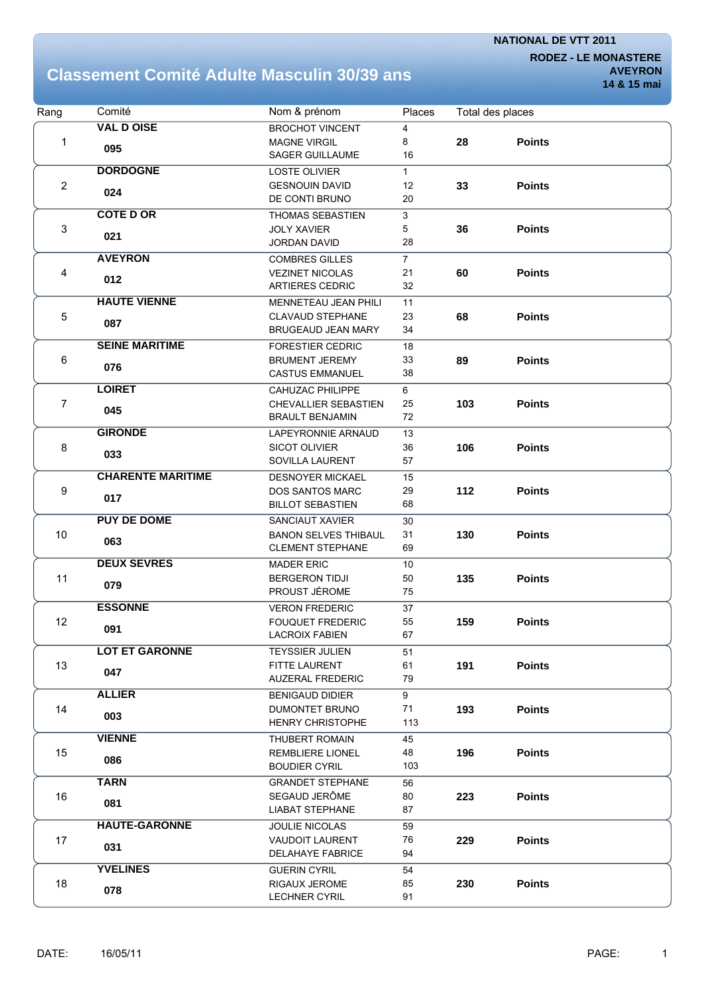**RODEZ - LE MONASTERE AVEYRON**

#### **Classement Comité Adulte Masculin 30/39 ans**

| Rang           | Comité                   | Nom & prénom                                           | Places         |     | Total des places |  |
|----------------|--------------------------|--------------------------------------------------------|----------------|-----|------------------|--|
|                | <b>VAL D OISE</b>        | <b>BROCHOT VINCENT</b>                                 | 4              |     |                  |  |
| 1              | 095                      | <b>MAGNE VIRGIL</b>                                    | 8              | 28  | <b>Points</b>    |  |
|                |                          | <b>SAGER GUILLAUME</b>                                 | 16             |     |                  |  |
|                | <b>DORDOGNE</b>          | <b>LOSTE OLIVIER</b>                                   | $\mathbf{1}$   |     |                  |  |
| $\overline{2}$ | 024                      | <b>GESNOUIN DAVID</b>                                  | 12             | 33  | <b>Points</b>    |  |
|                |                          | DE CONTI BRUNO                                         | 20             |     |                  |  |
|                | <b>COTE D OR</b>         | THOMAS SEBASTIEN                                       | 3              |     |                  |  |
| 3              | 021                      | <b>JOLY XAVIER</b>                                     | 5              | 36  | <b>Points</b>    |  |
|                |                          | <b>JORDAN DAVID</b>                                    | 28             |     |                  |  |
|                | <b>AVEYRON</b>           | <b>COMBRES GILLES</b>                                  | $\overline{7}$ |     |                  |  |
| 4              | 012                      | <b>VEZINET NICOLAS</b>                                 | 21             | 60  | <b>Points</b>    |  |
|                |                          | <b>ARTIERES CEDRIC</b>                                 | 32             |     |                  |  |
|                | <b>HAUTE VIENNE</b>      | MENNETEAU JEAN PHILI                                   | 11             |     |                  |  |
| 5              | 087                      | <b>CLAVAUD STEPHANE</b>                                | 23             | 68  | <b>Points</b>    |  |
|                |                          | BRUGEAUD JEAN MARY                                     | 34             |     |                  |  |
|                | <b>SEINE MARITIME</b>    | <b>FORESTIER CEDRIC</b>                                | 18             |     |                  |  |
| 6              | 076                      | <b>BRUMENT JEREMY</b>                                  | 33             | 89  | <b>Points</b>    |  |
|                |                          | <b>CASTUS EMMANUEL</b>                                 | 38             |     |                  |  |
|                | <b>LOIRET</b>            | <b>CAHUZAC PHILIPPE</b>                                | 6              |     |                  |  |
| 7              | 045                      | <b>CHEVALLIER SEBASTIEN</b>                            | 25             | 103 | <b>Points</b>    |  |
|                |                          | <b>BRAULT BENJAMIN</b>                                 | 72             |     |                  |  |
|                | <b>GIRONDE</b>           | LAPEYRONNIE ARNAUD                                     | 13             |     |                  |  |
| 8              | 033                      | <b>SICOT OLIVIER</b>                                   | 36             | 106 | <b>Points</b>    |  |
|                |                          | SOVILLA LAURENT                                        | 57             |     |                  |  |
|                | <b>CHARENTE MARITIME</b> | <b>DESNOYER MICKAEL</b>                                | 15             |     |                  |  |
| 9              | 017                      | <b>DOS SANTOS MARC</b>                                 | 29             | 112 | <b>Points</b>    |  |
|                | <b>PUY DE DOME</b>       | <b>BILLOT SEBASTIEN</b>                                | 68             |     |                  |  |
|                |                          | SANCIAUT XAVIER                                        | 30<br>31       |     |                  |  |
| 10             | 063                      | <b>BANON SELVES THIBAUL</b><br><b>CLEMENT STEPHANE</b> | 69             | 130 | <b>Points</b>    |  |
|                | <b>DEUX SEVRES</b>       | <b>MADER ERIC</b>                                      |                |     |                  |  |
| 11             |                          | <b>BERGERON TIDJI</b>                                  | 10<br>50       | 135 | <b>Points</b>    |  |
|                | 079                      | PROUST JÉROME                                          | 75             |     |                  |  |
|                | <b>ESSONNE</b>           | <b>VERON FREDERIC</b>                                  | 37             |     |                  |  |
| 12             |                          | <b>FOUQUET FREDERIC</b>                                | 55             | 159 | <b>Points</b>    |  |
|                | 091                      | <b>LACROIX FABIEN</b>                                  | 67             |     |                  |  |
|                | <b>LOT ET GARONNE</b>    | <b>TEYSSIER JULIEN</b>                                 | 51             |     |                  |  |
| 13             |                          | <b>FITTE LAURENT</b>                                   | 61             | 191 | <b>Points</b>    |  |
|                | 047                      | <b>AUZERAL FREDERIC</b>                                | 79             |     |                  |  |
|                | <b>ALLIER</b>            | <b>BENIGAUD DIDIER</b>                                 | 9              |     |                  |  |
| 14             |                          | <b>DUMONTET BRUNO</b>                                  | 71             | 193 | <b>Points</b>    |  |
|                | 003                      | <b>HENRY CHRISTOPHE</b>                                | 113            |     |                  |  |
|                | <b>VIENNE</b>            | THUBERT ROMAIN                                         | 45             |     |                  |  |
| 15             |                          | REMBLIERE LIONEL                                       | 48             | 196 | <b>Points</b>    |  |
|                | 086                      | <b>BOUDIER CYRIL</b>                                   | 103            |     |                  |  |
|                | <b>TARN</b>              | <b>GRANDET STEPHANE</b>                                | 56             |     |                  |  |
| 16             |                          | SEGAUD JERÔME                                          | 80             | 223 | <b>Points</b>    |  |
|                | 081                      | <b>LIABAT STEPHANE</b>                                 | 87             |     |                  |  |
|                | <b>HAUTE-GARONNE</b>     | <b>JOULIE NICOLAS</b>                                  | 59             |     |                  |  |
| 17             | 031                      | <b>VAUDOIT LAURENT</b>                                 | 76             | 229 | <b>Points</b>    |  |
|                |                          | <b>DELAHAYE FABRICE</b>                                | 94             |     |                  |  |
|                | <b>YVELINES</b>          | <b>GUERIN CYRIL</b>                                    | 54             |     |                  |  |
| 18             | 078                      | <b>RIGAUX JEROME</b>                                   | 85             | 230 | <b>Points</b>    |  |
|                |                          | <b>LECHNER CYRIL</b>                                   | 91             |     |                  |  |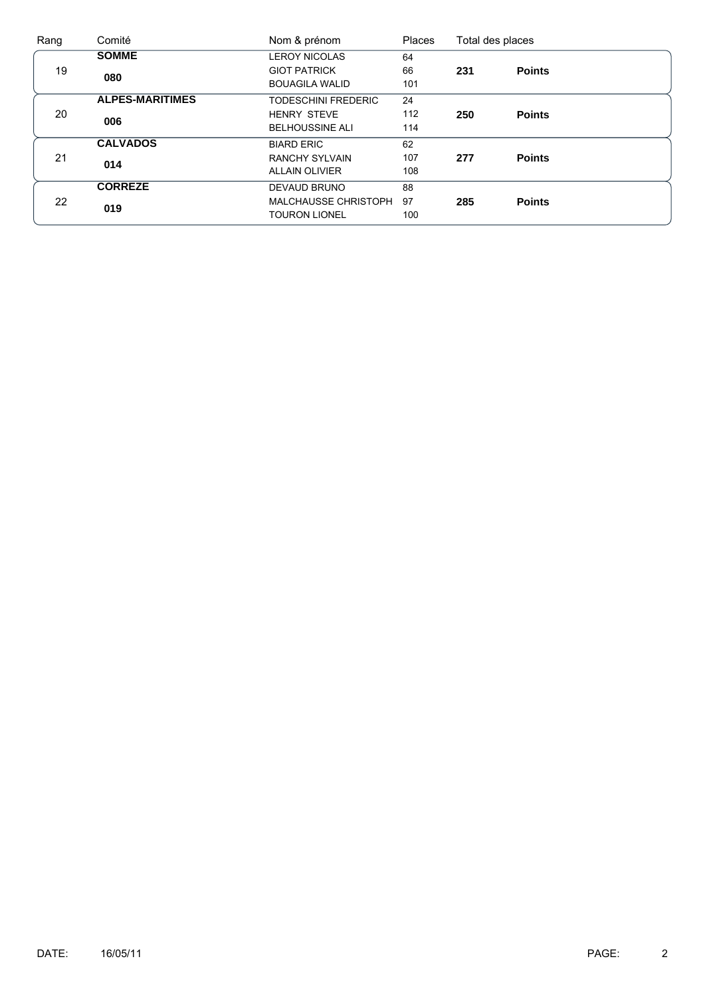| Rang | Comité                 | Nom & prénom               | <b>Places</b> | Total des places |               |
|------|------------------------|----------------------------|---------------|------------------|---------------|
|      | <b>SOMME</b>           | <b>LEROY NICOLAS</b>       | 64            |                  |               |
| 19   | 080                    | <b>GIOT PATRICK</b>        | 66            | 231              | <b>Points</b> |
|      |                        | <b>BOUAGILA WALID</b>      | 101           |                  |               |
|      | <b>ALPES-MARITIMES</b> | <b>TODESCHINI FREDERIC</b> | 24            |                  |               |
| 20   | 006                    | <b>HENRY STEVE</b>         | 112           | 250              | <b>Points</b> |
|      |                        | <b>BELHOUSSINE ALI</b>     | 114           |                  |               |
|      | <b>CALVADOS</b>        | <b>BIARD ERIC</b>          | 62            |                  |               |
| 21   | 014                    | <b>RANCHY SYLVAIN</b>      | 107           | 277              | <b>Points</b> |
|      |                        | <b>ALLAIN OLIVIER</b>      | 108           |                  |               |
|      | <b>CORREZE</b>         | DEVAUD BRUNO               | 88            |                  |               |
| 22   | 019                    | MALCHAUSSE CHRISTOPH       | 97            | 285              | <b>Points</b> |
|      |                        | <b>TOURON LIONEL</b>       | 100           |                  |               |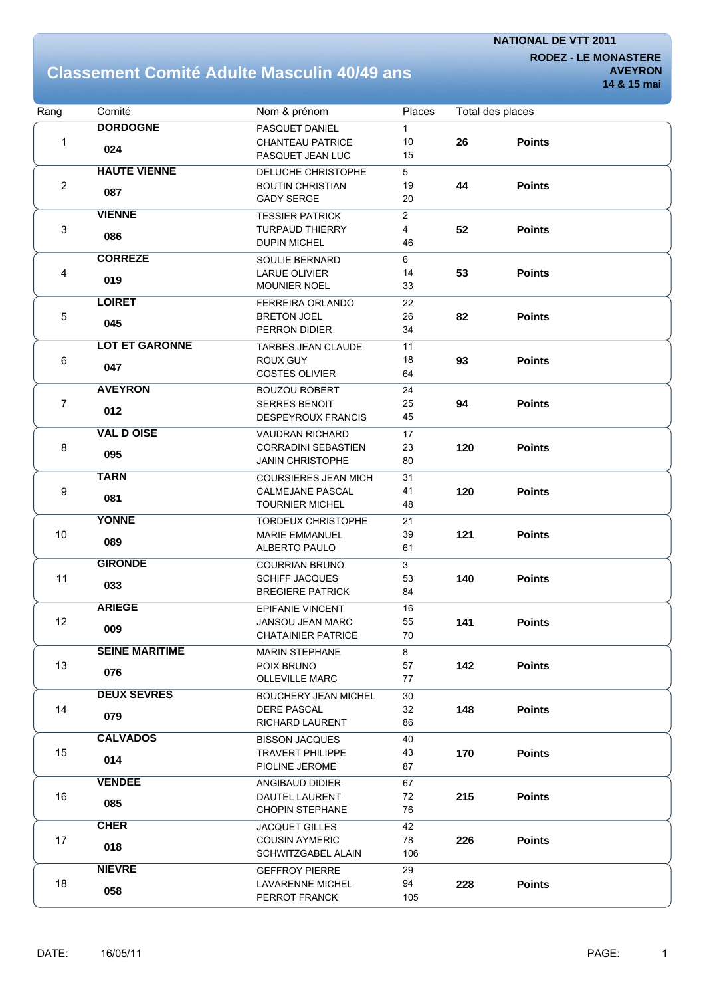**RODEZ - LE MONASTERE AVEYRON**

### **Classement Comité Adulte Masculin 40/49 ans**

| Rang                      | Comité                | Nom & prénom                                   | Places         |     | Total des places |
|---------------------------|-----------------------|------------------------------------------------|----------------|-----|------------------|
|                           | <b>DORDOGNE</b>       | PASQUET DANIEL                                 | $\mathbf{1}$   |     |                  |
| 1                         | 024                   | <b>CHANTEAU PATRICE</b>                        | 10             | 26  | <b>Points</b>    |
|                           |                       | PASQUET JEAN LUC                               | 15             |     |                  |
|                           | <b>HAUTE VIENNE</b>   | DELUCHE CHRISTOPHE                             | 5              |     |                  |
| $\mathbf{2}$              | 087                   | <b>BOUTIN CHRISTIAN</b>                        | 19             | 44  | <b>Points</b>    |
|                           |                       | <b>GADY SERGE</b>                              | 20             |     |                  |
|                           | <b>VIENNE</b>         | <b>TESSIER PATRICK</b>                         | $\overline{2}$ |     |                  |
| $\ensuremath{\mathsf{3}}$ | 086                   | <b>TURPAUD THIERRY</b>                         | 4              | 52  | <b>Points</b>    |
|                           |                       | <b>DUPIN MICHEL</b>                            | 46             |     |                  |
|                           | <b>CORREZE</b>        | SOULIE BERNARD                                 | 6              |     |                  |
| 4                         | 019                   | <b>LARUE OLIVIER</b>                           | 14             | 53  | <b>Points</b>    |
|                           |                       | MOUNIER NOEL                                   | 33             |     |                  |
|                           | <b>LOIRET</b>         | FERREIRA ORLANDO                               | 22             |     |                  |
| 5                         | 045                   | <b>BRETON JOEL</b>                             | 26             | 82  | <b>Points</b>    |
|                           |                       | PERRON DIDIER                                  | 34             |     |                  |
|                           | <b>LOT ET GARONNE</b> | TARBES JEAN CLAUDE                             | 11             |     |                  |
| 6                         | 047                   | <b>ROUX GUY</b>                                | 18             | 93  | <b>Points</b>    |
|                           |                       | <b>COSTES OLIVIER</b>                          | 64             |     |                  |
|                           | <b>AVEYRON</b>        | <b>BOUZOU ROBERT</b>                           | 24             |     |                  |
| $\overline{7}$            | 012                   | <b>SERRES BENOIT</b>                           | 25             | 94  | <b>Points</b>    |
|                           |                       | DESPEYROUX FRANCIS                             | 45             |     |                  |
|                           | <b>VAL D OISE</b>     | <b>VAUDRAN RICHARD</b>                         | 17             |     |                  |
| 8                         | 095                   | <b>CORRADINI SEBASTIEN</b>                     | 23             | 120 | <b>Points</b>    |
|                           |                       | <b>JANIN CHRISTOPHE</b>                        | 80             |     |                  |
|                           | <b>TARN</b>           | <b>COURSIERES JEAN MICH</b>                    | 31             |     |                  |
| 9                         | 081                   | CALMEJANE PASCAL                               | 41             | 120 | <b>Points</b>    |
|                           |                       | <b>TOURNIER MICHEL</b>                         | 48             |     |                  |
|                           | <b>YONNE</b>          | <b>TORDEUX CHRISTOPHE</b>                      | 21             |     |                  |
| 10                        | 089                   | <b>MARIE EMMANUEL</b><br>ALBERTO PAULO         | 39<br>61       | 121 | <b>Points</b>    |
|                           | <b>GIRONDE</b>        |                                                |                |     |                  |
|                           |                       | <b>COURRIAN BRUNO</b><br><b>SCHIFF JACQUES</b> | 3<br>53        |     | <b>Points</b>    |
| 11                        | 033                   | <b>BREGIERE PATRICK</b>                        | 84             | 140 |                  |
|                           | <b>ARIEGE</b>         | <b>EPIFANIE VINCENT</b>                        | 16             |     |                  |
| 12                        |                       | <b>JANSOU JEAN MARC</b>                        | 55             | 141 | <b>Points</b>    |
|                           | 009                   | <b>CHATAINIER PATRICE</b>                      | $70\,$         |     |                  |
|                           | <b>SEINE MARITIME</b> | <b>MARIN STEPHANE</b>                          | 8              |     |                  |
| 13                        |                       | POIX BRUNO                                     | 57             | 142 | <b>Points</b>    |
|                           | 076                   | <b>OLLEVILLE MARC</b>                          | 77             |     |                  |
|                           | <b>DEUX SEVRES</b>    | <b>BOUCHERY JEAN MICHEL</b>                    | 30             |     |                  |
| 14                        |                       | <b>DERE PASCAL</b>                             | 32             | 148 | <b>Points</b>    |
|                           | 079                   | <b>RICHARD LAURENT</b>                         | 86             |     |                  |
|                           | <b>CALVADOS</b>       | <b>BISSON JACQUES</b>                          | 40             |     |                  |
| 15                        |                       | <b>TRAVERT PHILIPPE</b>                        | 43             | 170 | <b>Points</b>    |
|                           | 014                   | PIOLINE JEROME                                 | 87             |     |                  |
|                           | <b>VENDEE</b>         | ANGIBAUD DIDIER                                | 67             |     |                  |
| 16                        |                       | DAUTEL LAURENT                                 | 72             | 215 | <b>Points</b>    |
|                           | 085                   | <b>CHOPIN STEPHANE</b>                         | 76             |     |                  |
|                           | <b>CHER</b>           | <b>JACQUET GILLES</b>                          | 42             |     |                  |
| 17                        |                       | <b>COUSIN AYMERIC</b>                          | 78             | 226 | <b>Points</b>    |
|                           | 018                   | SCHWITZGABEL ALAIN                             | 106            |     |                  |
|                           | <b>NIEVRE</b>         | <b>GEFFROY PIERRE</b>                          | 29             |     |                  |
| 18                        | 058                   | LAVARENNE MICHEL                               | 94             | 228 | <b>Points</b>    |
|                           |                       | PERROT FRANCK                                  | 105            |     |                  |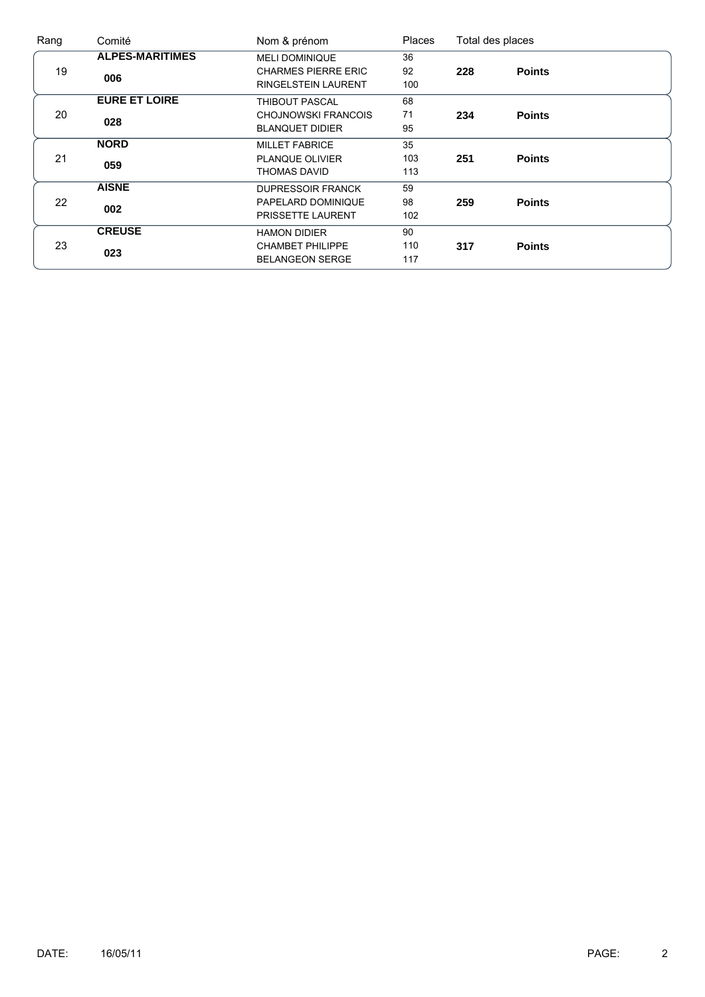| Rang | Comité                 | Nom & prénom               | <b>Places</b> |     | Total des places |  |
|------|------------------------|----------------------------|---------------|-----|------------------|--|
|      | <b>ALPES-MARITIMES</b> | <b>MELI DOMINIQUE</b>      | 36            |     |                  |  |
| 19   | 006                    | <b>CHARMES PIERRE ERIC</b> | 92            | 228 | <b>Points</b>    |  |
|      |                        | <b>RINGELSTEIN LAURENT</b> | 100           |     |                  |  |
|      | <b>EURE ET LOIRE</b>   | <b>THIBOUT PASCAL</b>      | 68            |     |                  |  |
| 20   | 028                    | <b>CHOJNOWSKI FRANCOIS</b> | 71            | 234 | <b>Points</b>    |  |
|      |                        | <b>BLANQUET DIDIER</b>     | 95            |     |                  |  |
|      | <b>NORD</b>            | <b>MILLET FABRICE</b>      | 35            |     |                  |  |
| 21   | 059                    | PLANQUE OLIVIER            | 103           | 251 | <b>Points</b>    |  |
|      |                        | THOMAS DAVID               | 113           |     |                  |  |
|      | <b>AISNE</b>           | <b>DUPRESSOIR FRANCK</b>   | 59            |     |                  |  |
| 22   | 002                    | PAPELARD DOMINIQUE         | 98            | 259 | <b>Points</b>    |  |
|      |                        | PRISSETTE LAURENT          | 102           |     |                  |  |
|      | <b>CREUSE</b>          | <b>HAMON DIDIER</b>        | 90            |     |                  |  |
| 23   | 023                    | <b>CHAMBET PHILIPPE</b>    | 110           | 317 | <b>Points</b>    |  |
|      |                        | <b>BELANGEON SERGE</b>     | 117           |     |                  |  |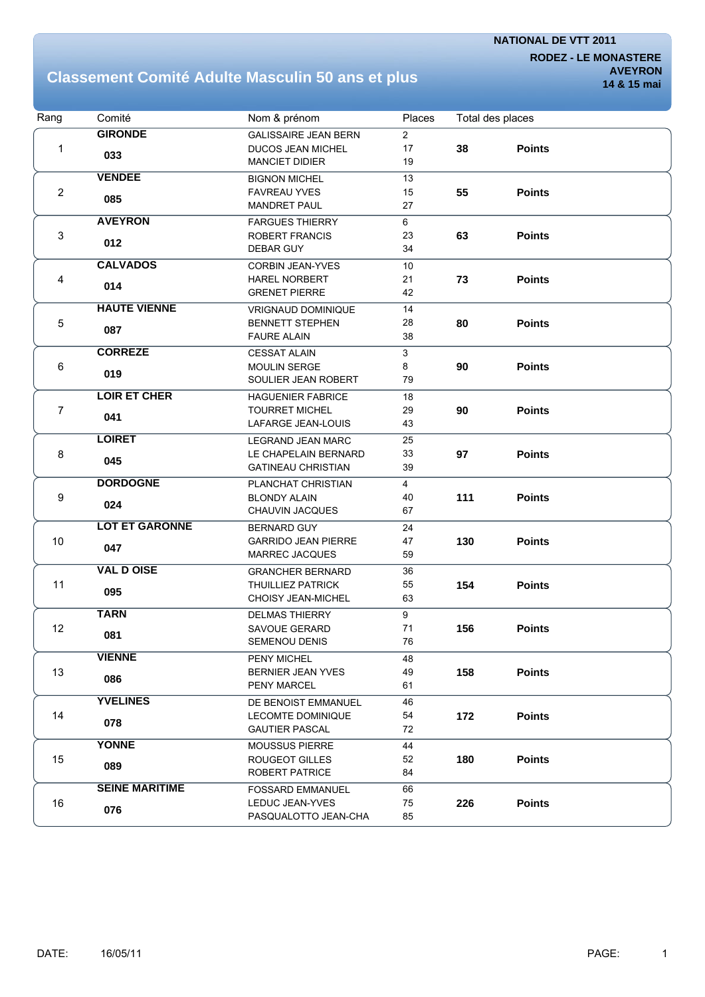**RODEZ - LE MONASTERE AVEYRON**

### **Classement Comité Adulte Masculin 50 ans et plus**

| Rang           | Comité                | Nom & prénom                                   | Places         |     | Total des places |  |
|----------------|-----------------------|------------------------------------------------|----------------|-----|------------------|--|
|                | <b>GIRONDE</b>        | <b>GALISSAIRE JEAN BERN</b>                    | $\overline{2}$ |     |                  |  |
| 1              |                       | <b>DUCOS JEAN MICHEL</b>                       | 17             | 38  | <b>Points</b>    |  |
|                | 033                   | <b>MANCIET DIDIER</b>                          | 19             |     |                  |  |
|                | <b>VENDEE</b>         | <b>BIGNON MICHEL</b>                           | 13             |     |                  |  |
| $\overline{2}$ |                       | <b>FAVREAU YVES</b>                            | 15             | 55  | <b>Points</b>    |  |
|                | 085                   | <b>MANDRET PAUL</b>                            | 27             |     |                  |  |
|                | <b>AVEYRON</b>        | <b>FARGUES THIERRY</b>                         | 6              |     |                  |  |
| 3              |                       | ROBERT FRANCIS                                 | 23             | 63  | <b>Points</b>    |  |
|                | 012                   | DEBAR GUY                                      | 34             |     |                  |  |
|                | <b>CALVADOS</b>       | <b>CORBIN JEAN-YVES</b>                        | 10             |     |                  |  |
| 4              |                       | <b>HAREL NORBERT</b>                           | 21             | 73  | <b>Points</b>    |  |
|                | 014                   | <b>GRENET PIERRE</b>                           | 42             |     |                  |  |
|                | <b>HAUTE VIENNE</b>   | <b>VRIGNAUD DOMINIQUE</b>                      | 14             |     |                  |  |
| 5              |                       | <b>BENNETT STEPHEN</b>                         | 28             | 80  | <b>Points</b>    |  |
|                | 087                   | <b>FAURE ALAIN</b>                             | 38             |     |                  |  |
|                | <b>CORREZE</b>        | <b>CESSAT ALAIN</b>                            | 3              |     |                  |  |
| 6              |                       | <b>MOULIN SERGE</b>                            | 8              | 90  | <b>Points</b>    |  |
|                | 019                   | SOULIER JEAN ROBERT                            | 79             |     |                  |  |
|                | <b>LOIR ET CHER</b>   | <b>HAGUENIER FABRICE</b>                       | 18             |     |                  |  |
| $\overline{7}$ |                       | <b>TOURRET MICHEL</b>                          | 29             | 90  | <b>Points</b>    |  |
|                | 041                   | LAFARGE JEAN-LOUIS                             | 43             |     |                  |  |
|                | <b>LOIRET</b>         | <b>LEGRAND JEAN MARC</b>                       | 25             |     |                  |  |
|                |                       | LE CHAPELAIN BERNARD                           | 33             | 97  | <b>Points</b>    |  |
| 8              | 045                   | <b>GATINEAU CHRISTIAN</b>                      | 39             |     |                  |  |
|                | <b>DORDOGNE</b>       | PLANCHAT CHRISTIAN                             | $\overline{4}$ |     |                  |  |
| 9              |                       | <b>BLONDY ALAIN</b>                            | 40             | 111 | <b>Points</b>    |  |
|                | 024                   | <b>CHAUVIN JACQUES</b>                         | 67             |     |                  |  |
|                | <b>LOT ET GARONNE</b> | <b>BERNARD GUY</b>                             | 24             |     |                  |  |
| $10$           |                       | <b>GARRIDO JEAN PIERRE</b>                     | 47             | 130 | <b>Points</b>    |  |
|                | 047                   | <b>MARREC JACQUES</b>                          | 59             |     |                  |  |
|                | <b>VAL D OISE</b>     |                                                |                |     |                  |  |
| 11             |                       | <b>GRANCHER BERNARD</b>                        | 36<br>55       | 154 | <b>Points</b>    |  |
|                | 095                   | <b>THUILLIEZ PATRICK</b><br>CHOISY JEAN-MICHEL | 63             |     |                  |  |
|                | <b>TARN</b>           |                                                |                |     |                  |  |
| 12             |                       | <b>DELMAS THIERRY</b>                          | 9<br>71        |     |                  |  |
|                | 081                   | <b>SAVOUE GERARD</b><br>SEMENOU DENIS          | 76             | 156 | <b>Points</b>    |  |
|                |                       |                                                |                |     |                  |  |
|                | <b>VIENNE</b>         | PENY MICHEL                                    | 48             |     |                  |  |
| 13             | 086                   | <b>BERNIER JEAN YVES</b><br>PENY MARCEL        | 49<br>61       | 158 | <b>Points</b>    |  |
|                |                       |                                                |                |     |                  |  |
|                | <b>YVELINES</b>       | DE BENOIST EMMANUEL                            | 46             |     |                  |  |
| 14             | 078                   | LECOMTE DOMINIQUE                              | 54             | 172 | <b>Points</b>    |  |
|                |                       | <b>GAUTIER PASCAL</b>                          | 72             |     |                  |  |
|                | <b>YONNE</b>          | <b>MOUSSUS PIERRE</b>                          | 44             |     |                  |  |
| 15             | 089                   | ROUGEOT GILLES                                 | 52             | 180 | <b>Points</b>    |  |
|                |                       | ROBERT PATRICE                                 | 84             |     |                  |  |
|                | <b>SEINE MARITIME</b> | <b>FOSSARD EMMANUEL</b>                        | 66             |     |                  |  |
| 16             | 076                   | LEDUC JEAN-YVES                                | 75             | 226 | <b>Points</b>    |  |
|                |                       | PASQUALOTTO JEAN-CHA                           | 85             |     |                  |  |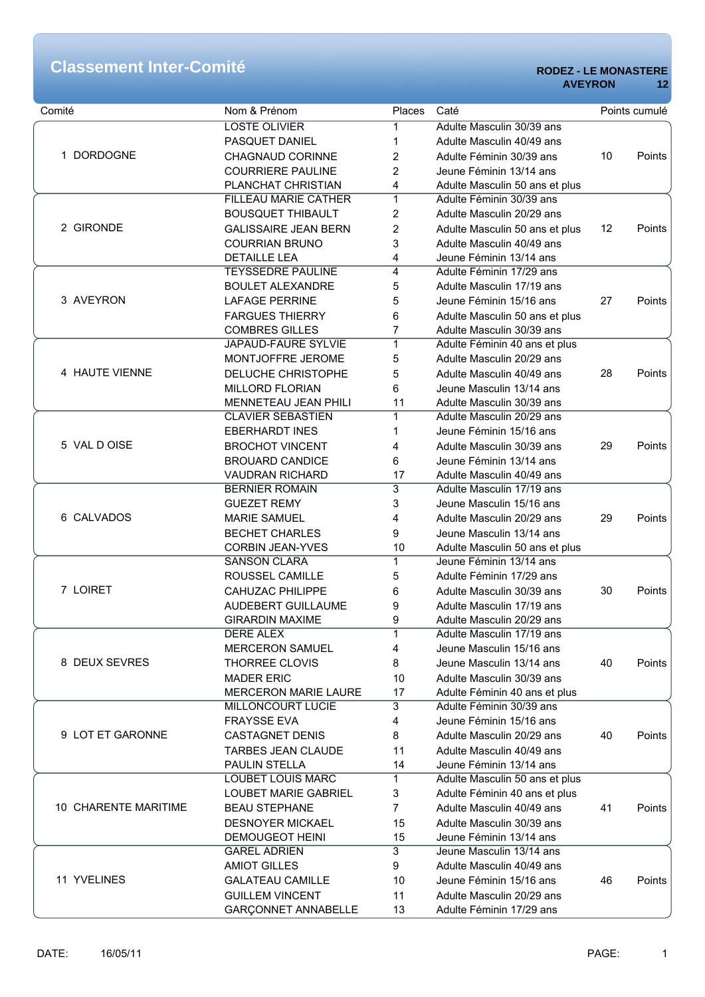| Comité               | Nom & Prénom                | Places         | Caté                           |    | Points cumulé |
|----------------------|-----------------------------|----------------|--------------------------------|----|---------------|
|                      | <b>LOSTE OLIVIER</b>        | 1              | Adulte Masculin 30/39 ans      |    |               |
|                      | PASQUET DANIEL              | 1              | Adulte Masculin 40/49 ans      |    |               |
| <b>DORDOGNE</b><br>1 | CHAGNAUD CORINNE            | 2              | Adulte Féminin 30/39 ans       | 10 | Points        |
|                      | <b>COURRIERE PAULINE</b>    | 2              | Jeune Féminin 13/14 ans        |    |               |
|                      | PLANCHAT CHRISTIAN          | 4              | Adulte Masculin 50 ans et plus |    |               |
|                      | <b>FILLEAU MARIE CATHER</b> | $\mathbf{1}$   | Adulte Féminin 30/39 ans       |    |               |
|                      | <b>BOUSQUET THIBAULT</b>    | 2              | Adulte Masculin 20/29 ans      |    |               |
| 2 GIRONDE            | <b>GALISSAIRE JEAN BERN</b> | 2              | Adulte Masculin 50 ans et plus | 12 | Points        |
|                      | <b>COURRIAN BRUNO</b>       | 3              | Adulte Masculin 40/49 ans      |    |               |
|                      | <b>DETAILLE LEA</b>         | 4              | Jeune Féminin 13/14 ans        |    |               |
|                      | <b>TEYSSEDRE PAULINE</b>    | 4              | Adulte Féminin 17/29 ans       |    |               |
|                      | <b>BOULET ALEXANDRE</b>     | 5              | Adulte Masculin 17/19 ans      |    |               |
| 3 AVEYRON            | <b>LAFAGE PERRINE</b>       | 5              | Jeune Féminin 15/16 ans        | 27 | Points        |
|                      | <b>FARGUES THIERRY</b>      | 6              | Adulte Masculin 50 ans et plus |    |               |
|                      | <b>COMBRES GILLES</b>       | 7              | Adulte Masculin 30/39 ans      |    |               |
|                      | <b>JAPAUD-FAURE SYLVIE</b>  | $\mathbf{1}$   | Adulte Féminin 40 ans et plus  |    |               |
|                      | MONTJOFFRE JEROME           | 5              | Adulte Masculin 20/29 ans      |    |               |
|                      |                             |                |                                |    |               |
| 4 HAUTE VIENNE       | DELUCHE CHRISTOPHE          | 5              | Adulte Masculin 40/49 ans      | 28 | Points        |
|                      | <b>MILLORD FLORIAN</b>      | 6              | Jeune Masculin 13/14 ans       |    |               |
|                      | MENNETEAU JEAN PHILI        | 11             | Adulte Masculin 30/39 ans      |    |               |
|                      | <b>CLAVIER SEBASTIEN</b>    | 1              | Adulte Masculin 20/29 ans      |    |               |
| 5 VAL DOISE          | <b>EBERHARDT INES</b>       | 1              | Jeune Féminin 15/16 ans        |    |               |
|                      | <b>BROCHOT VINCENT</b>      | 4              | Adulte Masculin 30/39 ans      | 29 | Points        |
|                      | <b>BROUARD CANDICE</b>      | 6              | Jeune Féminin 13/14 ans        |    |               |
|                      | <b>VAUDRAN RICHARD</b>      | 17             | Adulte Masculin 40/49 ans      |    |               |
|                      | <b>BERNIER ROMAIN</b>       | 3              | Adulte Masculin 17/19 ans      |    |               |
|                      | <b>GUEZET REMY</b>          | 3              | Jeune Masculin 15/16 ans       |    |               |
| 6 CALVADOS           | <b>MARIE SAMUEL</b>         | 4              | Adulte Masculin 20/29 ans      | 29 | Points        |
|                      | <b>BECHET CHARLES</b>       | 9              | Jeune Masculin 13/14 ans       |    |               |
|                      | <b>CORBIN JEAN-YVES</b>     | 10             | Adulte Masculin 50 ans et plus |    |               |
|                      | <b>SANSON CLARA</b>         | 1              | Jeune Féminin 13/14 ans        |    |               |
|                      | ROUSSEL CAMILLE             | 5              | Adulte Féminin 17/29 ans       |    |               |
| 7 LOIRET             | <b>CAHUZAC PHILIPPE</b>     | 6              | Adulte Masculin 30/39 ans      | 30 | Points        |
|                      | AUDEBERT GUILLAUME          | 9              | Adulte Masculin 17/19 ans      |    |               |
|                      | <b>GIRARDIN MAXIME</b>      | 9              | Adulte Masculin 20/29 ans      |    |               |
|                      | <b>DERE ALEX</b>            | 1              | Adulte Masculin 17/19 ans      |    |               |
|                      | <b>MERCERON SAMUEL</b>      | 4              | Jeune Masculin 15/16 ans       |    |               |
| 8 DEUX SEVRES        | <b>THORREE CLOVIS</b>       | 8              | Jeune Masculin 13/14 ans       | 40 | Points        |
|                      | <b>MADER ERIC</b>           | 10             | Adulte Masculin 30/39 ans      |    |               |
|                      | <b>MERCERON MARIE LAURE</b> | 17             | Adulte Féminin 40 ans et plus  |    |               |
|                      | <b>MILLONCOURT LUCIE</b>    | 3              | Adulte Féminin 30/39 ans       |    |               |
|                      | <b>FRAYSSE EVA</b>          | 4              | Jeune Féminin 15/16 ans        |    |               |
| 9 LOT ET GARONNE     | <b>CASTAGNET DENIS</b>      | 8              | Adulte Masculin 20/29 ans      | 40 | Points        |
|                      | <b>TARBES JEAN CLAUDE</b>   | 11             | Adulte Masculin 40/49 ans      |    |               |
|                      | PAULIN STELLA               | 14             | Jeune Féminin 13/14 ans        |    |               |
|                      | <b>LOUBET LOUIS MARC</b>    | 1              | Adulte Masculin 50 ans et plus |    |               |
|                      | LOUBET MARIE GABRIEL        | 3              | Adulte Féminin 40 ans et plus  |    |               |
| 10 CHARENTE MARITIME | <b>BEAU STEPHANE</b>        | $\overline{7}$ | Adulte Masculin 40/49 ans      | 41 | Points        |
|                      | <b>DESNOYER MICKAEL</b>     | 15             | Adulte Masculin 30/39 ans      |    |               |
|                      | <b>DEMOUGEOT HEINI</b>      | 15             | Jeune Féminin 13/14 ans        |    |               |
|                      | <b>GAREL ADRIEN</b>         | $\overline{3}$ | Jeune Masculin 13/14 ans       |    |               |
|                      | <b>AMIOT GILLES</b>         | 9              | Adulte Masculin 40/49 ans      |    |               |
| 11 YVELINES          | <b>GALATEAU CAMILLE</b>     | 10             | Jeune Féminin 15/16 ans        | 46 | Points        |
|                      |                             |                | Adulte Masculin 20/29 ans      |    |               |
|                      | <b>GUILLEM VINCENT</b>      | 11<br>13       | Adulte Féminin 17/29 ans       |    |               |
|                      | GARÇONNET ANNABELLE         |                |                                |    |               |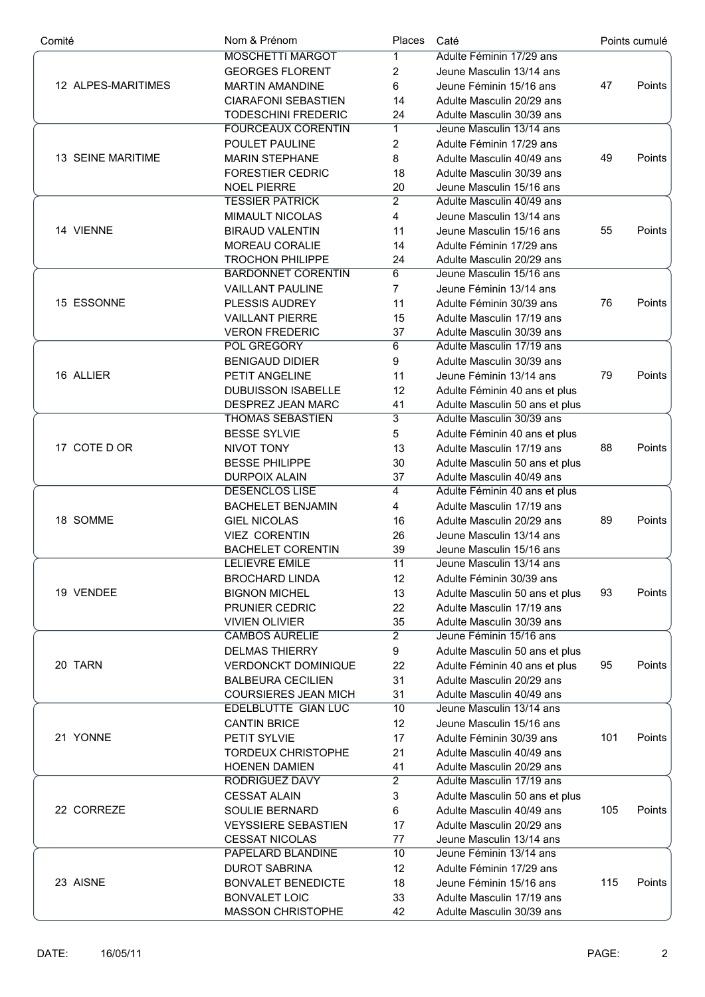| Comité             | Nom & Prénom                | Places          | Caté                           |     | Points cumulé |
|--------------------|-----------------------------|-----------------|--------------------------------|-----|---------------|
|                    | <b>MOSCHETTI MARGOT</b>     | 1               | Adulte Féminin 17/29 ans       |     |               |
|                    | <b>GEORGES FLORENT</b>      | $\overline{2}$  | Jeune Masculin 13/14 ans       |     |               |
| 12 ALPES-MARITIMES | <b>MARTIN AMANDINE</b>      | 6               | Jeune Féminin 15/16 ans        | 47  | Points        |
|                    | <b>CIARAFONI SEBASTIEN</b>  | 14              | Adulte Masculin 20/29 ans      |     |               |
|                    | <b>TODESCHINI FREDERIC</b>  | 24              | Adulte Masculin 30/39 ans      |     |               |
|                    | <b>FOURCEAUX CORENTIN</b>   | $\mathbf 1$     | Jeune Masculin 13/14 ans       |     |               |
|                    | POULET PAULINE              | $\overline{2}$  | Adulte Féminin 17/29 ans       |     |               |
| 13 SEINE MARITIME  | <b>MARIN STEPHANE</b>       | 8               | Adulte Masculin 40/49 ans      | 49  | Points        |
|                    | FORESTIER CEDRIC            | 18              | Adulte Masculin 30/39 ans      |     |               |
|                    | <b>NOEL PIERRE</b>          | 20              | Jeune Masculin 15/16 ans       |     |               |
|                    | <b>TESSIER PATRICK</b>      | $\overline{2}$  | Adulte Masculin 40/49 ans      |     |               |
|                    |                             |                 |                                |     |               |
| 14 VIENNE          | <b>MIMAULT NICOLAS</b>      | $\overline{4}$  | Jeune Masculin 13/14 ans       |     |               |
|                    | <b>BIRAUD VALENTIN</b>      | 11              | Jeune Masculin 15/16 ans       | 55  | Points        |
|                    | MOREAU CORALIE              | 14              | Adulte Féminin 17/29 ans       |     |               |
|                    | <b>TROCHON PHILIPPE</b>     | 24              | Adulte Masculin 20/29 ans      |     |               |
|                    | <b>BARDONNET CORENTIN</b>   | 6               | Jeune Masculin 15/16 ans       |     |               |
|                    | <b>VAILLANT PAULINE</b>     | $\overline{7}$  | Jeune Féminin 13/14 ans        |     |               |
| 15 ESSONNE         | PLESSIS AUDREY              | 11              | Adulte Féminin 30/39 ans       | 76  | Points        |
|                    | <b>VAILLANT PIERRE</b>      | 15              | Adulte Masculin 17/19 ans      |     |               |
|                    | <b>VERON FREDERIC</b>       | 37              | Adulte Masculin 30/39 ans      |     |               |
|                    | <b>POL GREGORY</b>          | 6               | Adulte Masculin 17/19 ans      |     |               |
| 16 ALLIER          | <b>BENIGAUD DIDIER</b>      | 9               | Adulte Masculin 30/39 ans      |     |               |
|                    | PETIT ANGELINE              | 11              | Jeune Féminin 13/14 ans        | 79  | Points        |
|                    | <b>DUBUISSON ISABELLE</b>   | 12              | Adulte Féminin 40 ans et plus  |     |               |
|                    | DESPREZ JEAN MARC           | 41              | Adulte Masculin 50 ans et plus |     |               |
|                    | <b>THOMAS SEBASTIEN</b>     | $\overline{3}$  | Adulte Masculin 30/39 ans      |     |               |
| 17 COTE D OR       | <b>BESSE SYLVIE</b>         | 5               | Adulte Féminin 40 ans et plus  |     |               |
|                    | <b>NIVOT TONY</b>           | 13              | Adulte Masculin 17/19 ans      | 88  | Points        |
|                    | <b>BESSE PHILIPPE</b>       | 30              | Adulte Masculin 50 ans et plus |     |               |
|                    | <b>DURPOIX ALAIN</b>        | 37              | Adulte Masculin 40/49 ans      |     |               |
|                    | <b>DESENCLOS LISE</b>       | 4               | Adulte Féminin 40 ans et plus  |     |               |
|                    | <b>BACHELET BENJAMIN</b>    | 4               | Adulte Masculin 17/19 ans      |     |               |
| 18 SOMME           | <b>GIEL NICOLAS</b>         | 16              | Adulte Masculin 20/29 ans      | 89  | Points        |
|                    | <b>VIEZ CORENTIN</b>        |                 | Jeune Masculin 13/14 ans       |     |               |
|                    |                             | 26              |                                |     |               |
|                    | <b>BACHELET CORENTIN</b>    | 39              | Jeune Masculin 15/16 ans       |     |               |
|                    | LELIEVRE EMILE              | $\overline{11}$ | Jeune Masculin 13/14 ans       |     |               |
|                    | <b>BROCHARD LINDA</b>       | 12              | Adulte Féminin 30/39 ans       |     |               |
| 19 VENDEE          | <b>BIGNON MICHEL</b>        | 13              | Adulte Masculin 50 ans et plus | 93  | Points        |
|                    | PRUNIER CEDRIC              | 22              | Adulte Masculin 17/19 ans      |     |               |
|                    | <b>VIVIEN OLIVIER</b>       | 35              | Adulte Masculin 30/39 ans      |     |               |
|                    | <b>CAMBOS AURELIE</b>       | $\overline{2}$  | Jeune Féminin 15/16 ans        |     |               |
|                    | <b>DELMAS THIERRY</b>       | 9               | Adulte Masculin 50 ans et plus |     |               |
| 20 TARN            | <b>VERDONCKT DOMINIQUE</b>  | 22              | Adulte Féminin 40 ans et plus  | 95  | Points        |
|                    | <b>BALBEURA CECILIEN</b>    | 31              | Adulte Masculin 20/29 ans      |     |               |
|                    | <b>COURSIERES JEAN MICH</b> | 31              | Adulte Masculin 40/49 ans      |     |               |
|                    | <b>EDELBLUTTE GIAN LUC</b>  | $\overline{10}$ | Jeune Masculin 13/14 ans       |     |               |
|                    | <b>CANTIN BRICE</b>         | 12              | Jeune Masculin 15/16 ans       |     |               |
| 21 YONNE           | PETIT SYLVIE                | 17              | Adulte Féminin 30/39 ans       | 101 | Points        |
|                    | <b>TORDEUX CHRISTOPHE</b>   | 21              | Adulte Masculin 40/49 ans      |     |               |
|                    | <b>HOENEN DAMIEN</b>        | 41              | Adulte Masculin 20/29 ans      |     |               |
|                    | RODRIGUEZ DAVY              | $\overline{2}$  | Adulte Masculin 17/19 ans      |     |               |
|                    | <b>CESSAT ALAIN</b>         | 3               | Adulte Masculin 50 ans et plus |     |               |
| 22 CORREZE         | SOULIE BERNARD              | 6               | Adulte Masculin 40/49 ans      | 105 | Points        |
|                    | <b>VEYSSIERE SEBASTIEN</b>  | 17              | Adulte Masculin 20/29 ans      |     |               |
|                    | <b>CESSAT NICOLAS</b>       | 77              | Jeune Masculin 13/14 ans       |     |               |
|                    | PAPELARD BLANDINE           | 10              | Jeune Féminin 13/14 ans        |     |               |
|                    |                             |                 |                                |     |               |
| 23 AISNE           | <b>DUROT SABRINA</b>        | 12              | Adulte Féminin 17/29 ans       |     |               |
|                    | <b>BONVALET BENEDICTE</b>   | 18              | Jeune Féminin 15/16 ans        | 115 | Points        |
|                    | <b>BONVALET LOIC</b>        | 33              | Adulte Masculin 17/19 ans      |     |               |
|                    | <b>MASSON CHRISTOPHE</b>    | 42              | Adulte Masculin 30/39 ans      |     |               |